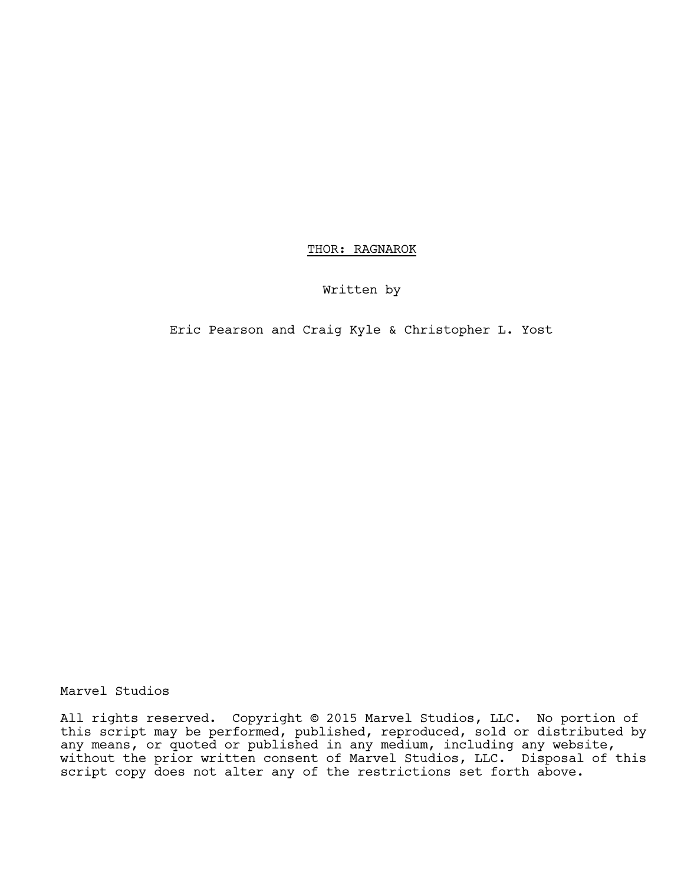THOR: RAGNAROK

Written by

Eric Pearson and Craig Kyle & Christopher L. Yost

Marvel Studios

All rights reserved. Copyright © 2015 Marvel Studios, LLC. No portion of this script may be performed, published, reproduced, sold or distributed by any means, or quoted or published in any medium, including any website,<br>without the prior written consent of Marvel Studios, LLC. Disposal of this script copy does not alter any of the restrictions set forth above.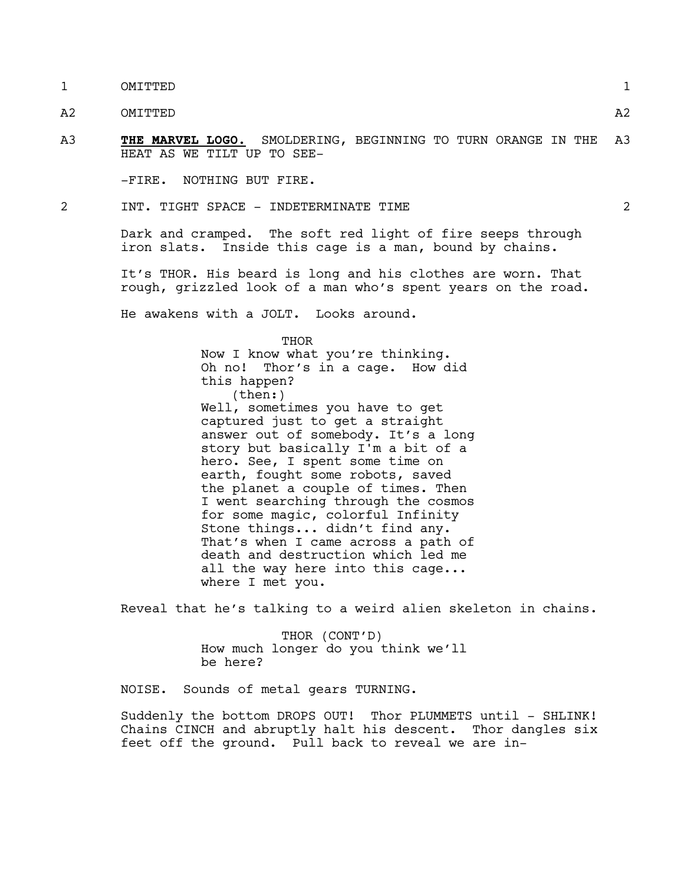1 OMITTED 1

A2 OMITTED A2

A3 **THE MARVEL LOGO.** SMOLDERING, BEGINNING TO TURN ORANGE IN THE A3 HEAT AS WE TILT UP TO SEE-

-FIRE. NOTHING BUT FIRE.

2 INT. TIGHT SPACE - INDETERMINATE TIME 2

Dark and cramped. The soft red light of fire seeps through iron slats. Inside this cage is a man, bound by chains.

It's THOR. His beard is long and his clothes are worn. That rough, grizzled look of a man who's spent years on the road.

He awakens with a JOLT. Looks around.

THOR Now I know what you're thinking. Oh no! Thor's in a cage. How did this happen? (then:) Well, sometimes you have to get captured just to get a straight answer out of somebody. It's a long story but basically I'm a bit of a hero. See, I spent some time on earth, fought some robots, saved the planet a couple of times. Then I went searching through the cosmos for some magic, colorful Infinity Stone things... didn't find any. That's when I came across a path of death and destruction which led me all the way here into this cage... where I met you.

Reveal that he's talking to a weird alien skeleton in chains.

THOR (CONT'D) How much longer do you think we'll be here?

NOISE. Sounds of metal gears TURNING.

Suddenly the bottom DROPS OUT! Thor PLUMMETS until - SHLINK! Chains CINCH and abruptly halt his descent. Thor dangles six feet off the ground. Pull back to reveal we are in-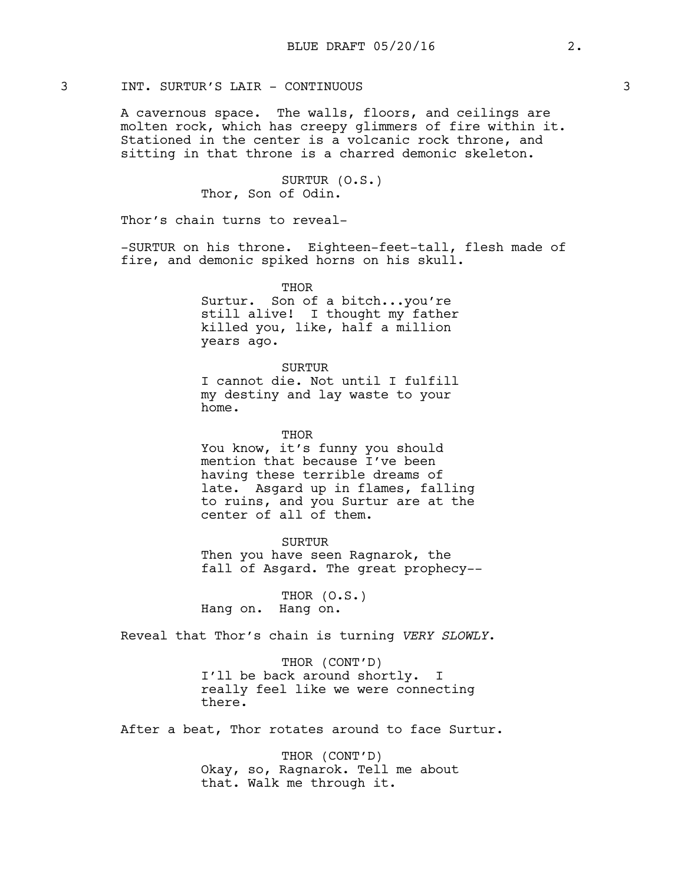# 3 INT. SURTUR'S LAIR - CONTINUOUS 3

A cavernous space. The walls, floors, and ceilings are molten rock, which has creepy glimmers of fire within it. Stationed in the center is a volcanic rock throne, and sitting in that throne is a charred demonic skeleton.

> SURTUR (O.S.) Thor, Son of Odin.

Thor's chain turns to reveal-

-SURTUR on his throne. Eighteen-feet-tall, flesh made of fire, and demonic spiked horns on his skull.

> **THOR** Surtur. Son of a bitch...you're still alive! I thought my father killed you, like, half a million years ago.

> > **SURTUR**

I cannot die. Not until I fulfill my destiny and lay waste to your home.

THOR

You know, it's funny you should mention that because I've been having these terrible dreams of late. Asgard up in flames, falling to ruins, and you Surtur are at the center of all of them.

SURTUR Then you have seen Ragnarok, the fall of Asgard. The great prophecy--

THOR (O.S.) Hang on. Hang on.

Reveal that Thor's chain is turning *VERY SLOWLY*.

THOR (CONT'D) I'll be back around shortly. I really feel like we were connecting there.

After a beat, Thor rotates around to face Surtur.

THOR (CONT'D) Okay, so, Ragnarok. Tell me about that. Walk me through it.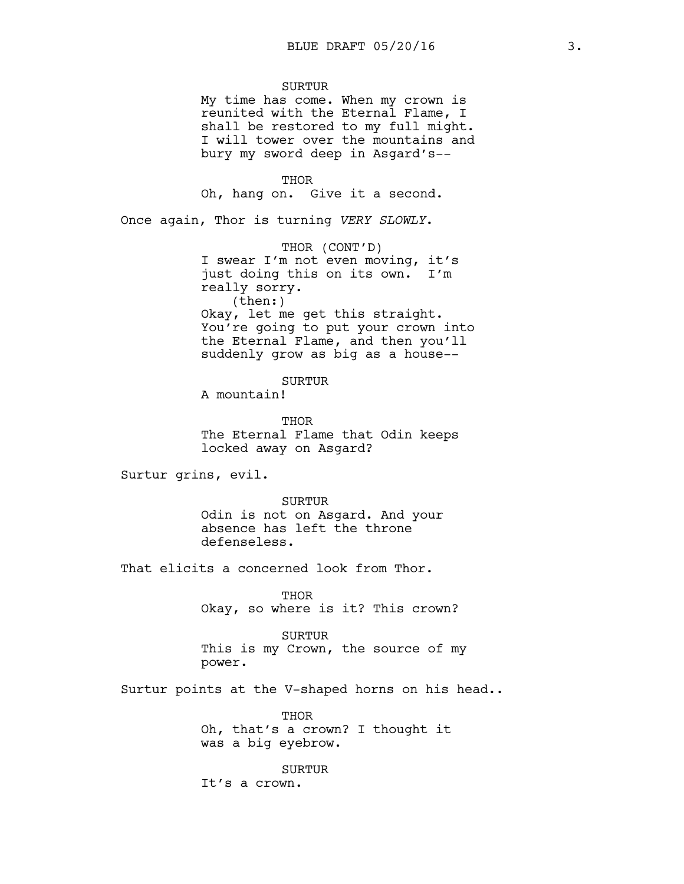SURTUR

My time has come. When my crown is reunited with the Eternal Flame, I shall be restored to my full might. I will tower over the mountains and bury my sword deep in Asgard's--

THOR Oh, hang on. Give it a second.

Once again, Thor is turning *VERY SLOWLY*.

THOR (CONT'D) I swear I'm not even moving, it's just doing this on its own. I'm really sorry. (then:) Okay, let me get this straight. You're going to put your crown into the Eternal Flame, and then you'll suddenly grow as big as a house--

SURTUR

A mountain!

THOR The Eternal Flame that Odin keeps locked away on Asgard?

Surtur grins, evil.

SURTUR Odin is not on Asgard. And your absence has left the throne defenseless.

That elicits a concerned look from Thor.

**THOR** Okay, so where is it? This crown?

SURTUR

This is my Crown, the source of my power.

Surtur points at the V-shaped horns on his head..

THOR Oh, that's a crown? I thought it was a big eyebrow.

SURTUR It's a crown.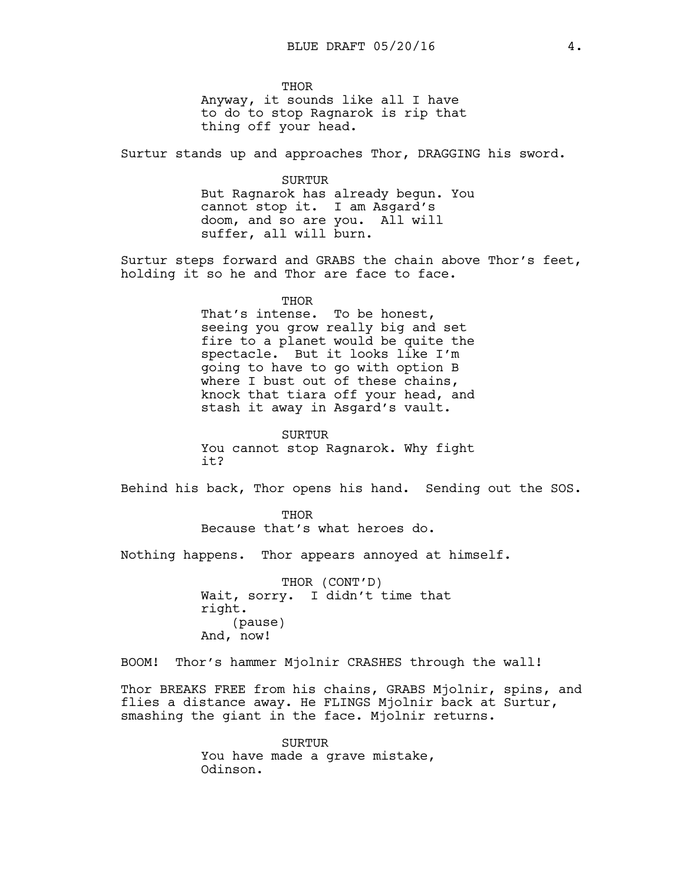**THOR** Anyway, it sounds like all I have to do to stop Ragnarok is rip that thing off your head.

Surtur stands up and approaches Thor, DRAGGING his sword.

SURTUR But Ragnarok has already begun. You cannot stop it. I am Asgard's doom, and so are you. All will suffer, all will burn.

Surtur steps forward and GRABS the chain above Thor's feet, holding it so he and Thor are face to face.

THOR

That's intense. To be honest, seeing you grow really big and set fire to a planet would be quite the spectacle. But it looks like I'm going to have to go with option B where I bust out of these chains, knock that tiara off your head, and stash it away in Asgard's vault.

SURTUR You cannot stop Ragnarok. Why fight it?

Behind his back, Thor opens his hand. Sending out the SOS.

THOR Because that's what heroes do.

Nothing happens. Thor appears annoyed at himself.

THOR (CONT'D) Wait, sorry. I didn't time that right. (pause) And, now!

BOOM! Thor's hammer Mjolnir CRASHES through the wall!

Thor BREAKS FREE from his chains, GRABS Mjolnir, spins, and flies a distance away. He FLINGS Mjolnir back at Surtur, smashing the giant in the face. Mjolnir returns.

> SURTUR You have made a grave mistake, Odinson.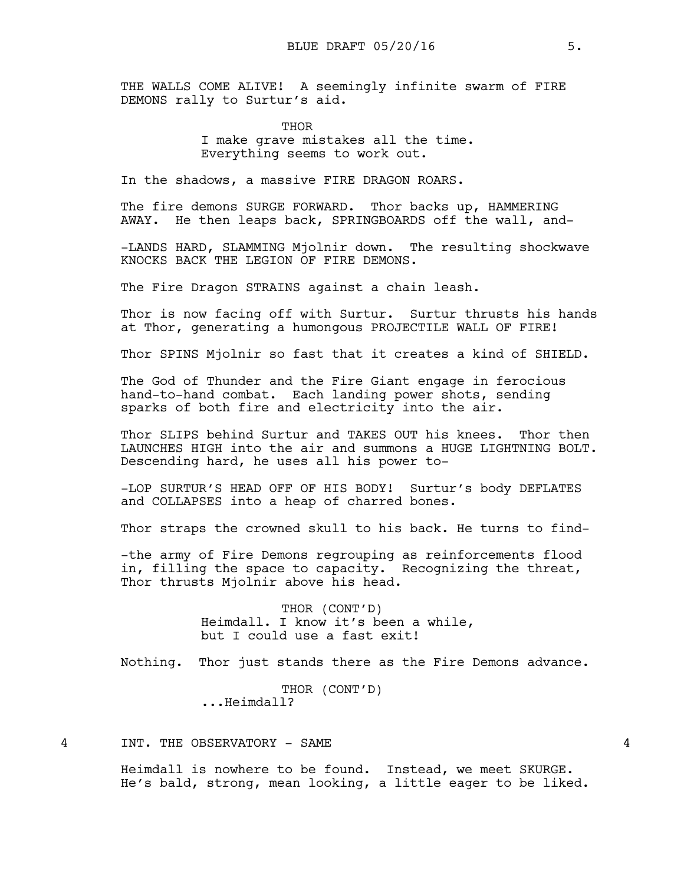THE WALLS COME ALIVE! A seemingly infinite swarm of FIRE DEMONS rally to Surtur's aid.

> THOR I make grave mistakes all the time. Everything seems to work out.

In the shadows, a massive FIRE DRAGON ROARS.

The fire demons SURGE FORWARD. Thor backs up, HAMMERING AWAY. He then leaps back, SPRINGBOARDS off the wall, and-

-LANDS HARD, SLAMMING Mjolnir down. The resulting shockwave KNOCKS BACK THE LEGION OF FIRE DEMONS.

The Fire Dragon STRAINS against a chain leash.

Thor is now facing off with Surtur. Surtur thrusts his hands at Thor, generating a humongous PROJECTILE WALL OF FIRE!

Thor SPINS Mjolnir so fast that it creates a kind of SHIELD.

The God of Thunder and the Fire Giant engage in ferocious hand-to-hand combat. Each landing power shots, sending sparks of both fire and electricity into the air.

Thor SLIPS behind Surtur and TAKES OUT his knees. Thor then LAUNCHES HIGH into the air and summons a HUGE LIGHTNING BOLT. Descending hard, he uses all his power to-

-LOP SURTUR'S HEAD OFF OF HIS BODY! Surtur's body DEFLATES and COLLAPSES into a heap of charred bones.

Thor straps the crowned skull to his back. He turns to find-

-the army of Fire Demons regrouping as reinforcements flood in, filling the space to capacity. Recognizing the threat, Thor thrusts Mjolnir above his head.

> THOR (CONT'D) Heimdall. I know it's been a while, but I could use a fast exit!

Nothing. Thor just stands there as the Fire Demons advance.

THOR (CONT'D) ...Heimdall?

4 INT. THE OBSERVATORY - SAME 4

Heimdall is nowhere to be found. Instead, we meet SKURGE. He's bald, strong, mean looking, a little eager to be liked.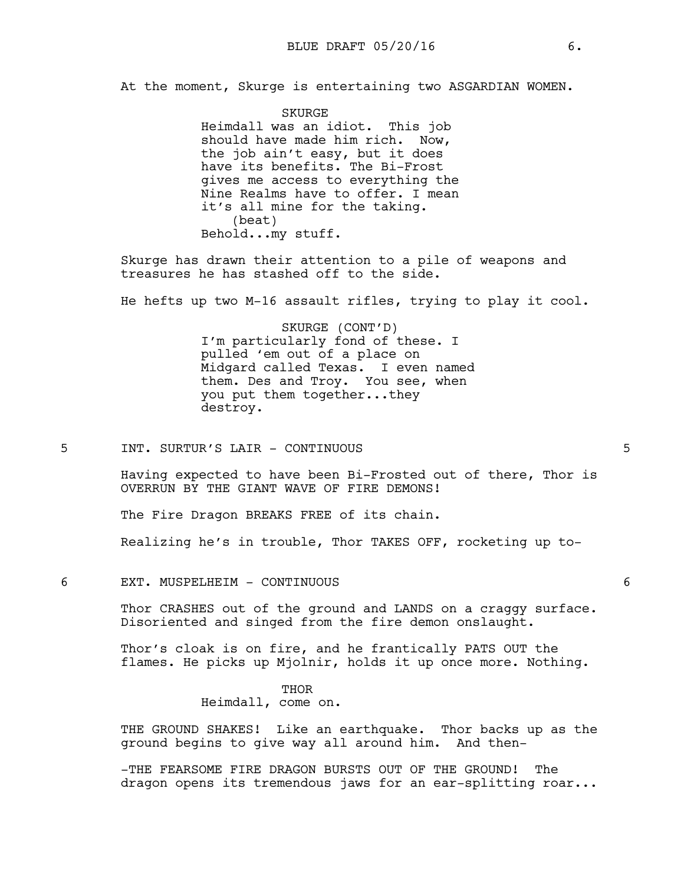At the moment, Skurge is entertaining two ASGARDIAN WOMEN.

SKURGE Heimdall was an idiot. This job should have made him rich. Now, the job ain't easy, but it does have its benefits. The Bi-Frost gives me access to everything the Nine Realms have to offer. I mean it's all mine for the taking. (beat) Behold...my stuff.

Skurge has drawn their attention to a pile of weapons and treasures he has stashed off to the side.

He hefts up two M-16 assault rifles, trying to play it cool.

SKURGE (CONT'D) I'm particularly fond of these. I pulled 'em out of a place on Midgard called Texas. I even named them. Des and Troy. You see, when you put them together...they destroy.

5 INT. SURTUR'S LAIR - CONTINUOUS 5

Having expected to have been Bi-Frosted out of there, Thor is OVERRUN BY THE GIANT WAVE OF FIRE DEMONS!

The Fire Dragon BREAKS FREE of its chain.

Realizing he's in trouble, Thor TAKES OFF, rocketing up to-

6 EXT. MUSPELHEIM - CONTINUOUS 6

Thor CRASHES out of the ground and LANDS on a craggy surface. Disoriented and singed from the fire demon onslaught.

Thor's cloak is on fire, and he frantically PATS OUT the flames. He picks up Mjolnir, holds it up once more. Nothing.

> THOR Heimdall, come on.

THE GROUND SHAKES! Like an earthquake. Thor backs up as the ground begins to give way all around him. And then-

-THE FEARSOME FIRE DRAGON BURSTS OUT OF THE GROUND! The dragon opens its tremendous jaws for an ear-splitting roar...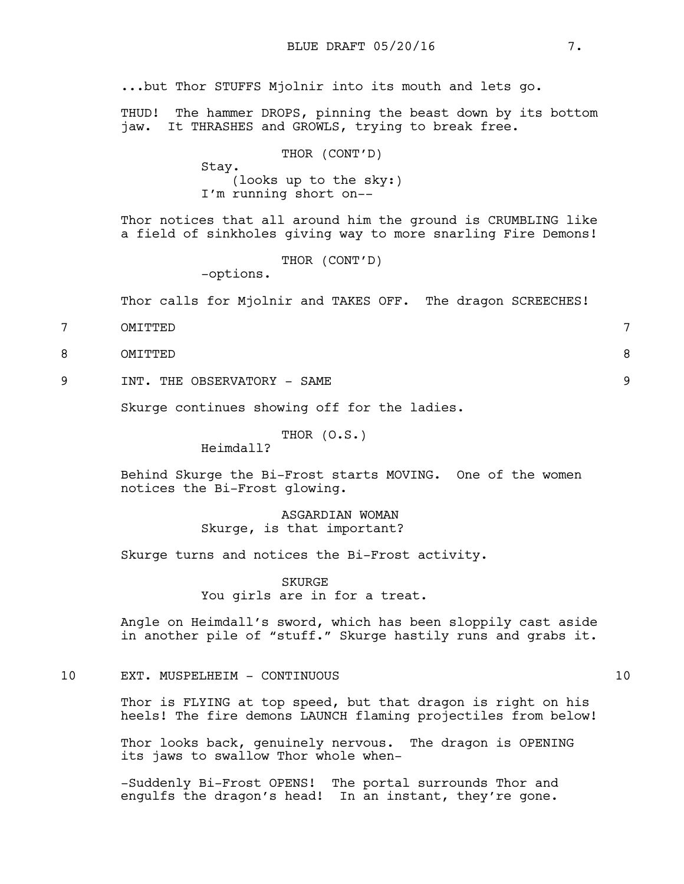...but Thor STUFFS Mjolnir into its mouth and lets go.

THUD! The hammer DROPS, pinning the beast down by its bottom jaw. It THRASHES and GROWLS, trying to break free.

|       | THOR (CONT'D)          |  |  |  |
|-------|------------------------|--|--|--|
| Stay. |                        |  |  |  |
|       | (looks up to the sky:) |  |  |  |
|       | I'm running short on-- |  |  |  |

Thor notices that all around him the ground is CRUMBLING like a field of sinkholes giving way to more snarling Fire Demons!

THOR (CONT'D)

-options.

Thor calls for Mjolnir and TAKES OFF. The dragon SCREECHES!

- 7 OMITTED 7
- 8 OMITTED 8
- 9 TNT. THE OBSERVATORY SAME 9

Skurge continues showing off for the ladies.

THOR (O.S.)

Heimdall?

Behind Skurge the Bi-Frost starts MOVING. One of the women notices the Bi-Frost glowing.

> ASGARDIAN WOMAN Skurge, is that important?

Skurge turns and notices the Bi-Frost activity.

SKURGE You girls are in for a treat.

Angle on Heimdall's sword, which has been sloppily cast aside in another pile of "stuff." Skurge hastily runs and grabs it.

# 10 EXT. MUSPELHEIM - CONTINUOUS 10

Thor is FLYING at top speed, but that dragon is right on his heels! The fire demons LAUNCH flaming projectiles from below!

Thor looks back, genuinely nervous. The dragon is OPENING its jaws to swallow Thor whole when-

-Suddenly Bi-Frost OPENS! The portal surrounds Thor and engulfs the dragon's head! In an instant, they're gone.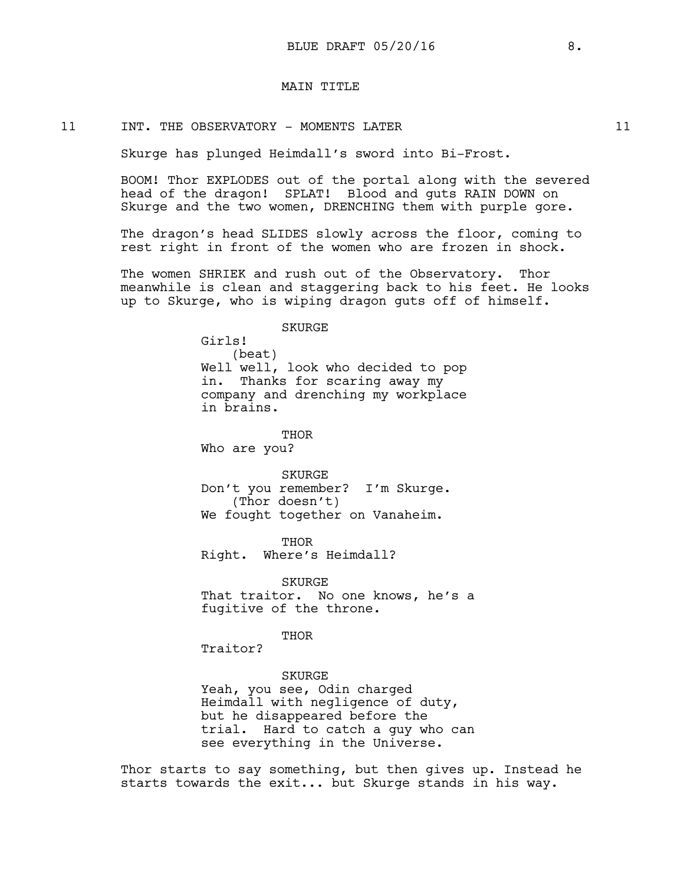## MAIN TITLE

### 11 INT. THE OBSERVATORY - MOMENTS LATER  $11$

Skurge has plunged Heimdall's sword into Bi-Frost.

BOOM! Thor EXPLODES out of the portal along with the severed head of the dragon! SPLAT! Blood and guts RAIN DOWN on Skurge and the two women, DRENCHING them with purple gore.

The dragon's head SLIDES slowly across the floor, coming to rest right in front of the women who are frozen in shock.

The women SHRIEK and rush out of the Observatory. Thor meanwhile is clean and staggering back to his feet. He looks up to Skurge, who is wiping dragon guts off of himself.

SKURGE

Girls! (beat) Well well, look who decided to pop in. Thanks for scaring away my company and drenching my workplace in brains.

THOR

Who are you?

SKURGE Don't you remember? I'm Skurge. (Thor doesn't) We fought together on Vanaheim.

THOR Right. Where's Heimdall?

SKURGE That traitor. No one knows, he's a fugitive of the throne.

THOR

Traitor?

#### SKURGE

Yeah, you see, Odin charged Heimdall with negligence of duty, but he disappeared before the trial. Hard to catch a guy who can see everything in the Universe.

Thor starts to say something, but then gives up. Instead he starts towards the exit... but Skurge stands in his way.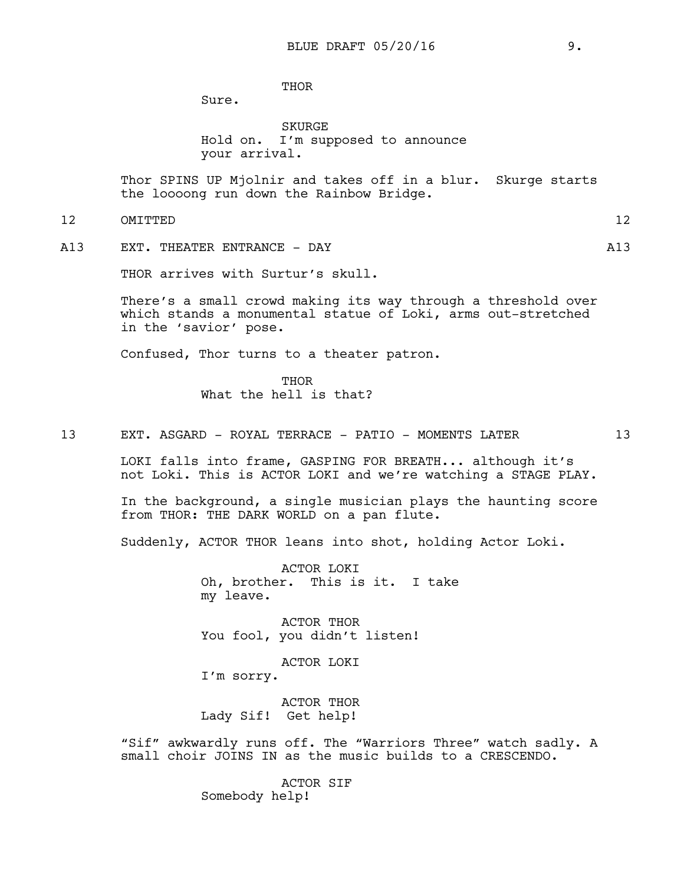**THOR** 

Sure.

SKURGE Hold on. I'm supposed to announce your arrival.

Thor SPINS UP Mjolnir and takes off in a blur. Skurge starts the loooong run down the Rainbow Bridge.

- 12 OMITTED 12
	-
- A13 EXT. THEATER ENTRANCE DAY A13

THOR arrives with Surtur's skull.

There's a small crowd making its way through a threshold over which stands a monumental statue of Loki, arms out-stretched in the 'savior' pose.

Confused, Thor turns to a theater patron.

**THOR** What the hell is that?

13 EXT. ASGARD - ROYAL TERRACE - PATIO - MOMENTS LATER 13

LOKI falls into frame, GASPING FOR BREATH... although it's not Loki. This is ACTOR LOKI and we're watching a STAGE PLAY.

In the background, a single musician plays the haunting score from THOR: THE DARK WORLD on a pan flute.

Suddenly, ACTOR THOR leans into shot, holding Actor Loki.

ACTOR LOKI Oh, brother. This is it. I take my leave.

ACTOR THOR You fool, you didn't listen!

ACTOR LOKI

I'm sorry.

ACTOR THOR Lady Sif! Get help!

"Sif" awkwardly runs off. The "Warriors Three" watch sadly. A small choir JOINS IN as the music builds to a CRESCENDO.

> ACTOR SIF Somebody help!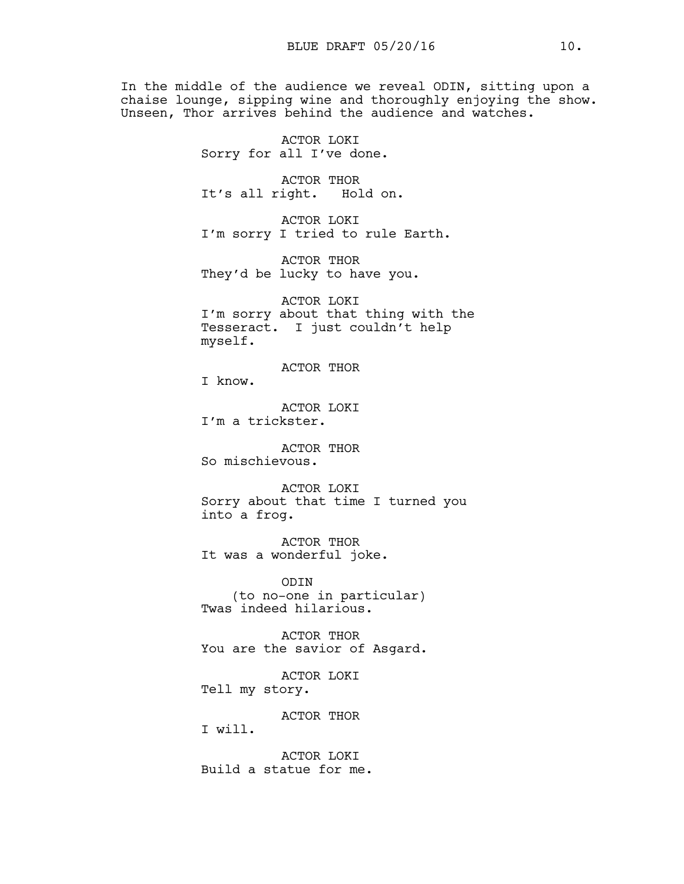In the middle of the audience we reveal ODIN, sitting upon a chaise lounge, sipping wine and thoroughly enjoying the show. Unseen, Thor arrives behind the audience and watches.

> ACTOR LOKI Sorry for all I've done.

ACTOR THOR It's all right. Hold on.

ACTOR LOKI I'm sorry I tried to rule Earth.

ACTOR THOR They'd be lucky to have you.

ACTOR LOKI I'm sorry about that thing with the Tesseract. I just couldn't help myself.

ACTOR THOR

I know.

ACTOR LOKI I'm a trickster.

ACTOR THOR So mischievous.

ACTOR LOKI Sorry about that time I turned you into a frog.

ACTOR THOR It was a wonderful joke.

ODIN (to no-one in particular) Twas indeed hilarious.

ACTOR THOR You are the savior of Asgard.

ACTOR LOKI Tell my story.

ACTOR THOR

I will.

ACTOR LOKI Build a statue for me.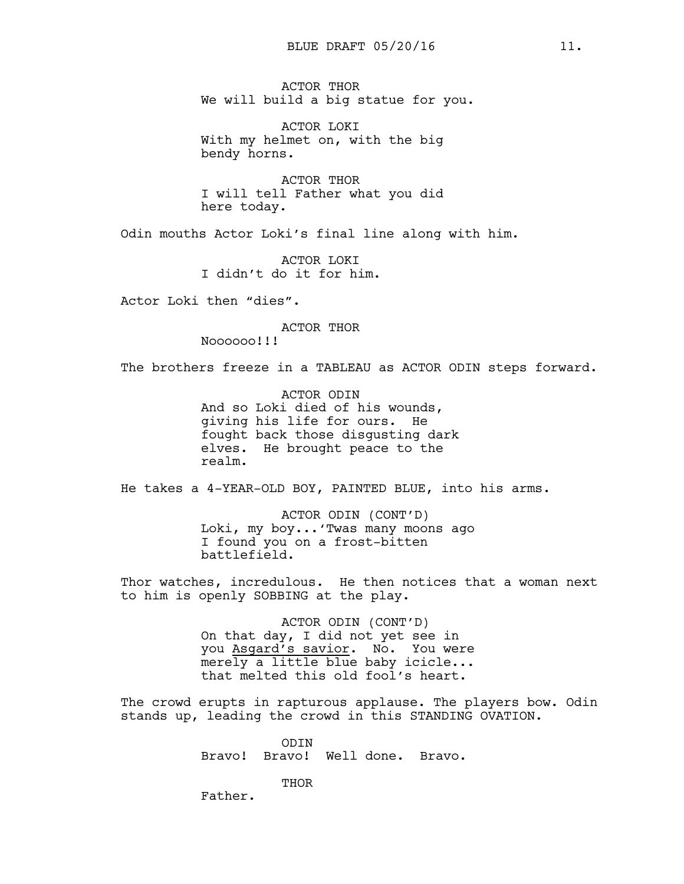ACTOR THOR We will build a big statue for you.

ACTOR LOKI With my helmet on, with the big bendy horns.

ACTOR THOR I will tell Father what you did here today.

Odin mouths Actor Loki's final line along with him.

ACTOR LOKI I didn't do it for him.

Actor Loki then "dies".

ACTOR THOR

Noooooo!!!

The brothers freeze in a TABLEAU as ACTOR ODIN steps forward.

ACTOR ODIN And so Loki died of his wounds, giving his life for ours. He fought back those disgusting dark elves. He brought peace to the realm.

He takes a 4-YEAR-OLD BOY, PAINTED BLUE, into his arms.

ACTOR ODIN (CONT'D) Loki, my boy...'Twas many moons ago I found you on a frost-bitten battlefield.

Thor watches, incredulous. He then notices that a woman next to him is openly SOBBING at the play.

> ACTOR ODIN (CONT'D) On that day, I did not yet see in you Asgard's savior. No. You were merely a little blue baby icicle... that melted this old fool's heart.

The crowd erupts in rapturous applause. The players bow. Odin stands up, leading the crowd in this STANDING OVATION.

> ODIN Bravo! Bravo! Well done. Bravo.

> > THOR

Father.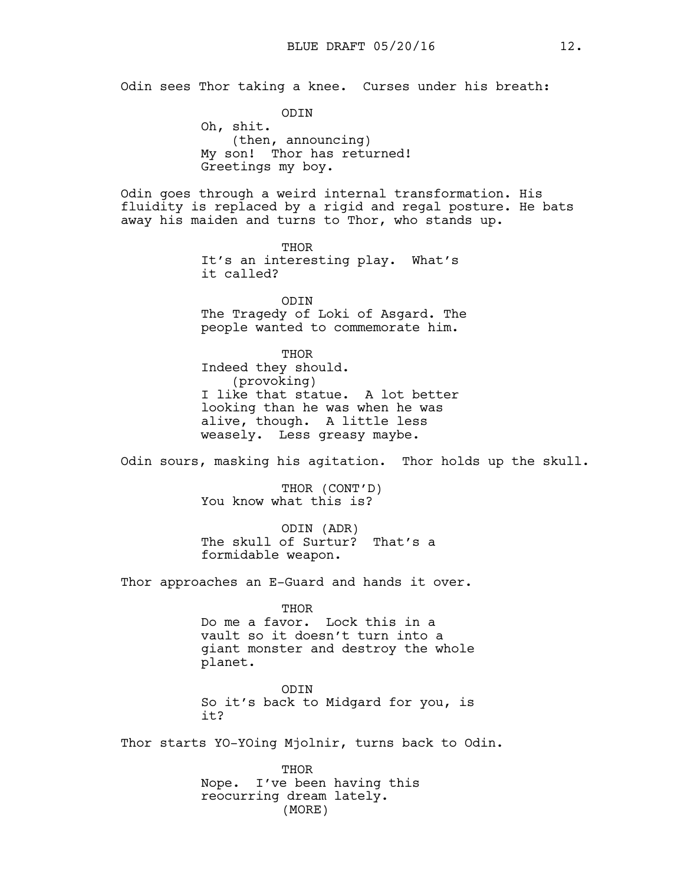Odin sees Thor taking a knee. Curses under his breath:

ODIN Oh, shit. (then, announcing) My son! Thor has returned! Greetings my boy.

Odin goes through a weird internal transformation. His fluidity is replaced by a rigid and regal posture. He bats away his maiden and turns to Thor, who stands up.

> THOR It's an interesting play. What's it called?

ODIN The Tragedy of Loki of Asgard. The people wanted to commemorate him.

THOR Indeed they should. (provoking) I like that statue. A lot better looking than he was when he was alive, though. A little less weasely. Less greasy maybe.

Odin sours, masking his agitation. Thor holds up the skull.

THOR (CONT'D) You know what this is?

ODIN (ADR) The skull of Surtur? That's a formidable weapon.

Thor approaches an E-Guard and hands it over.

THOR Do me a favor. Lock this in a vault so it doesn't turn into a giant monster and destroy the whole planet.

ODIN So it's back to Midgard for you, is it?

Thor starts YO-YOing Mjolnir, turns back to Odin.

THOR Nope. I've been having this reocurring dream lately. (MORE)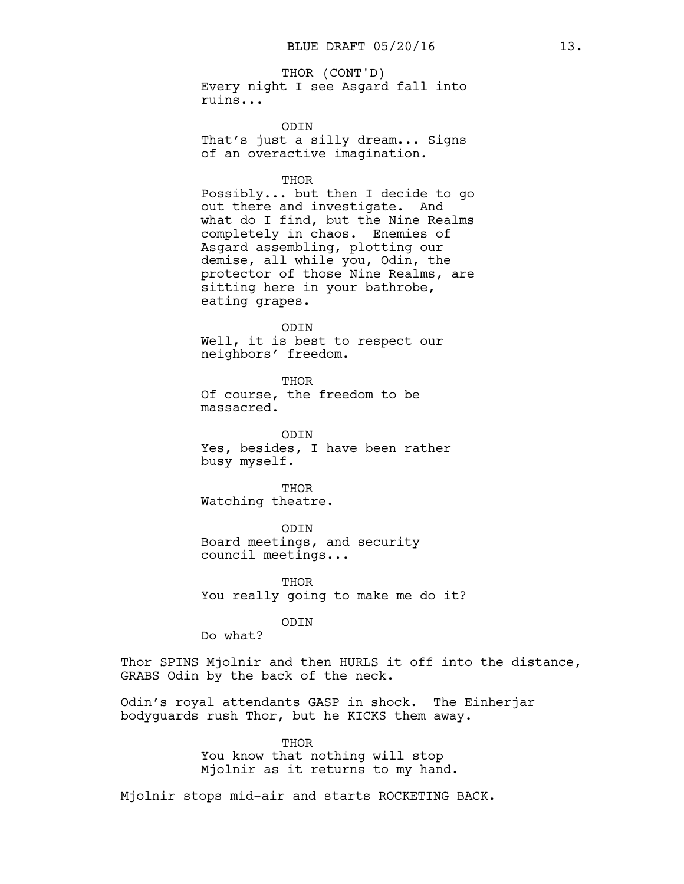Every night I see Asgard fall into ruins... THOR (CONT'D)

ODIN

That's just a silly dream... Signs of an overactive imagination.

THOR

Possibly... but then I decide to go out there and investigate. And what do I find, but the Nine Realms completely in chaos. Enemies of Asgard assembling, plotting our demise, all while you, Odin, the protector of those Nine Realms, are sitting here in your bathrobe, eating grapes.

ODIN

Well, it is best to respect our neighbors' freedom.

THOR Of course, the freedom to be massacred.

ODIN Yes, besides, I have been rather busy myself.

THOR Watching theatre.

ODIN Board meetings, and security council meetings...

**THOR** You really going to make me do it?

ODIN

Do what?

Thor SPINS Mjolnir and then HURLS it off into the distance, GRABS Odin by the back of the neck.

Odin's royal attendants GASP in shock. The Einherjar bodyguards rush Thor, but he KICKS them away.

> THOR You know that nothing will stop Mjolnir as it returns to my hand.

Mjolnir stops mid-air and starts ROCKETING BACK.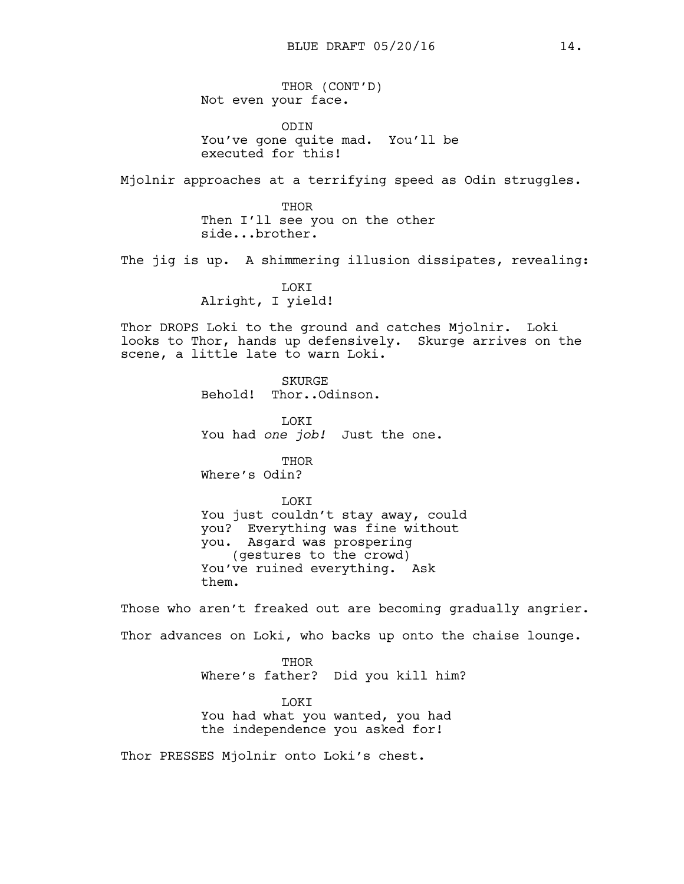THOR (CONT'D) Not even your face.

ODIN You've gone quite mad. You'll be executed for this!

Mjolnir approaches at a terrifying speed as Odin struggles.

THOR Then I'll see you on the other side...brother.

The jig is up. A shimmering illusion dissipates, revealing:

LOKI Alright, I yield!

Thor DROPS Loki to the ground and catches Mjolnir. Loki looks to Thor, hands up defensively. Skurge arrives on the scene, a little late to warn Loki.

> **SKURGE** Behold! Thor..Odinson.

**T.OKT** You had *one job!* Just the one.

THOR Where's Odin?

**LOKT** You just couldn't stay away, could you? Everything was fine without you. Asgard was prospering (gestures to the crowd) You've ruined everything. Ask them.

Those who aren't freaked out are becoming gradually angrier. Thor advances on Loki, who backs up onto the chaise lounge.

> THOR Where's father? Did you kill him?

**TOKT** You had what you wanted, you had the independence you asked for!

Thor PRESSES Mjolnir onto Loki's chest.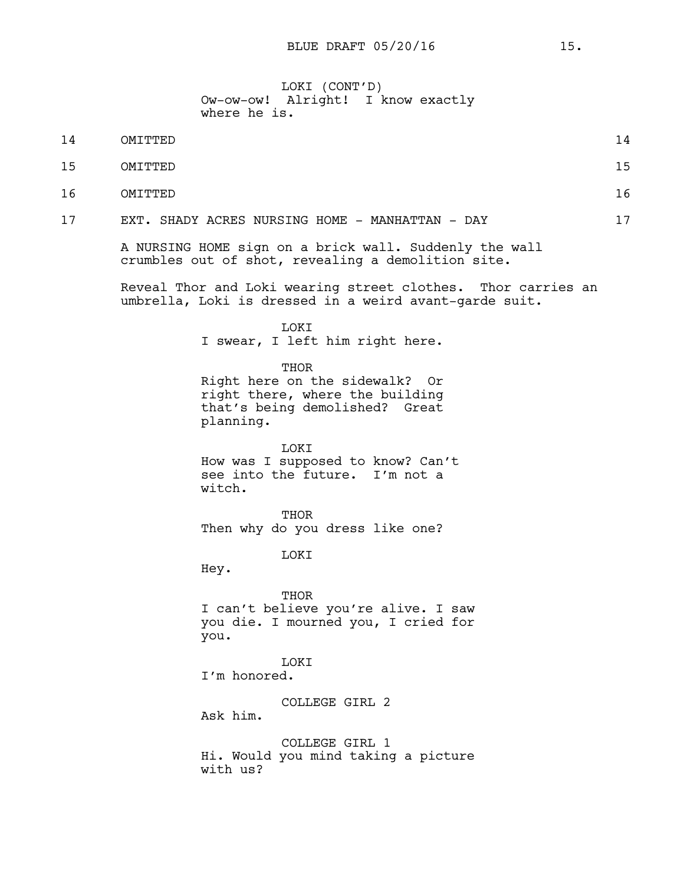LOKI (CONT'D) Ow-ow-ow! Alright! I know exactly where he is.

- 15 OMITTED 15
- 16 OMITTED 16
- 17 EXT. SHADY ACRES NURSING HOME MANHATTAN DAY 17

A NURSING HOME sign on a brick wall. Suddenly the wall crumbles out of shot, revealing a demolition site.

Reveal Thor and Loki wearing street clothes. Thor carries an umbrella, Loki is dressed in a weird avant-garde suit.

LOKI

I swear, I left him right here.

THOR

Right here on the sidewalk? Or right there, where the building that's being demolished? Great planning.

LOKI How was I supposed to know? Can't see into the future. I'm not a witch.

THOR Then why do you dress like one?

**T.OKT** 

Hey.

**THOR** 

I can't believe you're alive. I saw you die. I mourned you, I cried for you.

LOKI I'm honored.

COLLEGE GIRL 2 Ask him.

COLLEGE GIRL 1 Hi. Would you mind taking a picture with us?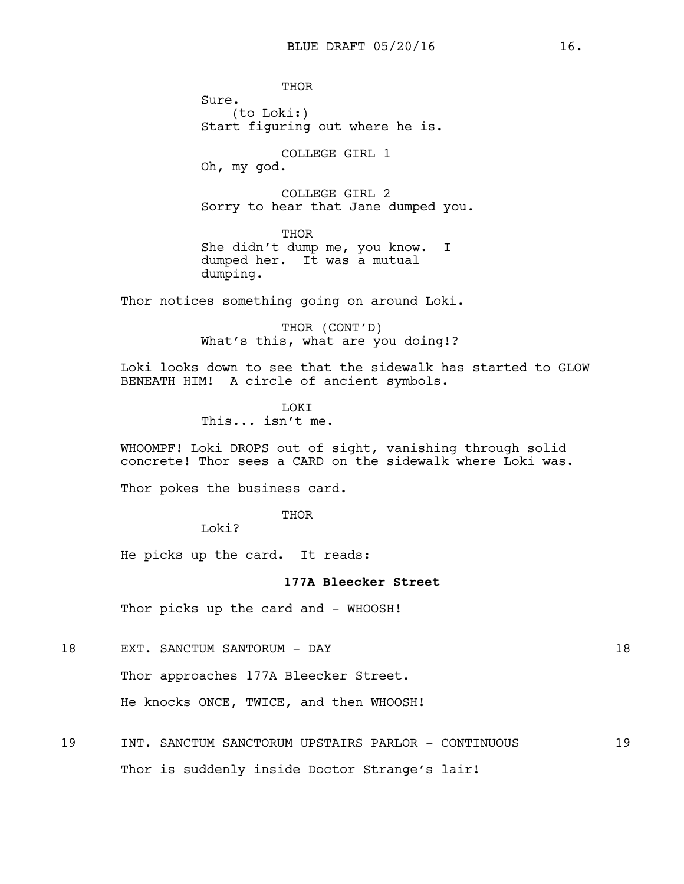**THOR** Sure. (to Loki:) Start figuring out where he is. COLLEGE GIRL 1

Oh, my god.

COLLEGE GIRL 2 Sorry to hear that Jane dumped you.

THOR She didn't dump me, you know. I dumped her. It was a mutual dumping.

Thor notices something going on around Loki.

THOR (CONT'D) What's this, what are you doing!?

Loki looks down to see that the sidewalk has started to GLOW BENEATH HIM! A circle of ancient symbols.

> **T.OKT** This... isn't me.

WHOOMPF! Loki DROPS out of sight, vanishing through solid concrete! Thor sees a CARD on the sidewalk where Loki was.

Thor pokes the business card.

THOR

Loki?

He picks up the card. It reads:

### **177A Bleecker Street**

Thor picks up the card and - WHOOSH!

18 EXT. SANCTUM SANTORUM - DAY 18

Thor approaches 177A Bleecker Street.

He knocks ONCE, TWICE, and then WHOOSH!

19 INT. SANCTUM SANCTORUM UPSTAIRS PARLOR - CONTINUOUS 19 Thor is suddenly inside Doctor Strange's lair!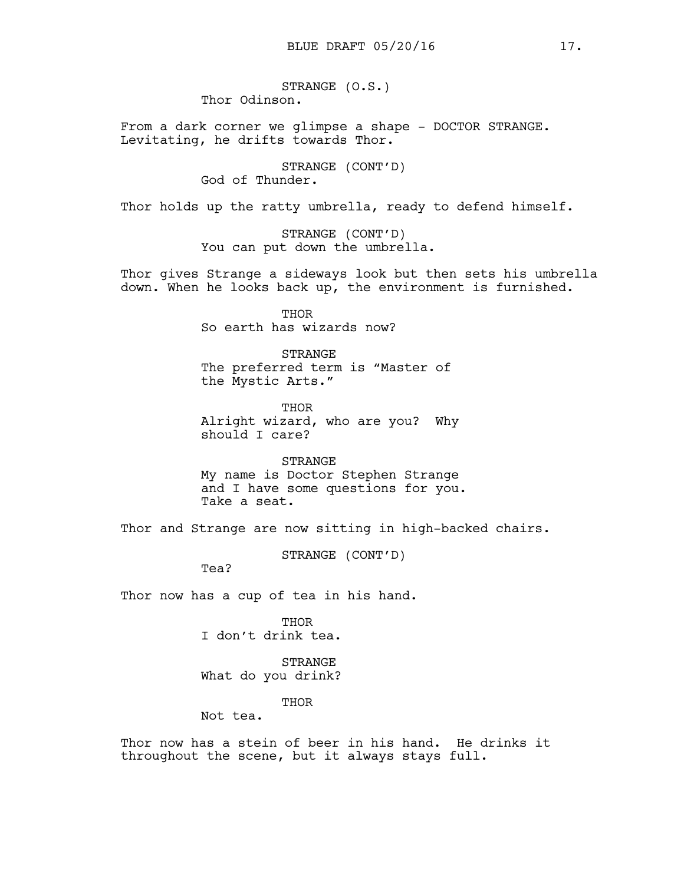STRANGE (O.S.) Thor Odinson.

From a dark corner we glimpse a shape - DOCTOR STRANGE. Levitating, he drifts towards Thor.

> STRANGE (CONT'D) God of Thunder.

Thor holds up the ratty umbrella, ready to defend himself.

STRANGE (CONT'D) You can put down the umbrella.

Thor gives Strange a sideways look but then sets his umbrella down. When he looks back up, the environment is furnished.

> THOR So earth has wizards now?

**STRANGE** The preferred term is "Master of the Mystic Arts."

THOR Alright wizard, who are you? Why should I care?

STRANGE My name is Doctor Stephen Strange and I have some questions for you. Take a seat.

Thor and Strange are now sitting in high-backed chairs.

STRANGE (CONT'D)

Tea?

Thor now has a cup of tea in his hand.

THOR I don't drink tea.

STRANGE What do you drink?

THOR

Not tea.

Thor now has a stein of beer in his hand. He drinks it throughout the scene, but it always stays full.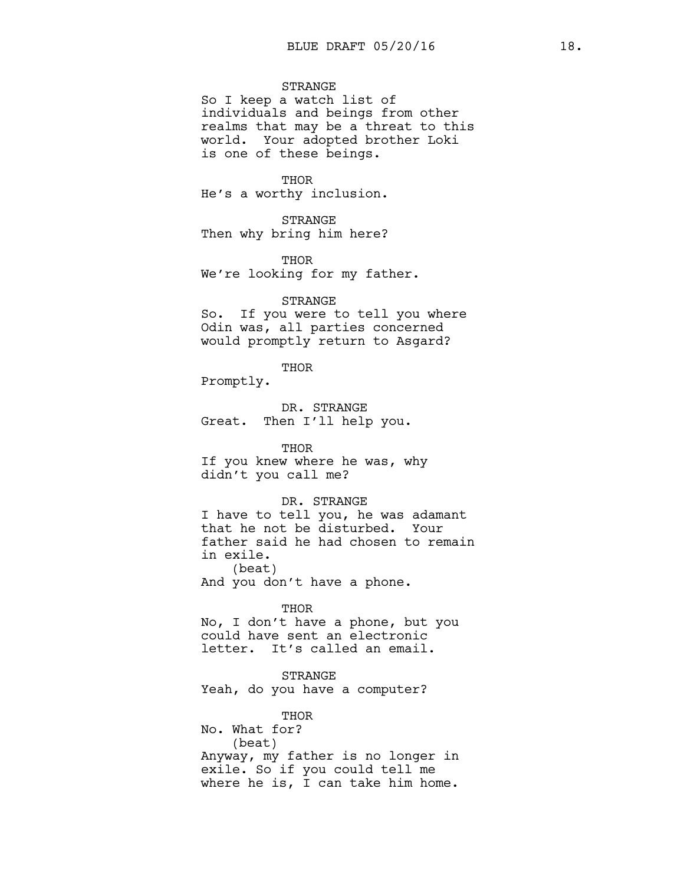## STRANGE

So I keep a watch list of individuals and beings from other realms that may be a threat to this world. Your adopted brother Loki is one of these beings.

#### **THOR**

He's a worthy inclusion.

STRANGE Then why bring him here?

THOR We're looking for my father.

### STRANGE

So. If you were to tell you where Odin was, all parties concerned would promptly return to Asgard?

#### THOR

Promptly.

DR. STRANGE Great. Then I'll help you.

### THOR

If you knew where he was, why didn't you call me?

## DR. STRANGE

I have to tell you, he was adamant that he not be disturbed. Your father said he had chosen to remain in exile. (beat)

And you don't have a phone.

#### THOR

No, I don't have a phone, but you could have sent an electronic letter. It's called an email.

### STRANGE

Yeah, do you have a computer?

THOR

No. What for? (beat) Anyway, my father is no longer in exile. So if you could tell me where he is, I can take him home.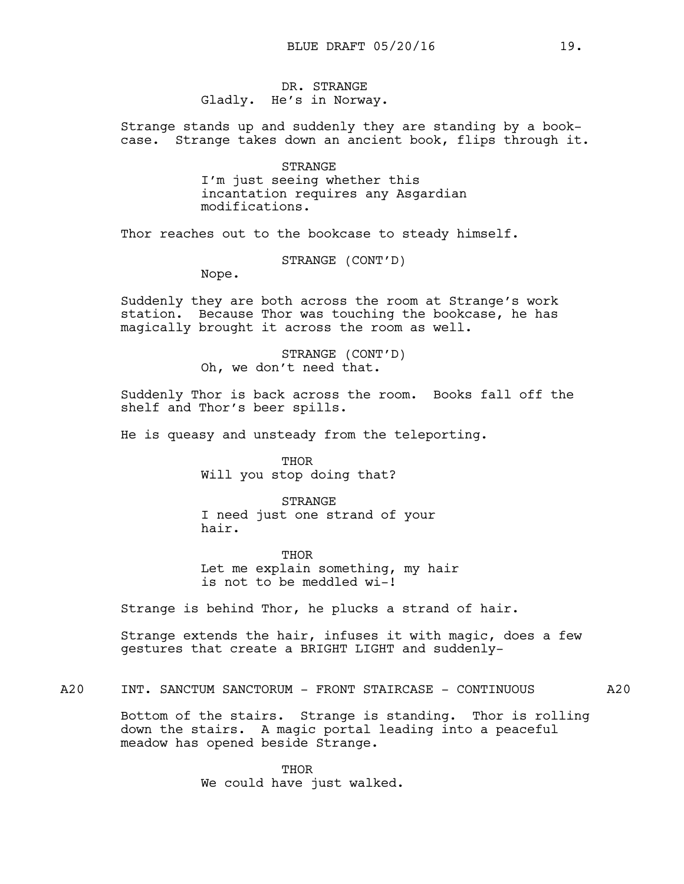DR. STRANGE Gladly. He's in Norway.

Strange stands up and suddenly they are standing by a bookcase. Strange takes down an ancient book, flips through it.

> STRANGE I'm just seeing whether this incantation requires any Asgardian modifications.

Thor reaches out to the bookcase to steady himself.

STRANGE (CONT'D)

Nope.

Suddenly they are both across the room at Strange's work station. Because Thor was touching the bookcase, he has magically brought it across the room as well.

> STRANGE (CONT'D) Oh, we don't need that.

Suddenly Thor is back across the room. Books fall off the shelf and Thor's beer spills.

He is queasy and unsteady from the teleporting.

THOR Will you stop doing that?

STRANGE I need just one strand of your hair.

THOR Let me explain something, my hair is not to be meddled wi-!

Strange is behind Thor, he plucks a strand of hair.

Strange extends the hair, infuses it with magic, does a few gestures that create a BRIGHT LIGHT and suddenly-

A20 INT. SANCTUM SANCTORUM - FRONT STAIRCASE - CONTINUOUS A20

Bottom of the stairs. Strange is standing. Thor is rolling down the stairs. A magic portal leading into a peaceful meadow has opened beside Strange.

> THOR We could have just walked.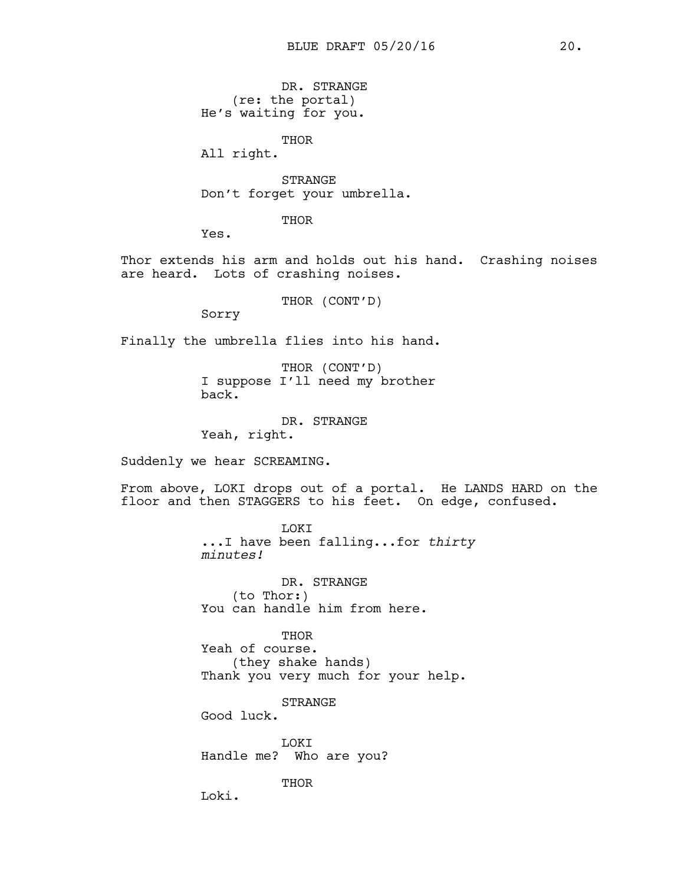DR. STRANGE (re: the portal) He's waiting for you.

THOR

All right.

STRANGE Don't forget your umbrella.

THOR

Yes.

Thor extends his arm and holds out his hand. Crashing noises are heard. Lots of crashing noises.

THOR (CONT'D)

Sorry

Finally the umbrella flies into his hand.

THOR (CONT'D) I suppose I'll need my brother back.

DR. STRANGE Yeah, right.

Suddenly we hear SCREAMING.

From above, LOKI drops out of a portal. He LANDS HARD on the floor and then STAGGERS to his feet. On edge, confused.

> LOKI ...I have been falling...for *thirty minutes!*

DR. STRANGE (to Thor:) You can handle him from here.

THOR Yeah of course. (they shake hands) Thank you very much for your help.

**STRANGE** Good luck.

LOKI Handle me? Who are you?

THOR

Loki.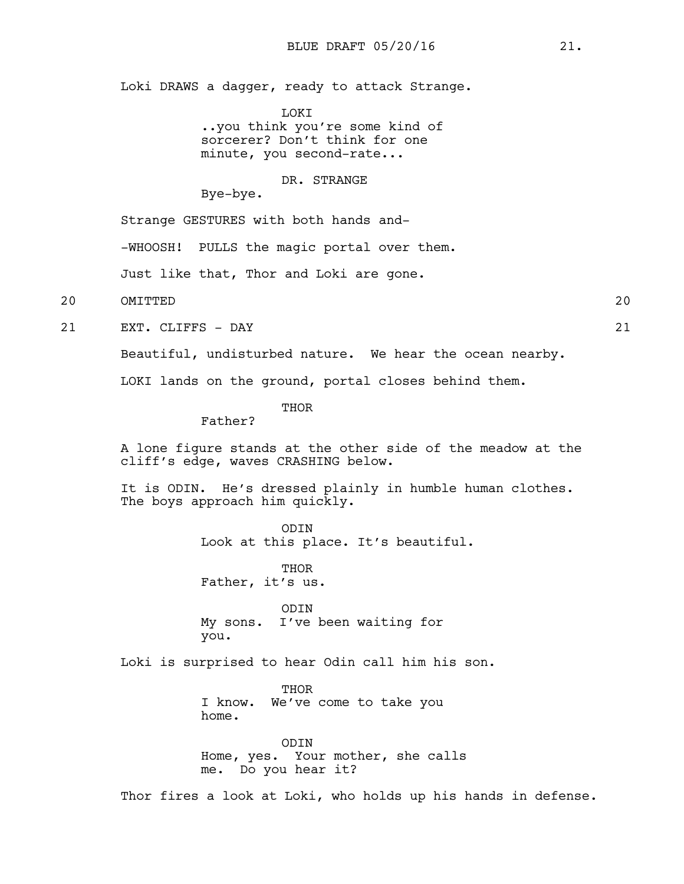Loki DRAWS a dagger, ready to attack Strange.

**LOKT** 

..you think you're some kind of sorcerer? Don't think for one minute, you second-rate...

### DR. STRANGE

Bye-bye.

Strange GESTURES with both hands and-

-WHOOSH! PULLS the magic portal over them.

Just like that, Thor and Loki are gone.

20 OMITTED 20

21 EXT. CLIFFS - DAY 21

Beautiful, undisturbed nature. We hear the ocean nearby.

LOKI lands on the ground, portal closes behind them.

**THOR** 

Father?

A lone figure stands at the other side of the meadow at the cliff's edge, waves CRASHING below.

It is ODIN. He's dressed plainly in humble human clothes. The boys approach him quickly.

> ODIN Look at this place. It's beautiful.

THOR Father, it's us.

ODIN My sons. I've been waiting for you.

Loki is surprised to hear Odin call him his son.

**THOR** I know. We've come to take you home.

ODIN Home, yes. Your mother, she calls me. Do you hear it?

Thor fires a look at Loki, who holds up his hands in defense.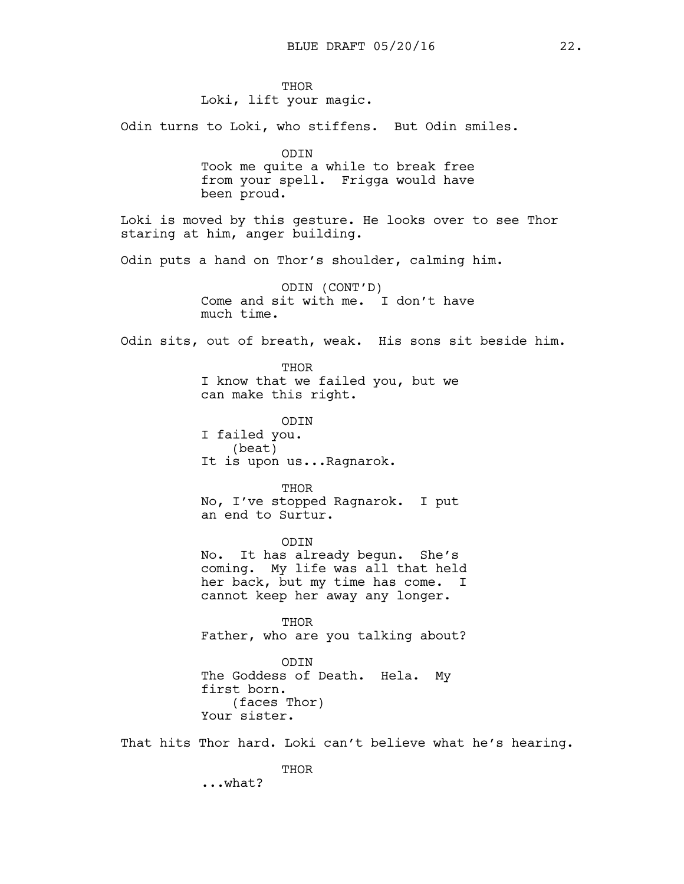**THOR** Loki, lift your magic.

Odin turns to Loki, who stiffens. But Odin smiles.

ODIN Took me quite a while to break free from your spell. Frigga would have been proud.

Loki is moved by this gesture. He looks over to see Thor staring at him, anger building.

Odin puts a hand on Thor's shoulder, calming him.

ODIN (CONT'D) Come and sit with me. I don't have much time.

Odin sits, out of breath, weak. His sons sit beside him.

THOR I know that we failed you, but we can make this right.

ODIN I failed you. (beat) It is upon us...Ragnarok.

THOR No, I've stopped Ragnarok. I put an end to Surtur.

ODIN No. It has already begun. She's coming. My life was all that held her back, but my time has come. I cannot keep her away any longer.

THOR Father, who are you talking about?

ODIN The Goddess of Death. Hela. My first born. (faces Thor) Your sister.

That hits Thor hard. Loki can't believe what he's hearing.

THOR

...what?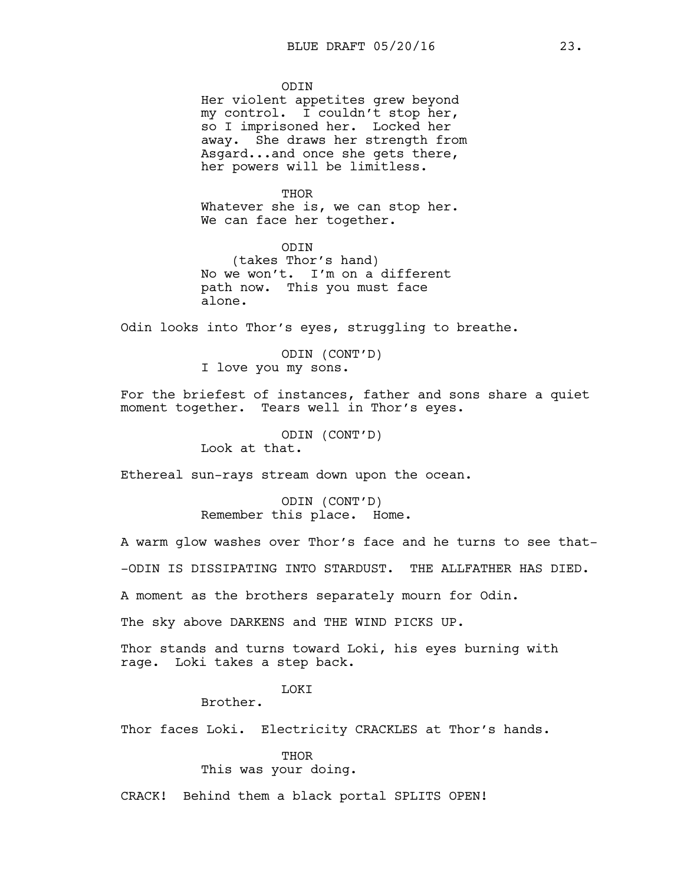**ODTN** 

Her violent appetites grew beyond my control. I couldn't stop her, so I imprisoned her. Locked her away. She draws her strength from Asgard...and once she gets there, her powers will be limitless.

**THOR** 

Whatever she is, we can stop her. We can face her together.

ODIN (takes Thor's hand) No we won't. I'm on a different path now. This you must face alone.

Odin looks into Thor's eyes, struggling to breathe.

ODIN (CONT'D) I love you my sons.

For the briefest of instances, father and sons share a quiet moment together. Tears well in Thor's eyes.

ODIN (CONT'D)

Look at that.

Ethereal sun-rays stream down upon the ocean.

ODIN (CONT'D) Remember this place. Home.

A warm glow washes over Thor's face and he turns to see that- -ODIN IS DISSIPATING INTO STARDUST. THE ALLFATHER HAS DIED.

A moment as the brothers separately mourn for Odin.

The sky above DARKENS and THE WIND PICKS UP.

Thor stands and turns toward Loki, his eyes burning with rage. Loki takes a step back.

LOKI

Brother.

Thor faces Loki. Electricity CRACKLES at Thor's hands.

THOR This was your doing.

CRACK! Behind them a black portal SPLITS OPEN!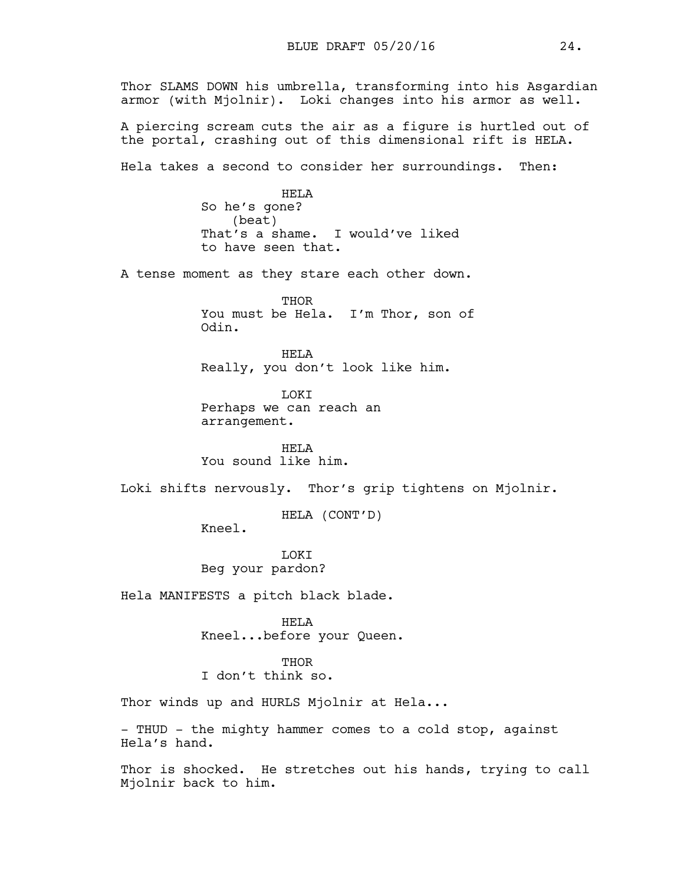Thor SLAMS DOWN his umbrella, transforming into his Asgardian armor (with Mjolnir). Loki changes into his armor as well. A piercing scream cuts the air as a figure is hurtled out of the portal, crashing out of this dimensional rift is HELA. Hela takes a second to consider her surroundings. Then: HELA So he's gone? (beat) That's a shame. I would've liked to have seen that. A tense moment as they stare each other down. **THOR** You must be Hela. I'm Thor, son of Odin. HELA Really, you don't look like him. LOKI Perhaps we can reach an arrangement. HELA You sound like him. Loki shifts nervously. Thor's grip tightens on Mjolnir. HELA (CONT'D) Kneel. **T.OKT** Beg your pardon? Hela MANIFESTS a pitch black blade. HELA Kneel...before your Queen. **THOR** I don't think so. Thor winds up and HURLS Mjolnir at Hela... - THUD - the mighty hammer comes to a cold stop, against

Thor is shocked. He stretches out his hands, trying to call Mjolnir back to him.

Hela's hand.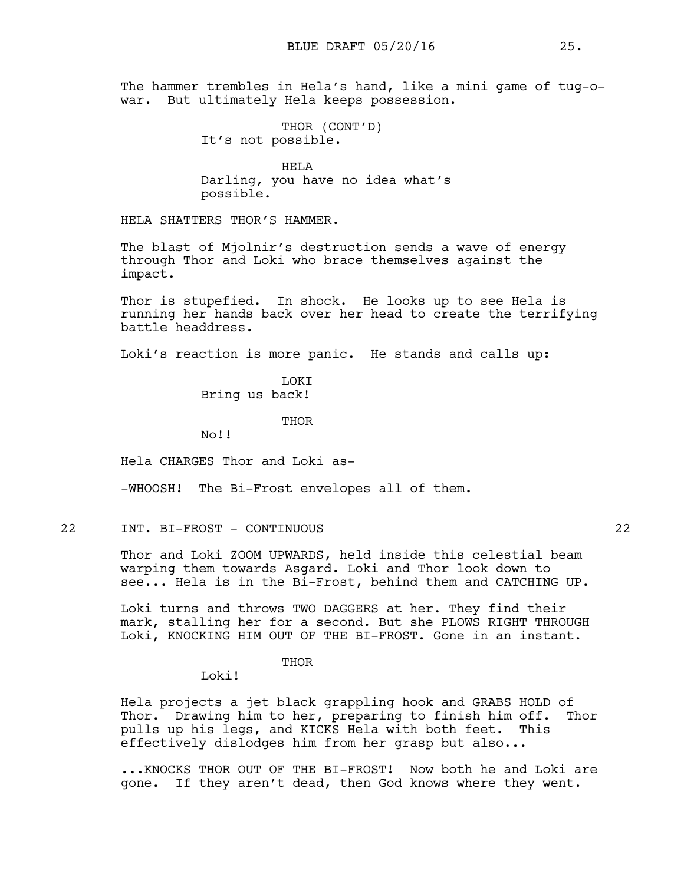The hammer trembles in Hela's hand, like a mini game of tug-owar. But ultimately Hela keeps possession.

> THOR (CONT'D) It's not possible.

HELA Darling, you have no idea what's possible.

HELA SHATTERS THOR'S HAMMER.

The blast of Mjolnir's destruction sends a wave of energy through Thor and Loki who brace themselves against the impact.

Thor is stupefied. In shock. He looks up to see Hela is running her hands back over her head to create the terrifying battle headdress.

Loki's reaction is more panic. He stands and calls up:

**T.OKT** Bring us back!

THOR

No!!

Hela CHARGES Thor and Loki as-

-WHOOSH! The Bi-Frost envelopes all of them.

## 22 INT. BI-FROST - CONTINUOUS 22

Thor and Loki ZOOM UPWARDS, held inside this celestial beam warping them towards Asgard. Loki and Thor look down to see... Hela is in the Bi-Frost, behind them and CATCHING UP.

Loki turns and throws TWO DAGGERS at her. They find their mark, stalling her for a second. But she PLOWS RIGHT THROUGH Loki, KNOCKING HIM OUT OF THE BI-FROST. Gone in an instant.

THOR

Loki!

Hela projects a jet black grappling hook and GRABS HOLD of Thor. Drawing him to her, preparing to finish him off. Thor pulls up his legs, and KICKS Hela with both feet. This effectively dislodges him from her grasp but also...

...KNOCKS THOR OUT OF THE BI-FROST! Now both he and Loki are gone. If they aren't dead, then God knows where they went.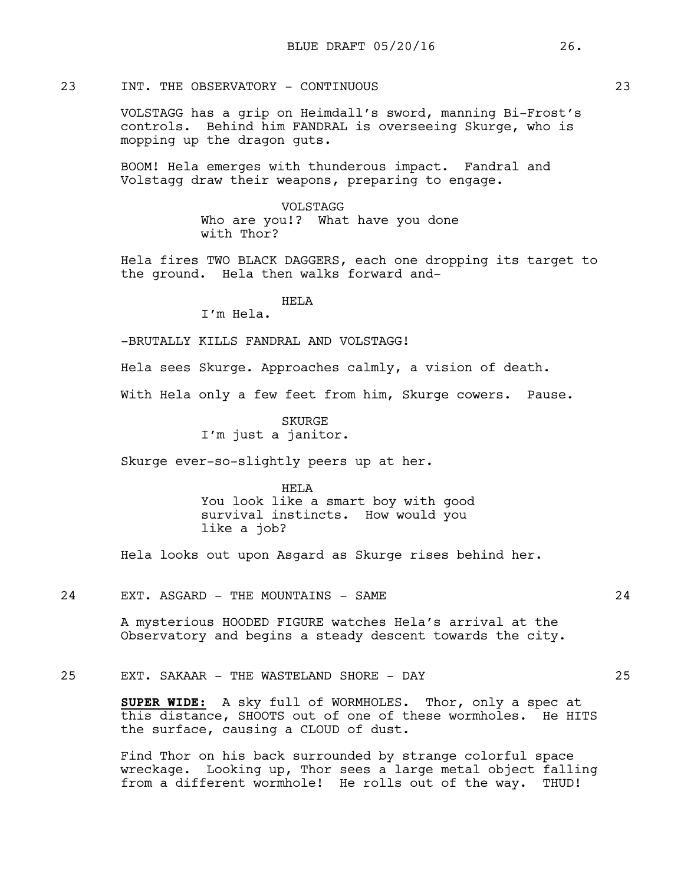# 23 INT. THE OBSERVATORY - CONTINUOUS 23

VOLSTAGG has a grip on Heimdall's sword, manning Bi-Frost's controls. Behind him FANDRAL is overseeing Skurge, who is mopping up the dragon guts.

BOOM! Hela emerges with thunderous impact. Fandral and Volstagg draw their weapons, preparing to engage.

> VOLSTAGG Who are you!? What have you done with Thor?

Hela fires TWO BLACK DAGGERS, each one dropping its target to the ground. Hela then walks forward and-

# HELA

I'm Hela.

-BRUTALLY KILLS FANDRAL AND VOLSTAGG!

Hela sees Skurge. Approaches calmly, a vision of death.

With Hela only a few feet from him, Skurge cowers. Pause.

SKURGE I'm just a janitor.

Skurge ever-so-slightly peers up at her.

HELA You look like a smart boy with good survival instincts. How would you like a job?

Hela looks out upon Asgard as Skurge rises behind her.

### 24 EXT. ASGARD - THE MOUNTAINS - SAME  $24$

A mysterious HOODED FIGURE watches Hela's arrival at the Observatory and begins a steady descent towards the city.

### 25 EXT. SAKAAR - THE WASTELAND SHORE - DAY 25

**SUPER WIDE:** A sky full of WORMHOLES. Thor, only a spec at this distance, SHOOTS out of one of these wormholes. He HITS the surface, causing a CLOUD of dust.

Find Thor on his back surrounded by strange colorful space wreckage. Looking up, Thor sees a large metal object falling from a different wormhole! He rolls out of the way. THUD!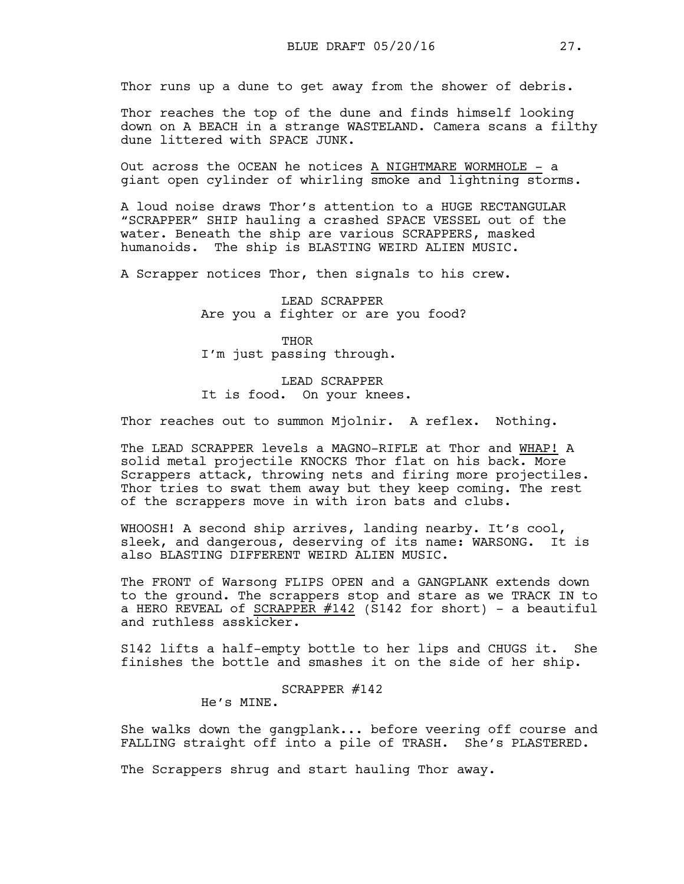Thor runs up a dune to get away from the shower of debris.

Thor reaches the top of the dune and finds himself looking down on A BEACH in a strange WASTELAND. Camera scans a filthy dune littered with SPACE JUNK.

Out across the OCEAN he notices A NIGHTMARE WORMHOLE - a giant open cylinder of whirling smoke and lightning storms.

A loud noise draws Thor's attention to a HUGE RECTANGULAR "SCRAPPER" SHIP hauling a crashed SPACE VESSEL out of the water. Beneath the ship are various SCRAPPERS, masked humanoids. The ship is BLASTING WEIRD ALIEN MUSIC.

A Scrapper notices Thor, then signals to his crew.

LEAD SCRAPPER Are you a fighter or are you food?

THOR I'm just passing through.

LEAD SCRAPPER It is food. On your knees.

Thor reaches out to summon Mjolnir. A reflex. Nothing.

The LEAD SCRAPPER levels a MAGNO-RIFLE at Thor and WHAP! A solid metal projectile KNOCKS Thor flat on his back. More Scrappers attack, throwing nets and firing more projectiles. Thor tries to swat them away but they keep coming. The rest of the scrappers move in with iron bats and clubs.

WHOOSH! A second ship arrives, landing nearby. It's cool, sleek, and dangerous, deserving of its name: WARSONG. It is also BLASTING DIFFERENT WEIRD ALIEN MUSIC.

The FRONT of Warsong FLIPS OPEN and a GANGPLANK extends down to the ground. The scrappers stop and stare as we TRACK IN to a HERO REVEAL of SCRAPPER  $#142$  (S142 for short) - a beautiful and ruthless asskicker.

S142 lifts a half-empty bottle to her lips and CHUGS it. She finishes the bottle and smashes it on the side of her ship.

SCRAPPER #142

He's MINE.

She walks down the gangplank... before veering off course and FALLING straight off into a pile of TRASH. She's PLASTERED.

The Scrappers shrug and start hauling Thor away.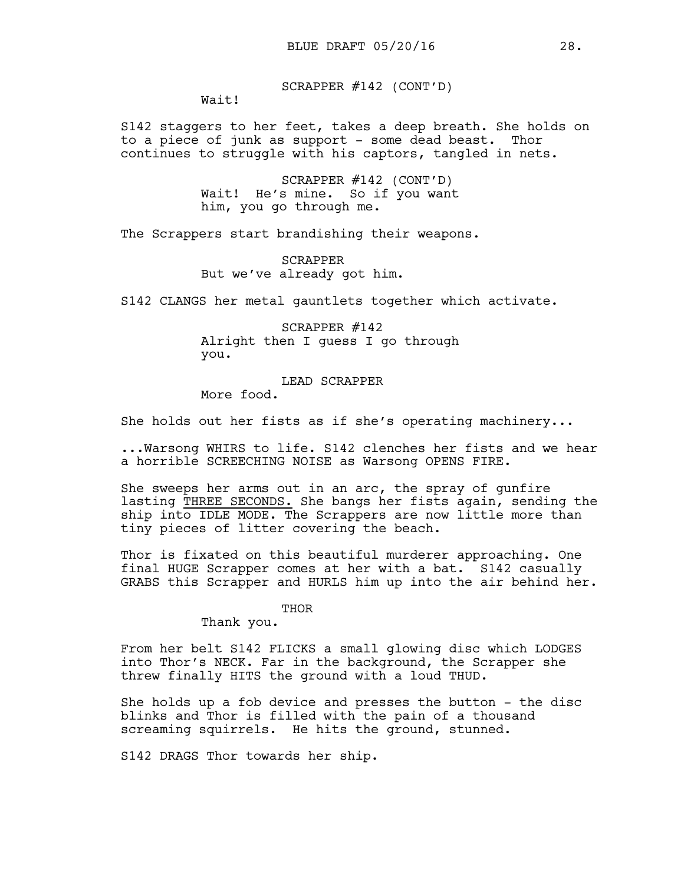SCRAPPER #142 (CONT'D)

Wait!

S142 staggers to her feet, takes a deep breath. She holds on to a piece of junk as support - some dead beast. Thor continues to struggle with his captors, tangled in nets.

> SCRAPPER #142 (CONT'D) Wait! He's mine. So if you want him, you go through me.

The Scrappers start brandishing their weapons.

SCRAPPER But we've already got him.

S142 CLANGS her metal gauntlets together which activate.

SCRAPPER #142 Alright then I guess I go through you.

LEAD SCRAPPER

More food.

She holds out her fists as if she's operating machinery...

...Warsong WHIRS to life. S142 clenches her fists and we hear a horrible SCREECHING NOISE as Warsong OPENS FIRE.

She sweeps her arms out in an arc, the spray of gunfire lasting THREE SECONDS. She bangs her fists again, sending the ship into IDLE MODE. The Scrappers are now little more than tiny pieces of litter covering the beach.

Thor is fixated on this beautiful murderer approaching. One final HUGE Scrapper comes at her with a bat. S142 casually GRABS this Scrapper and HURLS him up into the air behind her.

THOR

Thank you.

From her belt S142 FLICKS a small glowing disc which LODGES into Thor's NECK. Far in the background, the Scrapper she threw finally HITS the ground with a loud THUD.

She holds up a fob device and presses the button - the disc blinks and Thor is filled with the pain of a thousand screaming squirrels. He hits the ground, stunned.

S142 DRAGS Thor towards her ship.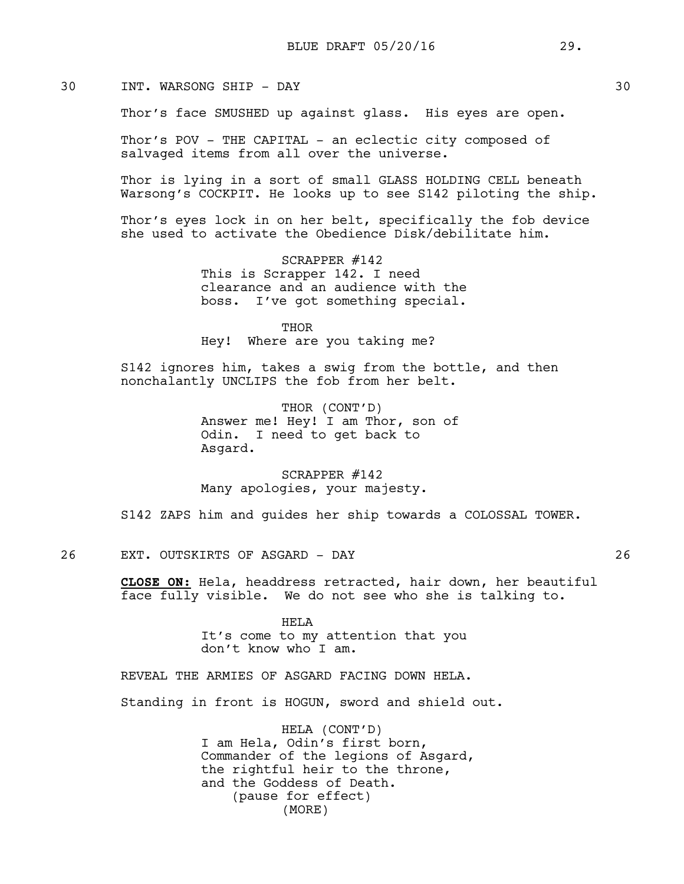# 30 INT. WARSONG SHIP - DAY 30

Thor's face SMUSHED up against glass. His eyes are open.

Thor's POV - THE CAPITAL - an eclectic city composed of salvaged items from all over the universe.

Thor is lying in a sort of small GLASS HOLDING CELL beneath Warsong's COCKPIT. He looks up to see S142 piloting the ship.

Thor's eyes lock in on her belt, specifically the fob device she used to activate the Obedience Disk/debilitate him.

> SCRAPPER #142 This is Scrapper 142. I need clearance and an audience with the boss. I've got something special.

THOR Hey! Where are you taking me?

S142 ignores him, takes a swig from the bottle, and then nonchalantly UNCLIPS the fob from her belt.

> THOR (CONT'D) Answer me! Hey! I am Thor, son of Odin. I need to get back to Asgard.

SCRAPPER #142 Many apologies, your majesty.

S142 ZAPS him and guides her ship towards a COLOSSAL TOWER.

26 EXT. OUTSKIRTS OF ASGARD - DAY 26

**CLOSE ON:** Hela, headdress retracted, hair down, her beautiful face fully visible. We do not see who she is talking to.

> HELA It's come to my attention that you don't know who I am.

REVEAL THE ARMIES OF ASGARD FACING DOWN HELA.

Standing in front is HOGUN, sword and shield out.

HELA (CONT'D) I am Hela, Odin's first born, Commander of the legions of Asgard, the rightful heir to the throne, and the Goddess of Death. (pause for effect) (MORE)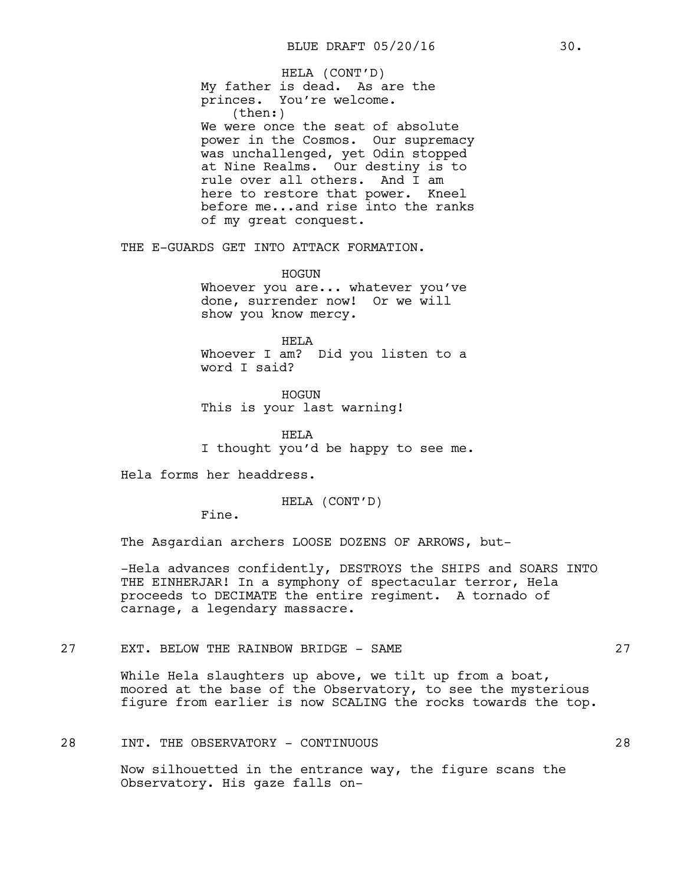My father is dead. As are the princes. You're welcome. (then:) We were once the seat of absolute power in the Cosmos. Our supremacy was unchallenged, yet Odin stopped at Nine Realms. Our destiny is to rule over all others. And I am here to restore that power. Kneel before me...and rise into the ranks of my great conquest. HELA (CONT'D)

THE E-GUARDS GET INTO ATTACK FORMATION.

HOGUN Whoever you are... whatever you've done, surrender now! Or we will show you know mercy.

HELA Whoever I am? Did you listen to a word I said?

HOGUN This is your last warning!

HELA I thought you'd be happy to see me.

Hela forms her headdress.

HELA (CONT'D)

Fine.

The Asgardian archers LOOSE DOZENS OF ARROWS, but-

-Hela advances confidently, DESTROYS the SHIPS and SOARS INTO THE EINHERJAR! In a symphony of spectacular terror, Hela proceeds to DECIMATE the entire regiment. A tornado of carnage, a legendary massacre.

27 EXT. BELOW THE RAINBOW BRIDGE - SAME 27

While Hela slaughters up above, we tilt up from a boat, moored at the base of the Observatory, to see the mysterious figure from earlier is now SCALING the rocks towards the top.

# 28 INT. THE OBSERVATORY - CONTINUOUS 28

Now silhouetted in the entrance way, the figure scans the Observatory. His gaze falls on-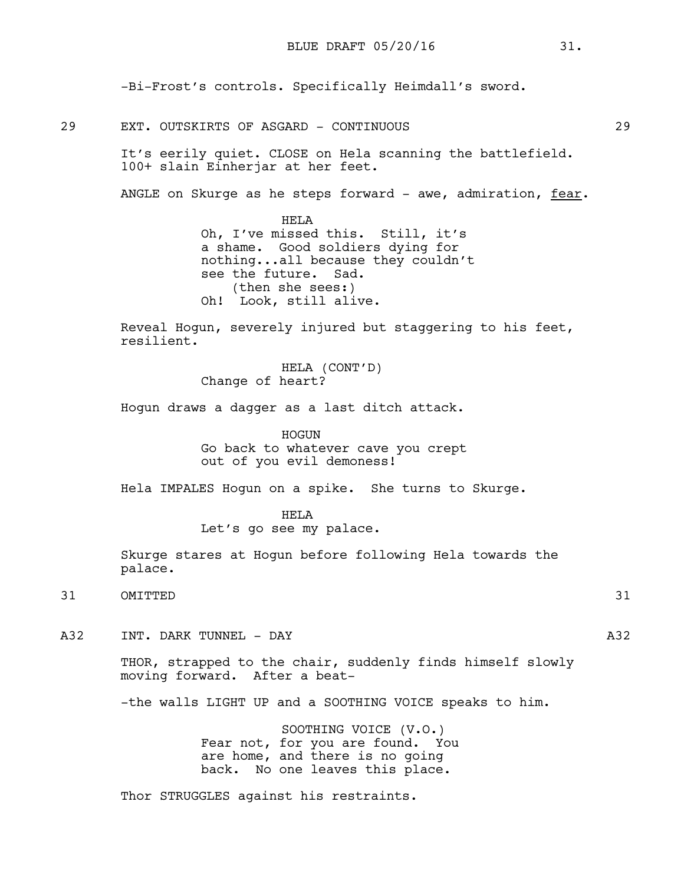-Bi-Frost's controls. Specifically Heimdall's sword.

29 EXT. OUTSKIRTS OF ASGARD - CONTINUOUS 29

It's eerily quiet. CLOSE on Hela scanning the battlefield. 100+ slain Einherjar at her feet.

ANGLE on Skurge as he steps forward - awe, admiration, fear.

HELA Oh, I've missed this. Still, it's a shame. Good soldiers dying for nothing...all because they couldn't see the future. Sad. (then she sees:) Oh! Look, still alive.

Reveal Hogun, severely injured but staggering to his feet, resilient.

> HELA (CONT'D) Change of heart?

Hogun draws a dagger as a last ditch attack.

HOGUN Go back to whatever cave you crept out of you evil demoness!

Hela IMPALES Hogun on a spike. She turns to Skurge.

HELA Let's go see my palace.

Skurge stares at Hogun before following Hela towards the palace.

31 OMITTED 31

A32 INT. DARK TUNNEL - DAY A32

THOR, strapped to the chair, suddenly finds himself slowly moving forward. After a beat-

-the walls LIGHT UP and a SOOTHING VOICE speaks to him.

SOOTHING VOICE (V.O.) Fear not, for you are found. You are home, and there is no going back. No one leaves this place.

Thor STRUGGLES against his restraints.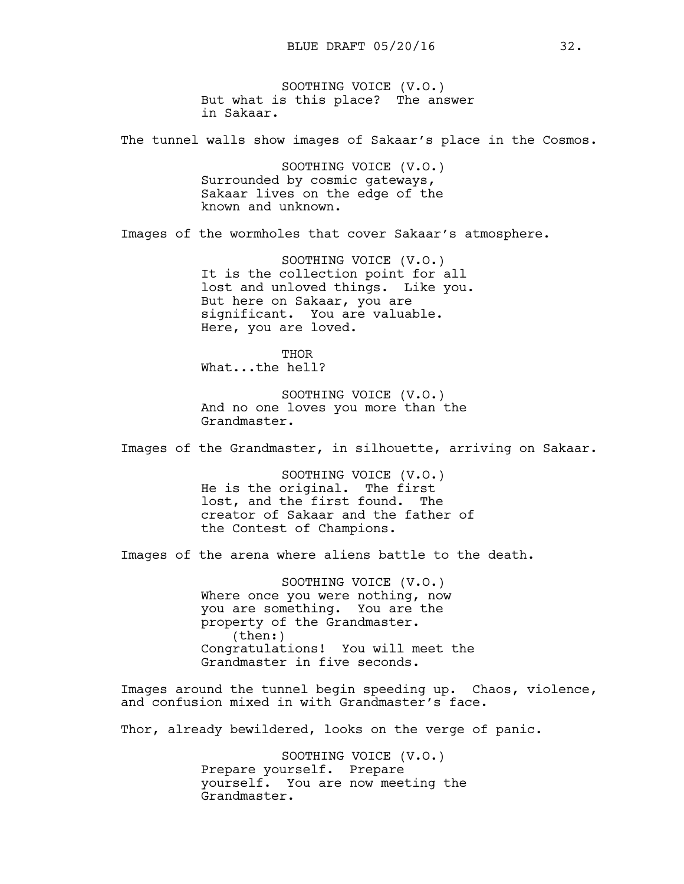SOOTHING VOICE (V.O.) But what is this place? The answer in Sakaar.

The tunnel walls show images of Sakaar's place in the Cosmos.

SOOTHING VOICE (V.O.) Surrounded by cosmic gateways, Sakaar lives on the edge of the known and unknown.

Images of the wormholes that cover Sakaar's atmosphere.

SOOTHING VOICE (V.O.) It is the collection point for all lost and unloved things. Like you. But here on Sakaar, you are significant. You are valuable. Here, you are loved.

THOR What...the hell?

SOOTHING VOICE (V.O.) And no one loves you more than the Grandmaster.

Images of the Grandmaster, in silhouette, arriving on Sakaar.

SOOTHING VOICE (V.O.) He is the original. The first lost, and the first found. The creator of Sakaar and the father of the Contest of Champions.

Images of the arena where aliens battle to the death.

SOOTHING VOICE (V.O.) Where once you were nothing, now you are something. You are the property of the Grandmaster. (then:) Congratulations! You will meet the Grandmaster in five seconds.

Images around the tunnel begin speeding up. Chaos, violence, and confusion mixed in with Grandmaster's face.

Thor, already bewildered, looks on the verge of panic.

SOOTHING VOICE (V.O.) Prepare yourself. Prepare yourself. You are now meeting the Grandmaster.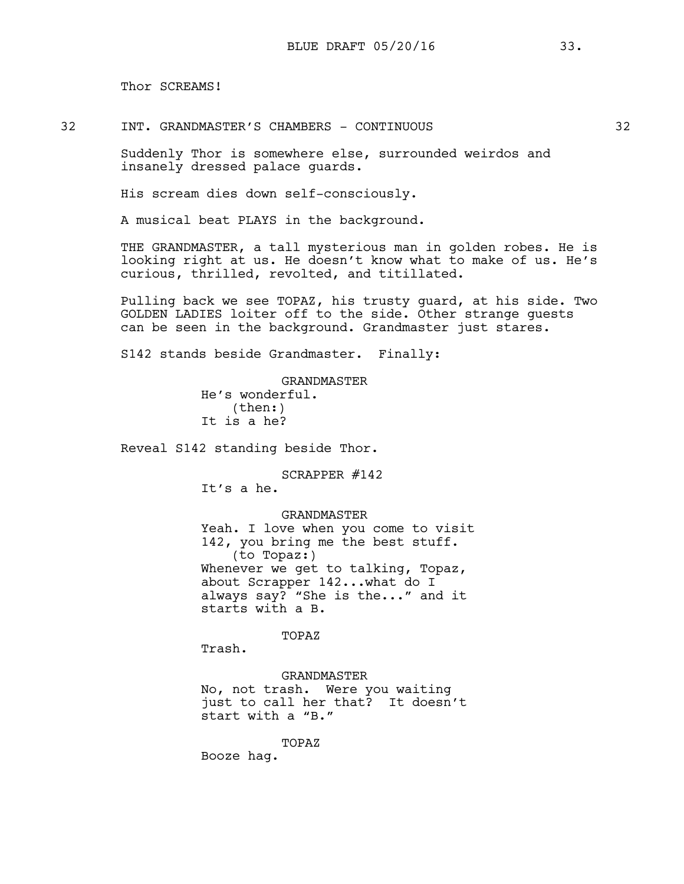Thor SCREAMS!

32 INT. GRANDMASTER'S CHAMBERS - CONTINUOUS 32

Suddenly Thor is somewhere else, surrounded weirdos and insanely dressed palace guards.

His scream dies down self-consciously.

A musical beat PLAYS in the background.

THE GRANDMASTER, a tall mysterious man in golden robes. He is looking right at us. He doesn't know what to make of us. He's curious, thrilled, revolted, and titillated.

Pulling back we see TOPAZ, his trusty guard, at his side. Two GOLDEN LADIES loiter off to the side. Other strange guests can be seen in the background. Grandmaster just stares.

S142 stands beside Grandmaster. Finally:

GRANDMASTER He's wonderful. (then:) It is a he?

Reveal S142 standing beside Thor.

SCRAPPER #142

It's a he.

GRANDMASTER

Yeah. I love when you come to visit 142, you bring me the best stuff. (to Topaz:) Whenever we get to talking, Topaz, about Scrapper 142...what do I always say? "She is the..." and it starts with a B.

TOPAZ

Trash.

GRANDMASTER

No, not trash. Were you waiting just to call her that? It doesn't start with a "B."

TOPAZ

Booze hag.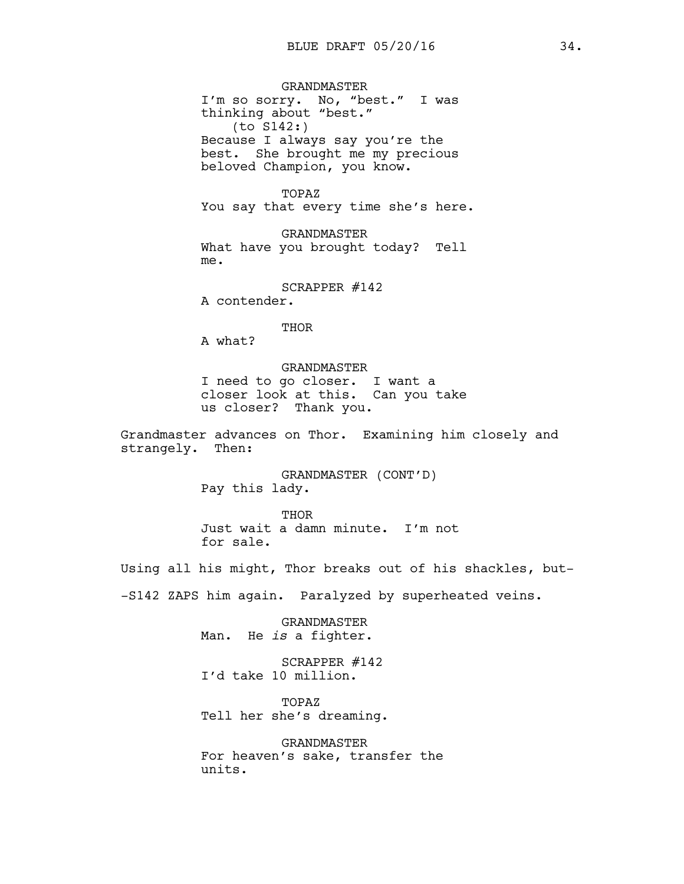GRANDMASTER I'm so sorry. No, "best." I was thinking about "best." (to S142:) Because I always say you're the best. She brought me my precious beloved Champion, you know.

TOPAZ You say that every time she's here.

GRANDMASTER What have you brought today? Tell me.

SCRAPPER #142

A contender.

THOR

A what?

GRANDMASTER I need to go closer. I want a

closer look at this. Can you take us closer? Thank you.

Grandmaster advances on Thor. Examining him closely and strangely. Then:

> GRANDMASTER (CONT'D) Pay this lady.

THOR Just wait a damn minute. I'm not for sale.

Using all his might, Thor breaks out of his shackles, but-

-S142 ZAPS him again. Paralyzed by superheated veins.

GRANDMASTER Man. He *is* a fighter.

SCRAPPER #142 I'd take 10 million.

TOPAZ Tell her she's dreaming.

GRANDMASTER For heaven's sake, transfer the units.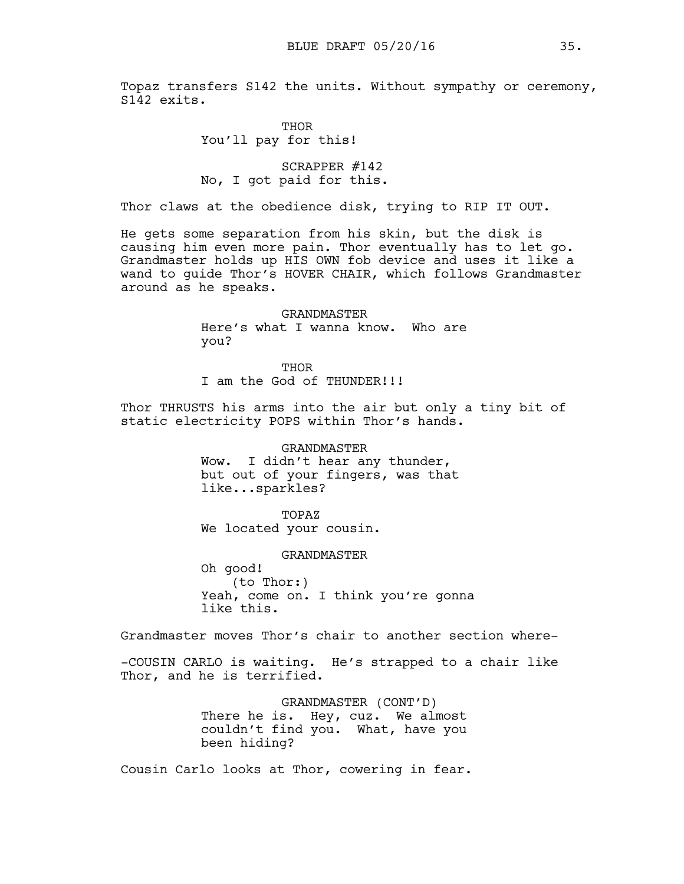Topaz transfers S142 the units. Without sympathy or ceremony, S142 exits.

> THOR You'll pay for this!

SCRAPPER #142 No, I got paid for this.

Thor claws at the obedience disk, trying to RIP IT OUT.

He gets some separation from his skin, but the disk is causing him even more pain. Thor eventually has to let go. Grandmaster holds up HIS OWN fob device and uses it like a wand to guide Thor's HOVER CHAIR, which follows Grandmaster around as he speaks.

> GRANDMASTER Here's what I wanna know. Who are you?

THOR I am the God of THUNDER!!!

Thor THRUSTS his arms into the air but only a tiny bit of static electricity POPS within Thor's hands.

> GRANDMASTER Wow. I didn't hear any thunder, but out of your fingers, was that like...sparkles?

TOPAZ We located your cousin.

GRANDMASTER

Oh good! (to Thor:) Yeah, come on. I think you're gonna like this.

Grandmaster moves Thor's chair to another section where-

-COUSIN CARLO is waiting. He's strapped to a chair like Thor, and he is terrified.

> GRANDMASTER (CONT'D) There he is. Hey, cuz. We almost couldn't find you. What, have you been hiding?

Cousin Carlo looks at Thor, cowering in fear.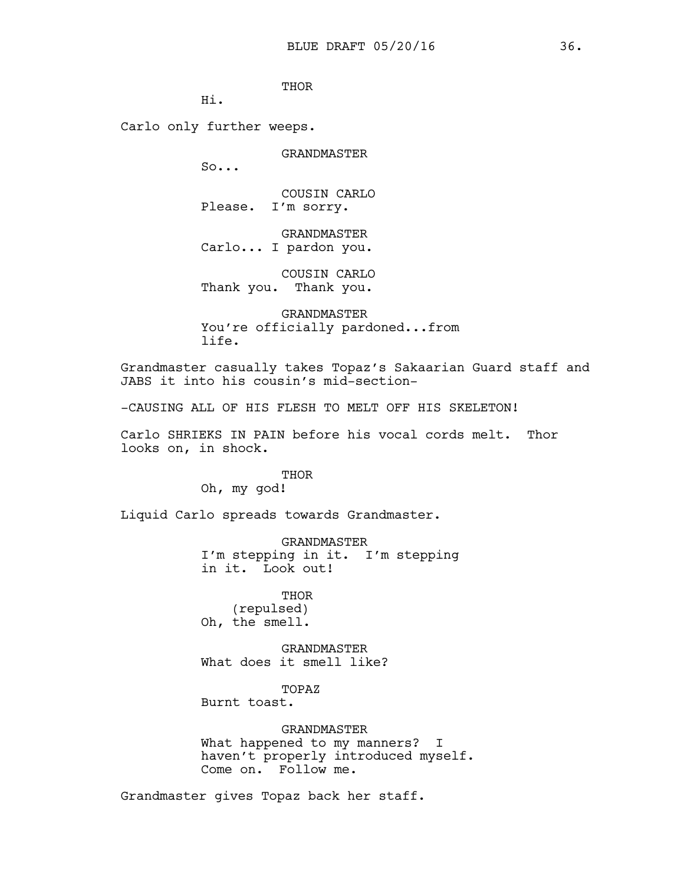**THOR** 

Hi.

Carlo only further weeps.

GRANDMASTER

So...

COUSIN CARLO Please. I'm sorry.

GRANDMASTER Carlo... I pardon you.

COUSIN CARLO Thank you. Thank you.

GRANDMASTER You're officially pardoned...from life.

Grandmaster casually takes Topaz's Sakaarian Guard staff and JABS it into his cousin's mid-section-

-CAUSING ALL OF HIS FLESH TO MELT OFF HIS SKELETON!

Carlo SHRIEKS IN PAIN before his vocal cords melt. Thor looks on, in shock.

THOR

Oh, my god!

Liquid Carlo spreads towards Grandmaster.

GRANDMASTER I'm stepping in it. I'm stepping in it. Look out!

**THOR** (repulsed) Oh, the smell.

GRANDMASTER What does it smell like?

TOPAZ

Burnt toast.

GRANDMASTER What happened to my manners? I haven't properly introduced myself. Come on. Follow me.

Grandmaster gives Topaz back her staff.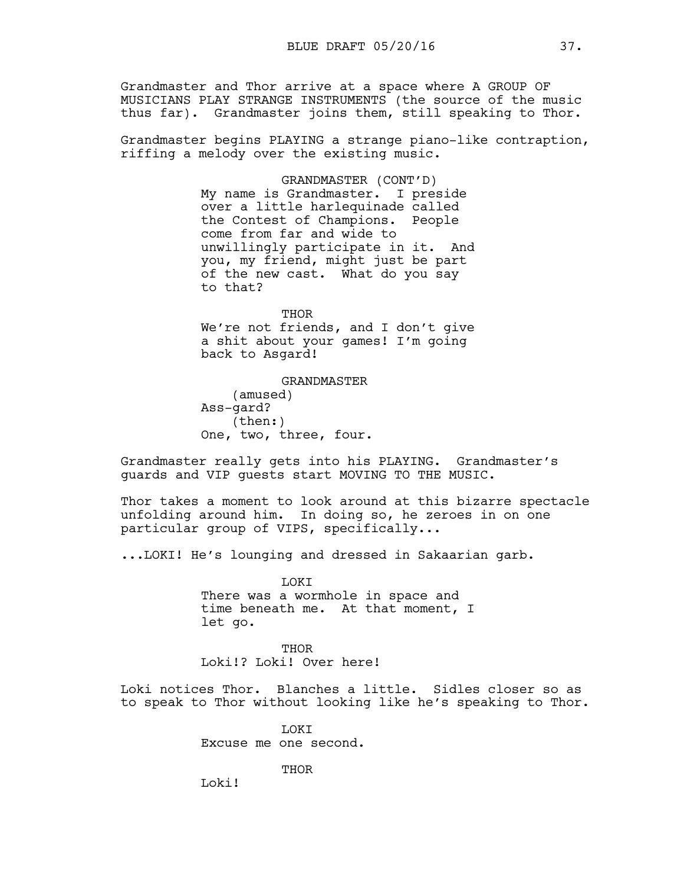Grandmaster and Thor arrive at a space where A GROUP OF MUSICIANS PLAY STRANGE INSTRUMENTS (the source of the music thus far). Grandmaster joins them, still speaking to Thor.

Grandmaster begins PLAYING a strange piano-like contraption, riffing a melody over the existing music.

> GRANDMASTER (CONT'D) My name is Grandmaster. I preside over a little harlequinade called the Contest of Champions. People come from far and wide to unwillingly participate in it. And you, my friend, might just be part of the new cast. What do you say to that?

> THOR We're not friends, and I don't give a shit about your games! I'm going back to Asgard!

GRANDMASTER (amused) Ass-gard? (then:) One, two, three, four.

Grandmaster really gets into his PLAYING. Grandmaster's guards and VIP guests start MOVING TO THE MUSIC.

Thor takes a moment to look around at this bizarre spectacle unfolding around him. In doing so, he zeroes in on one particular group of VIPS, specifically...

...LOKI! He's lounging and dressed in Sakaarian garb.

LOKI There was a wormhole in space and time beneath me. At that moment, I let go.

THOR Loki!? Loki! Over here!

Loki notices Thor. Blanches a little. Sidles closer so as to speak to Thor without looking like he's speaking to Thor.

> **LOKT** Excuse me one second.

> > THOR

Loki!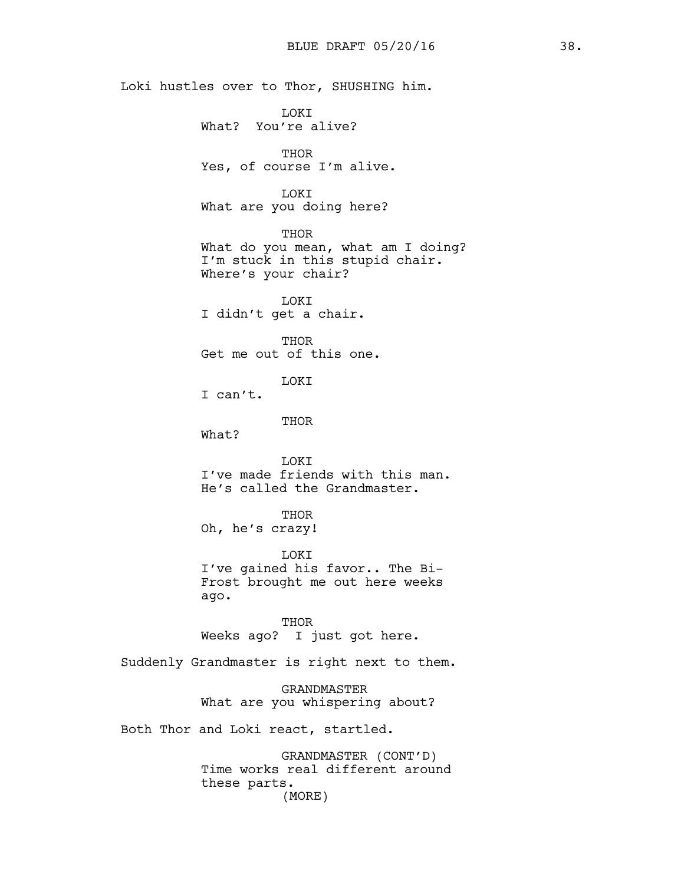Loki hustles over to Thor, SHUSHING him. **TOKT** What? You're alive? THOR Yes, of course I'm alive. LOKI What are you doing here? THOR What do you mean, what am I doing? I'm stuck in this stupid chair. Where's your chair? LOKI I didn't get a chair. THOR Get me out of this one. LOKI I can't. THOR What? LOKI I've made friends with this man. He's called the Grandmaster. THOR Oh, he's crazy! LOKI I've gained his favor.. The Bi-Frost brought me out here weeks ago. THOR Weeks ago? I just got here. Suddenly Grandmaster is right next to them. GRANDMASTER What are you whispering about? Both Thor and Loki react, startled. BLUE DRAFT 05/20/16 38.

> GRANDMASTER (CONT'D) Time works real different around these parts. (MORE)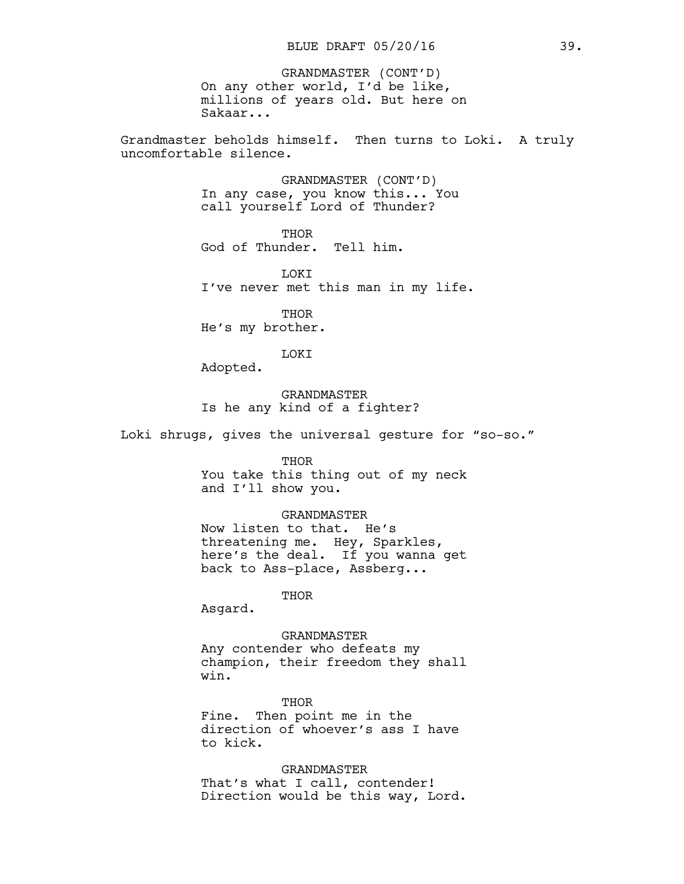On any other world, I'd be like, millions of years old. But here on Sakaar... GRANDMASTER (CONT'D)

Grandmaster beholds himself. Then turns to Loki. A truly uncomfortable silence.

> GRANDMASTER (CONT'D) In any case, you know this... You call yourself Lord of Thunder?

THOR God of Thunder. Tell him.

**T.OKT** I've never met this man in my life.

**THOR** He's my brother.

LOKI

Adopted.

GRANDMASTER Is he any kind of a fighter?

Loki shrugs, gives the universal gesture for "so-so."

#### THOR

You take this thing out of my neck and I'll show you.

#### GRANDMASTER

Now listen to that. He's threatening me. Hey, Sparkles, here's the deal. If you wanna get back to Ass-place, Assberg...

THOR

Asgard.

GRANDMASTER

Any contender who defeats my champion, their freedom they shall win.

THOR Fine. Then point me in the direction of whoever's ass I have to kick.

GRANDMASTER That's what I call, contender! Direction would be this way, Lord.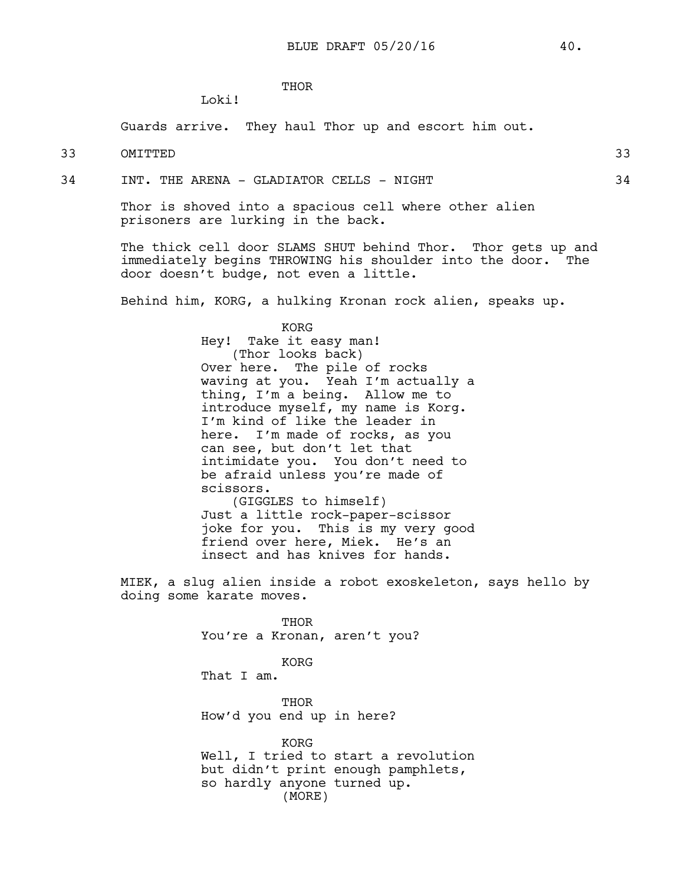**THOR** 

Guards arrive. They haul Thor up and escort him out.

33 OMITTED 33

34 INT. THE ARENA - GLADIATOR CELLS - NIGHT 34

Loki!

Thor is shoved into a spacious cell where other alien prisoners are lurking in the back.

The thick cell door SLAMS SHUT behind Thor. Thor gets up and immediately begins THROWING his shoulder into the door. The door doesn't budge, not even a little.

Behind him, KORG, a hulking Kronan rock alien, speaks up.

KORG Hey! Take it easy man! (Thor looks back) Over here. The pile of rocks waving at you. Yeah I'm actually a thing, I'm a being. Allow me to introduce myself, my name is Korg. I'm kind of like the leader in here. I'm made of rocks, as you can see, but don't let that intimidate you. You don't need to be afraid unless you're made of scissors. (GIGGLES to himself) Just a little rock-paper-scissor

joke for you. This is my very good friend over here, Miek. He's an insect and has knives for hands.

MIEK, a slug alien inside a robot exoskeleton, says hello by doing some karate moves.

> THOR You're a Kronan, aren't you? KORG That I am. THOR How'd you end up in here? KORG

Well, I tried to start a revolution but didn't print enough pamphlets, so hardly anyone turned up. (MORE)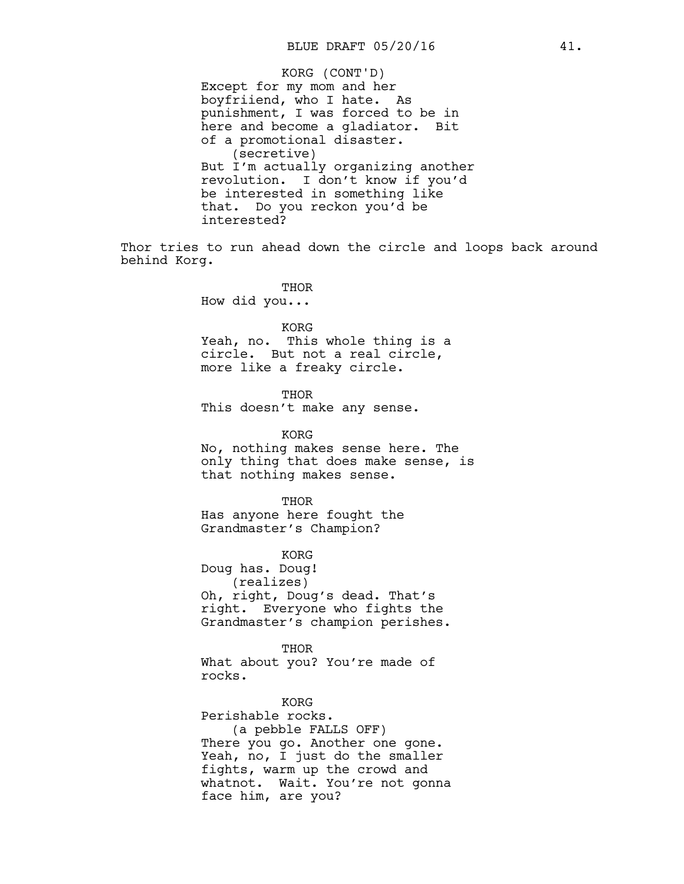Except for my mom and her boyfriiend, who I hate. As punishment, I was forced to be in here and become a gladiator. Bit of a promotional disaster. (secretive) But I'm actually organizing another revolution. I don't know if you'd be interested in something like that. Do you reckon you'd be interested? KORG (CONT'D)

Thor tries to run ahead down the circle and loops back around behind Korg.

> THOR How did you...

> > KORG

Yeah, no. This whole thing is a circle. But not a real circle, more like a freaky circle.

THOR This doesn't make any sense.

KORG No, nothing makes sense here. The only thing that does make sense, is that nothing makes sense.

THOR Has anyone here fought the Grandmaster's Champion?

KORG Doug has. Doug! (realizes)

Oh, right, Doug's dead. That's right. Everyone who fights the Grandmaster's champion perishes.

THOR What about you? You're made of rocks.

KORG

Perishable rocks. (a pebble FALLS OFF) There you go. Another one gone. Yeah, no, I just do the smaller fights, warm up the crowd and whatnot. Wait. You're not gonna face him, are you?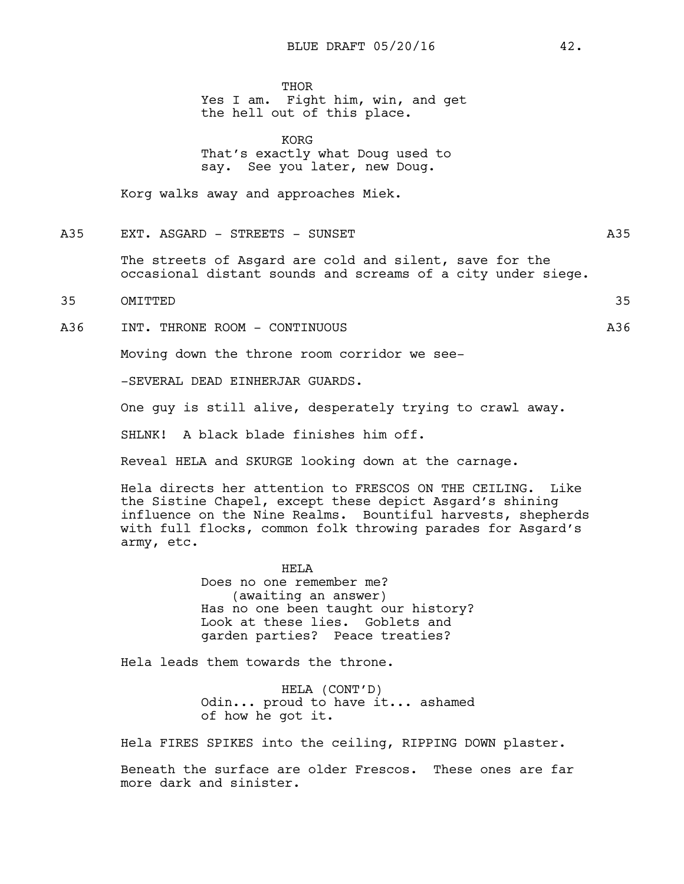**THOR** 

Yes I am. Fight him, win, and get the hell out of this place.

KORG That's exactly what Doug used to say. See you later, new Doug.

Korg walks away and approaches Miek.

A35 EXT. ASGARD - STREETS - SUNSET

The streets of Asgard are cold and silent, save for the occasional distant sounds and screams of a city under siege.

35 OMITTED 35

A36 INT. THRONE ROOM - CONTINUOUS A36

Moving down the throne room corridor we see-

-SEVERAL DEAD EINHERJAR GUARDS.

One guy is still alive, desperately trying to crawl away.

SHLNK! A black blade finishes him off.

Reveal HELA and SKURGE looking down at the carnage.

Hela directs her attention to FRESCOS ON THE CEILING. Like the Sistine Chapel, except these depict Asgard's shining influence on the Nine Realms. Bountiful harvests, shepherds with full flocks, common folk throwing parades for Asgard's army, etc.

> HELA Does no one remember me? (awaiting an answer) Has no one been taught our history? Look at these lies. Goblets and garden parties? Peace treaties?

Hela leads them towards the throne.

HELA (CONT'D) Odin... proud to have it... ashamed of how he got it.

Hela FIRES SPIKES into the ceiling, RIPPING DOWN plaster.

Beneath the surface are older Frescos. These ones are far more dark and sinister.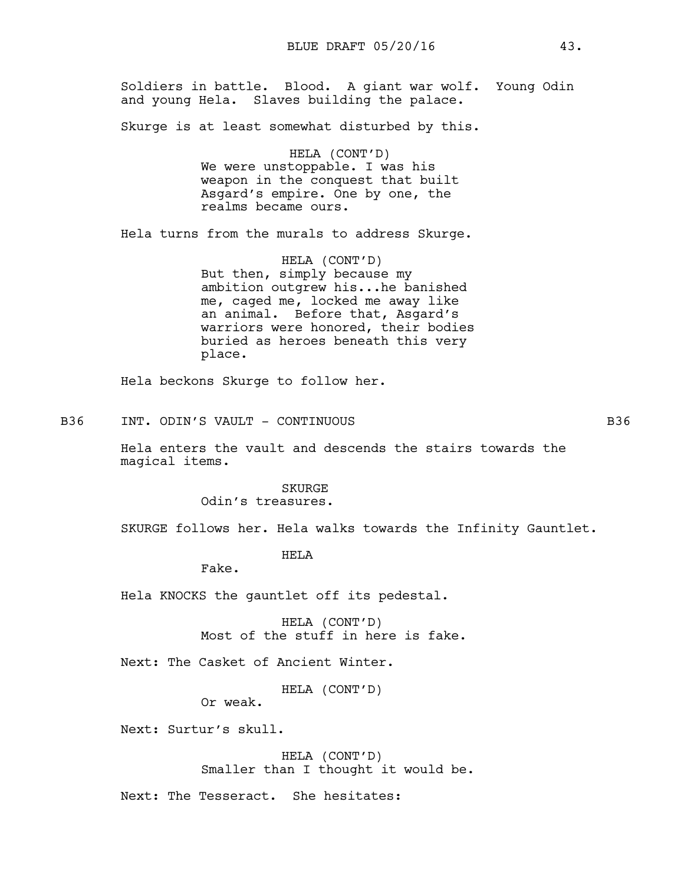Soldiers in battle. Blood. A giant war wolf. Young Odin and young Hela. Slaves building the palace.

Skurge is at least somewhat disturbed by this.

HELA (CONT'D) We were unstoppable. I was his weapon in the conquest that built Asgard's empire. One by one, the realms became ours.

Hela turns from the murals to address Skurge.

HELA (CONT'D) But then, simply because my ambition outgrew his...he banished me, caged me, locked me away like an animal. Before that, Asgard's warriors were honored, their bodies buried as heroes beneath this very place.

Hela beckons Skurge to follow her.

B36 INT. ODIN'S VAULT - CONTINUOUS B36 B36

Hela enters the vault and descends the stairs towards the magical items.

> SKURGE Odin's treasures.

SKURGE follows her. Hela walks towards the Infinity Gauntlet.

HELA

Fake.

Hela KNOCKS the gauntlet off its pedestal.

HELA (CONT'D) Most of the stuff in here is fake.

Next: The Casket of Ancient Winter.

HELA (CONT'D)

Or weak.

Next: Surtur's skull.

HELA (CONT'D) Smaller than I thought it would be.

Next: The Tesseract. She hesitates: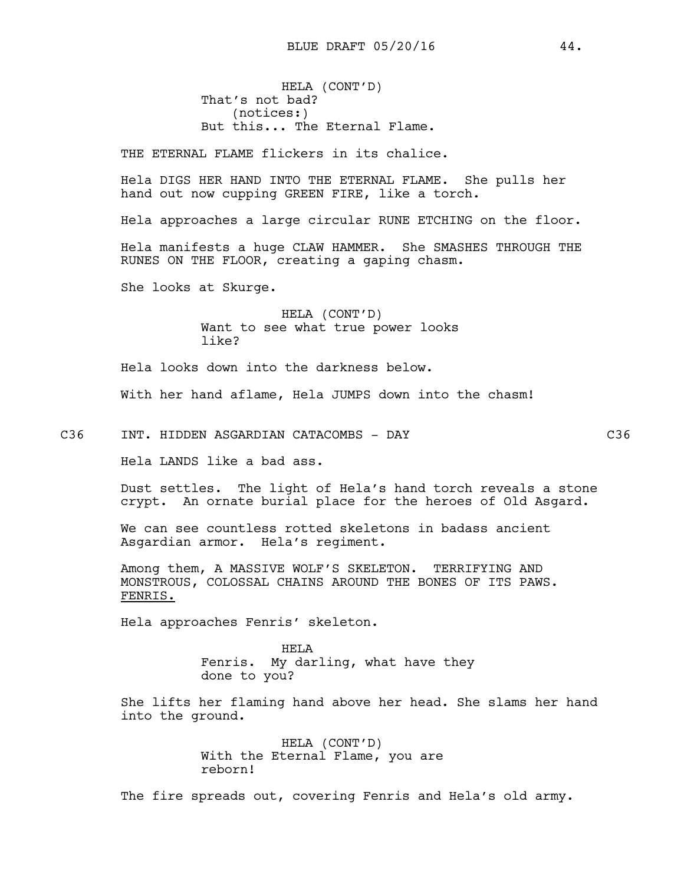HELA (CONT'D) That's not bad? (notices:) But this... The Eternal Flame.

THE ETERNAL FLAME flickers in its chalice.

Hela DIGS HER HAND INTO THE ETERNAL FLAME. She pulls her hand out now cupping GREEN FIRE, like a torch.

Hela approaches a large circular RUNE ETCHING on the floor.

Hela manifests a huge CLAW HAMMER. She SMASHES THROUGH THE RUNES ON THE FLOOR, creating a gaping chasm.

She looks at Skurge.

HELA (CONT'D) Want to see what true power looks like?

Hela looks down into the darkness below.

With her hand aflame, Hela JUMPS down into the chasm!

C36 INT. HIDDEN ASGARDIAN CATACOMBS - DAY C36

Hela LANDS like a bad ass.

Dust settles. The light of Hela's hand torch reveals a stone crypt. An ornate burial place for the heroes of Old Asgard.

We can see countless rotted skeletons in badass ancient Asgardian armor. Hela's regiment.

Among them, A MASSIVE WOLF'S SKELETON. TERRIFYING AND MONSTROUS, COLOSSAL CHAINS AROUND THE BONES OF ITS PAWS. FENRIS.

Hela approaches Fenris' skeleton.

HELA Fenris. My darling, what have they done to you?

She lifts her flaming hand above her head. She slams her hand into the ground.

> HELA (CONT'D) With the Eternal Flame, you are reborn!

The fire spreads out, covering Fenris and Hela's old army.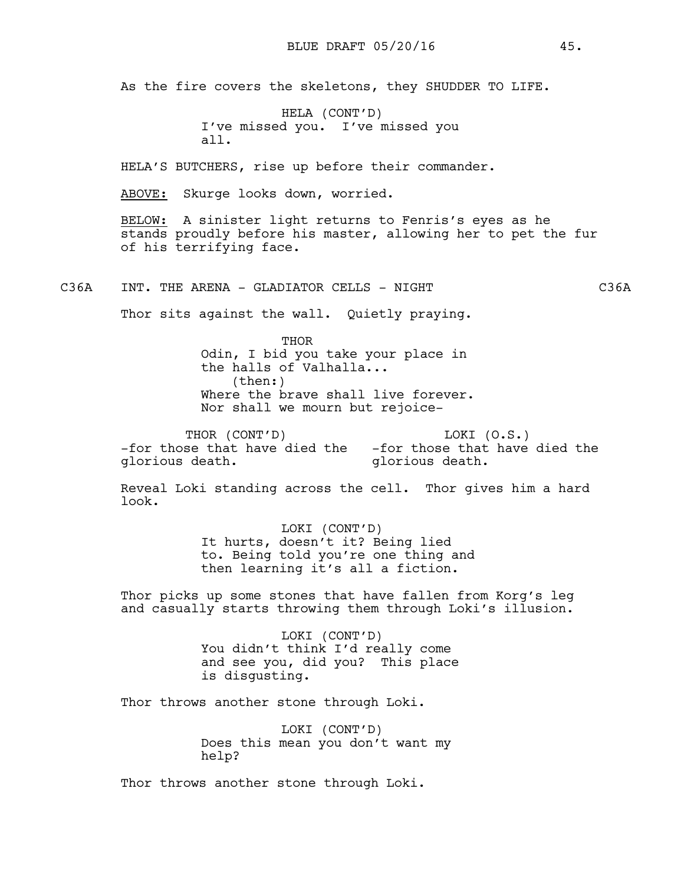As the fire covers the skeletons, they SHUDDER TO LIFE.

HELA (CONT'D) I've missed you. I've missed you all.

HELA'S BUTCHERS, rise up before their commander.

ABOVE: Skurge looks down, worried.

BELOW: A sinister light returns to Fenris's eyes as he stands proudly before his master, allowing her to pet the fur of his terrifying face.

C36A INT. THE ARENA - GLADIATOR CELLS - NIGHT CONSTRUCTED C36A

Thor sits against the wall. Quietly praying.

THOR Odin, I bid you take your place in the halls of Valhalla... (then:) Where the brave shall live forever. Nor shall we mourn but rejoice-

THOR (CONT'D) -for those that have died the -for those that have died the glorious death. LOKI (O.S.) glorious death.

Reveal Loki standing across the cell. Thor gives him a hard look.

> LOKI (CONT'D) It hurts, doesn't it? Being lied to. Being told you're one thing and then learning it's all a fiction.

Thor picks up some stones that have fallen from Korg's leg and casually starts throwing them through Loki's illusion.

> LOKI (CONT'D) You didn't think I'd really come and see you, did you? This place is disgusting.

Thor throws another stone through Loki.

LOKI (CONT'D) Does this mean you don't want my help?

Thor throws another stone through Loki.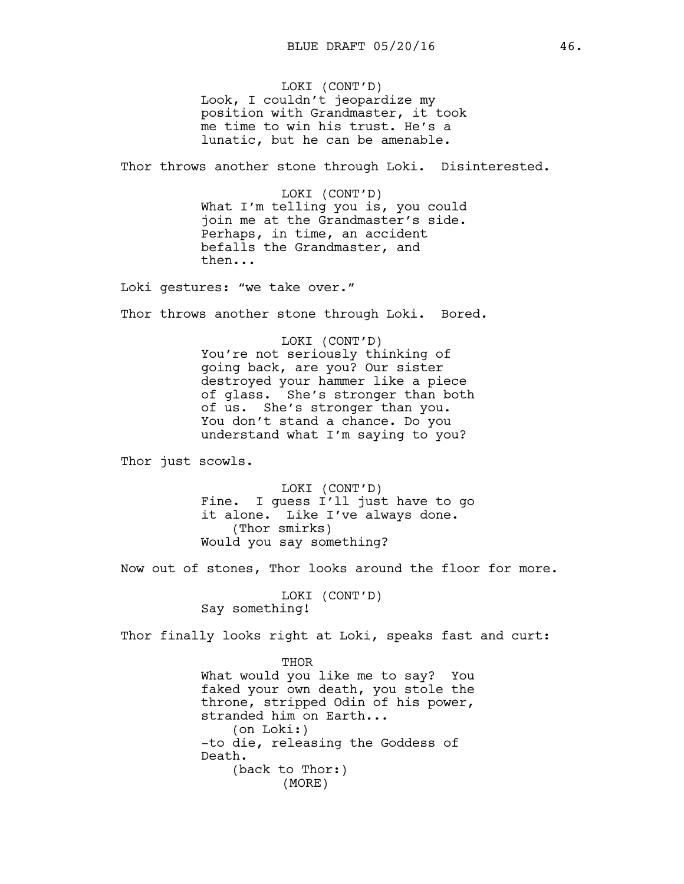LOKI (CONT'D) Look, I couldn't jeopardize my position with Grandmaster, it took me time to win his trust. He's a lunatic, but he can be amenable.

Thor throws another stone through Loki. Disinterested.

LOKI (CONT'D) What I'm telling you is, you could join me at the Grandmaster's side. Perhaps, in time, an accident befalls the Grandmaster, and then...

Loki gestures: "we take over."

Thor throws another stone through Loki. Bored.

LOKI (CONT'D) You're not seriously thinking of going back, are you? Our sister destroyed your hammer like a piece of glass. She's stronger than both of us. She's stronger than you. You don't stand a chance. Do you understand what I'm saying to you?

Thor just scowls.

LOKI (CONT'D) Fine. I guess I'll just have to go it alone. Like I've always done. (Thor smirks) Would you say something?

Now out of stones, Thor looks around the floor for more.

LOKI (CONT'D) Say something!

(MORE)

Thor finally looks right at Loki, speaks fast and curt:

THOR What would you like me to say? You faked your own death, you stole the throne, stripped Odin of his power, stranded him on Earth... (on Loki:) -to die, releasing the Goddess of Death. (back to Thor:)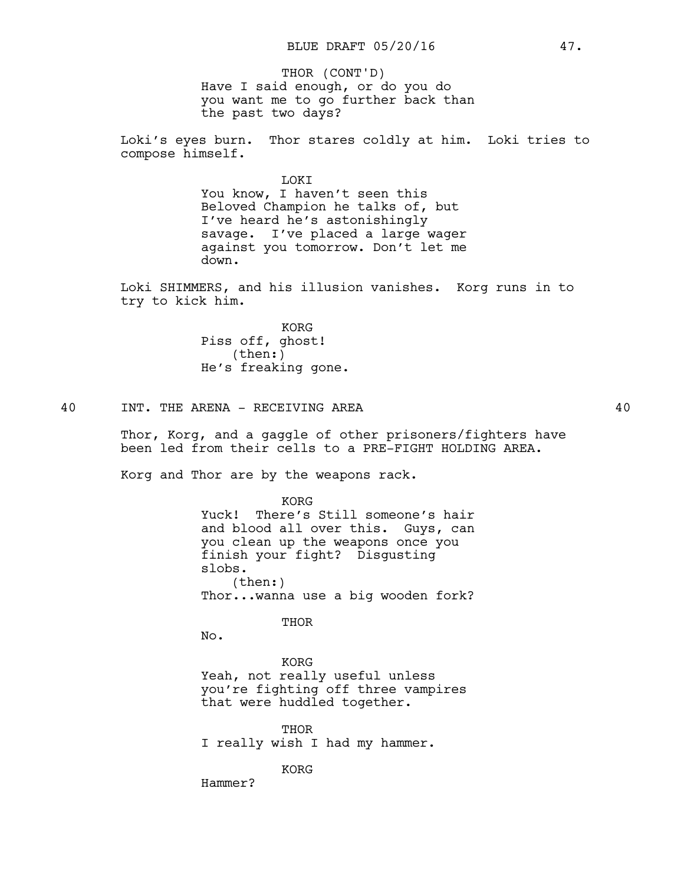Have I said enough, or do you do you want me to go further back than the past two days? THOR (CONT'D)

Loki's eyes burn. Thor stares coldly at him. Loki tries to compose himself.

#### LOKI

You know, I haven't seen this Beloved Champion he talks of, but I've heard he's astonishingly savage. I've placed a large wager against you tomorrow. Don't let me down.

Loki SHIMMERS, and his illusion vanishes. Korg runs in to try to kick him.

> KORG Piss off, ghost! (then:) He's freaking gone.

### 40 INT. THE ARENA - RECEIVING AREA 40

Thor, Korg, and a gaggle of other prisoners/fighters have been led from their cells to a PRE-FIGHT HOLDING AREA.

Korg and Thor are by the weapons rack.

KORG Yuck! There's Still someone's hair and blood all over this. Guys, can you clean up the weapons once you finish your fight? Disgusting slobs. (then:) Thor...wanna use a big wooden fork?

THOR

No.

KORG Yeah, not really useful unless you're fighting off three vampires that were huddled together.

THOR I really wish I had my hammer.

KORG

Hammer?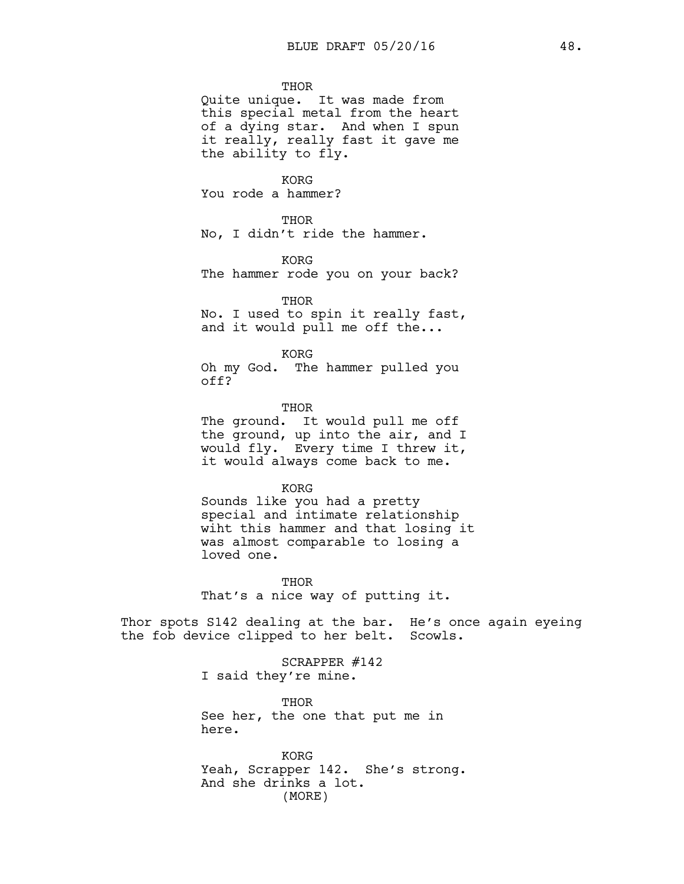**THOR** 

Quite unique. It was made from this special metal from the heart of a dying star. And when I spun it really, really fast it gave me the ability to fly.

KORG You rode a hammer?

THOR No, I didn't ride the hammer.

KORG The hammer rode you on your back?

**THOR** No. I used to spin it really fast, and it would pull me off the...

KORG Oh my God. The hammer pulled you off?

**THOR** The ground. It would pull me off the ground, up into the air, and I would fly. Every time I threw it, it would always come back to me.

KORG Sounds like you had a pretty special and intimate relationship wiht this hammer and that losing it was almost comparable to losing a loved one.

**THOR** That's a nice way of putting it.

Thor spots S142 dealing at the bar. He's once again eyeing the fob device clipped to her belt. Scowls.

> SCRAPPER #142 I said they're mine.

THOR See her, the one that put me in here.

KORG Yeah, Scrapper 142. She's strong. And she drinks a lot. (MORE)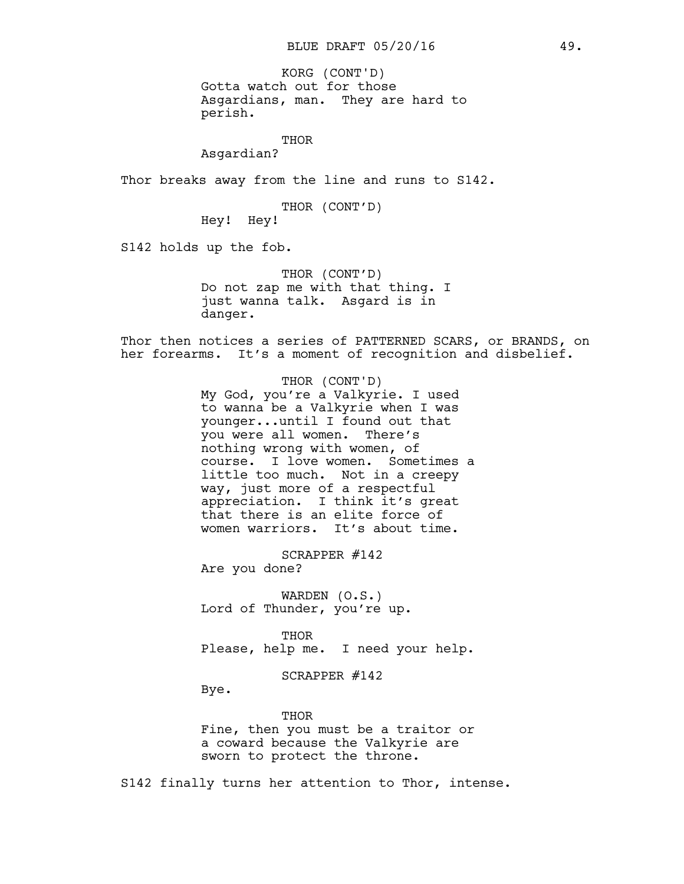Gotta watch out for those Asgardians, man. They are hard to perish. KORG (CONT'D)

THOR

Asgardian?

Thor breaks away from the line and runs to S142.

THOR (CONT'D)

Hey! Hey!

S142 holds up the fob.

THOR (CONT'D) Do not zap me with that thing. I just wanna talk. Asgard is in danger.

Thor then notices a series of PATTERNED SCARS, or BRANDS, on her forearms. It's a moment of recognition and disbelief.

> THOR (CONT'D) My God, you're a Valkyrie. I used to wanna be a Valkyrie when I was younger...until I found out that you were all women. There's nothing wrong with women, of course. I love women. Sometimes a little too much. Not in a creepy way, just more of a respectful appreciation. I think it's great that there is an elite force of women warriors. It's about time.

SCRAPPER #142 Are you done?

WARDEN (O.S.) Lord of Thunder, you're up.

THOR Please, help me. I need your help.

SCRAPPER #142

Bye.

THOR Fine, then you must be a traitor or a coward because the Valkyrie are sworn to protect the throne.

S142 finally turns her attention to Thor, intense.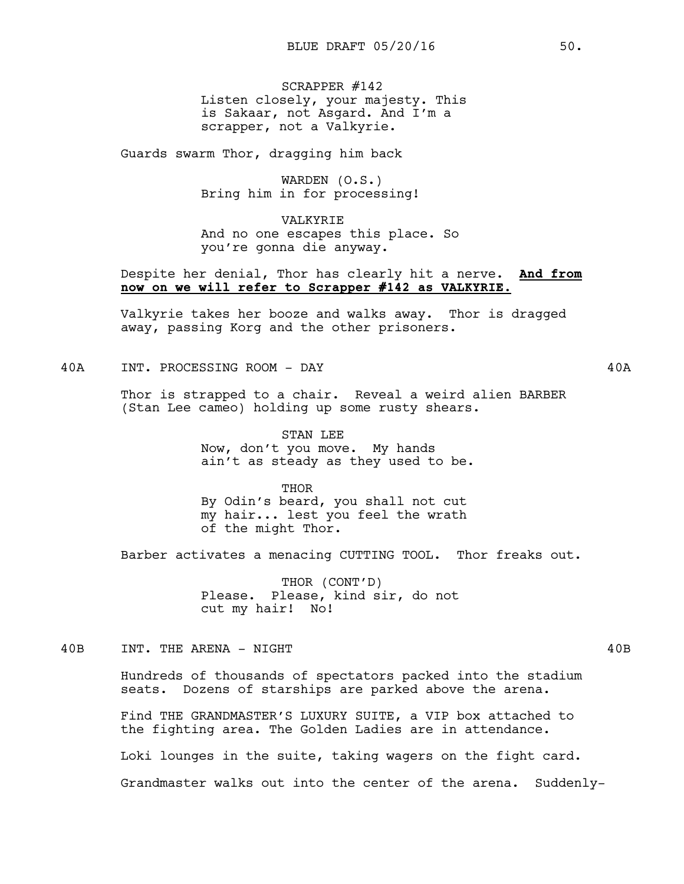SCRAPPER #142 Listen closely, your majesty. This is Sakaar, not Asgard. And I'm a scrapper, not a Valkyrie.

Guards swarm Thor, dragging him back

WARDEN (O.S.) Bring him in for processing!

VALKYRIE And no one escapes this place. So you're gonna die anyway.

### Despite her denial, Thor has clearly hit a nerve. **And from now on we will refer to Scrapper #142 as VALKYRIE.**

Valkyrie takes her booze and walks away. Thor is dragged away, passing Korg and the other prisoners.

40A INT. PROCESSING ROOM - DAY 40A

Thor is strapped to a chair. Reveal a weird alien BARBER (Stan Lee cameo) holding up some rusty shears.

> STAN LEE Now, don't you move. My hands ain't as steady as they used to be.

THOR By Odin's beard, you shall not cut my hair... lest you feel the wrath of the might Thor.

Barber activates a menacing CUTTING TOOL. Thor freaks out.

THOR (CONT'D) Please. Please, kind sir, do not cut my hair! No!

40B INT. THE ARENA - NIGHT 40B

Hundreds of thousands of spectators packed into the stadium seats. Dozens of starships are parked above the arena.

Find THE GRANDMASTER'S LUXURY SUITE, a VIP box attached to the fighting area. The Golden Ladies are in attendance. Loki lounges in the suite, taking wagers on the fight card. Grandmaster walks out into the center of the arena. Suddenly-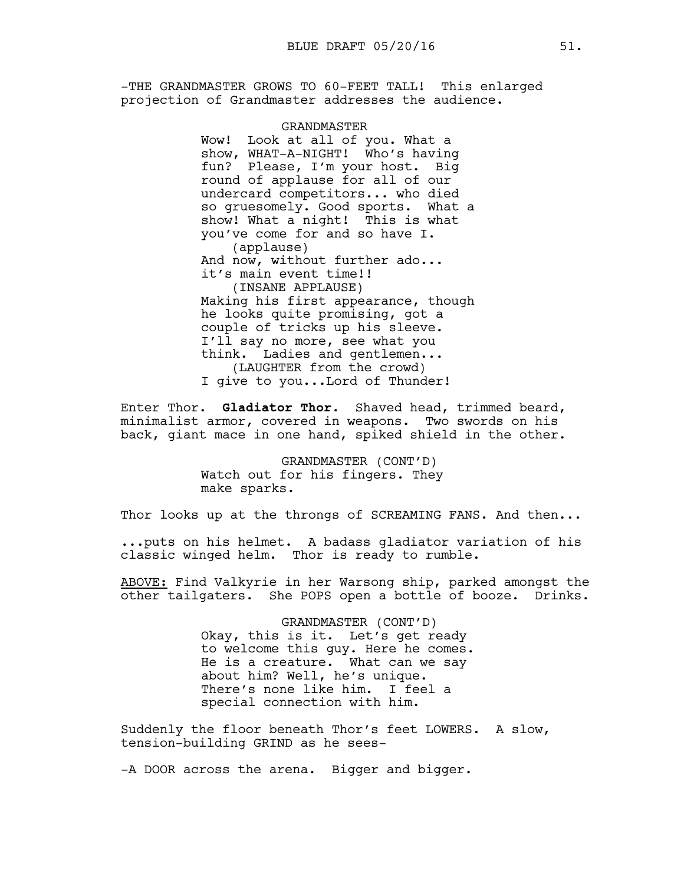-THE GRANDMASTER GROWS TO 60-FEET TALL! This enlarged projection of Grandmaster addresses the audience.

> GRANDMASTER Wow! Look at all of you. What a show, WHAT-A-NIGHT! Who's having fun? Please, I'm your host. Big round of applause for all of our undercard competitors... who died so gruesomely. Good sports. What a show! What a night! This is what you've come for and so have I. (applause) And now, without further ado... it's main event time!! (INSANE APPLAUSE) Making his first appearance, though he looks quite promising, got a couple of tricks up his sleeve. I'll say no more, see what you think. Ladies and gentlemen... (LAUGHTER from the crowd) I give to you...Lord of Thunder!

Enter Thor. **Gladiator Thor.** Shaved head, trimmed beard, minimalist armor, covered in weapons. Two swords on his back, giant mace in one hand, spiked shield in the other.

> GRANDMASTER (CONT'D) Watch out for his fingers. They make sparks.

Thor looks up at the throngs of SCREAMING FANS. And then...

...puts on his helmet. A badass gladiator variation of his classic winged helm. Thor is ready to rumble.

ABOVE: Find Valkyrie in her Warsong ship, parked amongst the other tailgaters. She POPS open a bottle of booze. Drinks.

> GRANDMASTER (CONT'D) Okay, this is it. Let's get ready to welcome this guy. Here he comes. He is a creature. What can we say about him? Well, he's unique. There's none like him. I feel a special connection with him.

Suddenly the floor beneath Thor's feet LOWERS. A slow, tension-building GRIND as he sees-

-A DOOR across the arena. Bigger and bigger.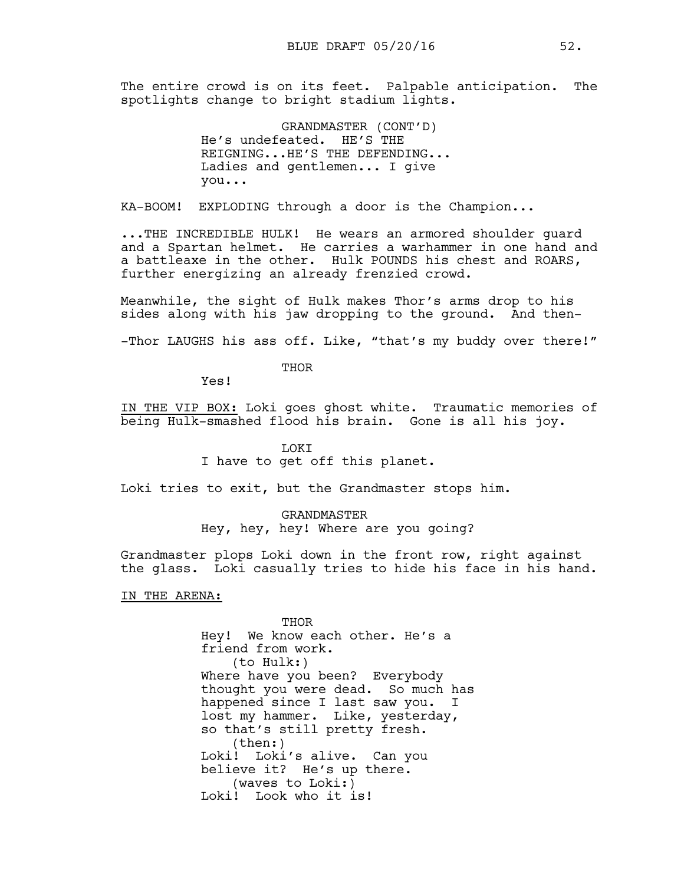The entire crowd is on its feet. Palpable anticipation. The spotlights change to bright stadium lights.

> GRANDMASTER (CONT'D) He's undefeated. HE'S THE REIGNING...HE'S THE DEFENDING... Ladies and gentlemen... I give you...

KA-BOOM! EXPLODING through a door is the Champion...

...THE INCREDIBLE HULK! He wears an armored shoulder guard and a Spartan helmet. He carries a warhammer in one hand and a battleaxe in the other. Hulk POUNDS his chest and ROARS, further energizing an already frenzied crowd.

Meanwhile, the sight of Hulk makes Thor's arms drop to his sides along with his jaw dropping to the ground. And then-

-Thor LAUGHS his ass off. Like, "that's my buddy over there!"

**THOR** 

Yes!

IN THE VIP BOX: Loki goes ghost white. Traumatic memories of being Hulk-smashed flood his brain. Gone is all his joy.

#### LOKI

I have to get off this planet.

Loki tries to exit, but the Grandmaster stops him.

GRANDMASTER Hey, hey, hey! Where are you going?

Grandmaster plops Loki down in the front row, right against the glass. Loki casually tries to hide his face in his hand.

IN THE ARENA:

THOR Hey! We know each other. He's a friend from work. (to Hulk:) Where have you been? Everybody thought you were dead. So much has happened since I last saw you. I lost my hammer. Like, yesterday, so that's still pretty fresh. (then:) Loki! Loki's alive. Can you believe it? He's up there. (waves to Loki:) Loki! Look who it is!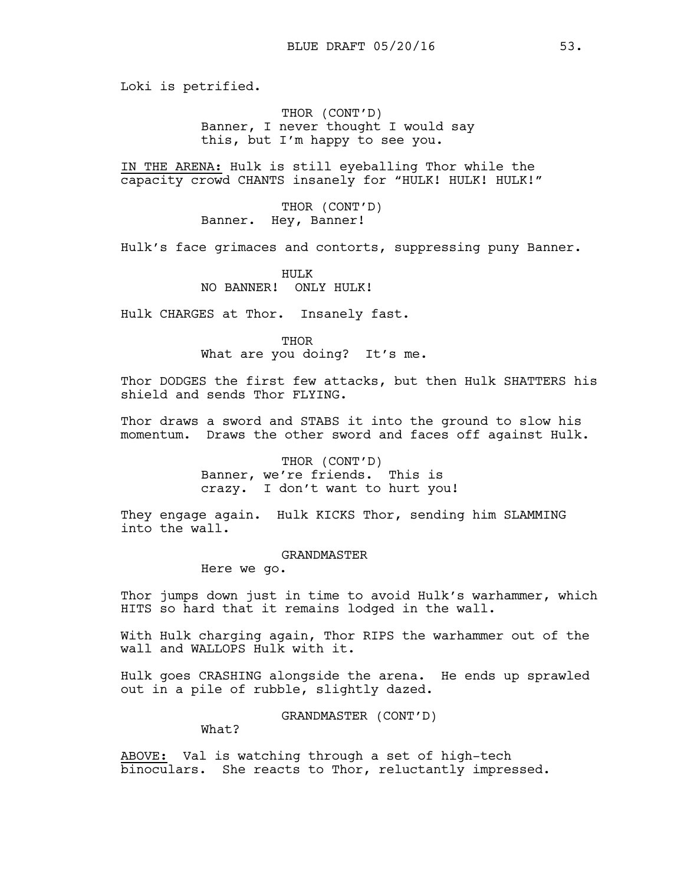Loki is petrified.

THOR (CONT'D) Banner, I never thought I would say this, but I'm happy to see you.

IN THE ARENA: Hulk is still eyeballing Thor while the capacity crowd CHANTS insanely for "HULK! HULK! HULK!"

> THOR (CONT'D) Banner. Hey, Banner!

Hulk's face grimaces and contorts, suppressing puny Banner.

HULK NO BANNER! ONLY HULK!

Hulk CHARGES at Thor. Insanely fast.

THOR What are you doing? It's me.

Thor DODGES the first few attacks, but then Hulk SHATTERS his shield and sends Thor FLYING.

Thor draws a sword and STABS it into the ground to slow his momentum. Draws the other sword and faces off against Hulk.

> THOR (CONT'D) Banner, we're friends. This is crazy. I don't want to hurt you!

They engage again. Hulk KICKS Thor, sending him SLAMMING into the wall.

#### GRANDMASTER

Here we go.

Thor jumps down just in time to avoid Hulk's warhammer, which HITS so hard that it remains lodged in the wall.

With Hulk charging again, Thor RIPS the warhammer out of the wall and WALLOPS Hulk with it.

Hulk goes CRASHING alongside the arena. He ends up sprawled out in a pile of rubble, slightly dazed.

GRANDMASTER (CONT'D)

What?

ABOVE: Val is watching through a set of high-tech binoculars. She reacts to Thor, reluctantly impressed.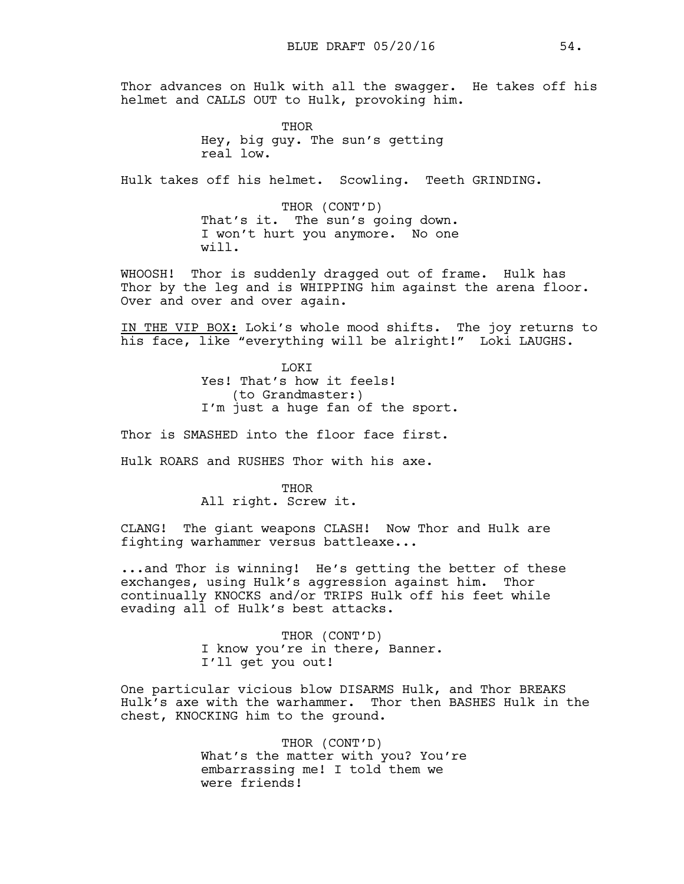Thor advances on Hulk with all the swagger. He takes off his helmet and CALLS OUT to Hulk, provoking him.

> THOR Hey, big guy. The sun's getting real low.

Hulk takes off his helmet. Scowling. Teeth GRINDING.

THOR (CONT'D) That's it. The sun's going down. I won't hurt you anymore. No one will.

WHOOSH! Thor is suddenly dragged out of frame. Hulk has Thor by the leg and is WHIPPING him against the arena floor. Over and over and over again.

IN THE VIP BOX: Loki's whole mood shifts. The joy returns to his face, like "everything will be alright!" Loki LAUGHS.

> LOKI Yes! That's how it feels! (to Grandmaster:) I'm just a huge fan of the sport.

Thor is SMASHED into the floor face first.

Hulk ROARS and RUSHES Thor with his axe.

THOR All right. Screw it.

CLANG! The giant weapons CLASH! Now Thor and Hulk are fighting warhammer versus battleaxe...

...and Thor is winning! He's getting the better of these exchanges, using Hulk's aggression against him. Thor continually KNOCKS and/or TRIPS Hulk off his feet while evading all of Hulk's best attacks.

> THOR (CONT'D) I know you're in there, Banner. I'll get you out!

One particular vicious blow DISARMS Hulk, and Thor BREAKS Hulk's axe with the warhammer. Thor then BASHES Hulk in the chest, KNOCKING him to the ground.

> THOR (CONT'D) What's the matter with you? You're embarrassing me! I told them we were friends!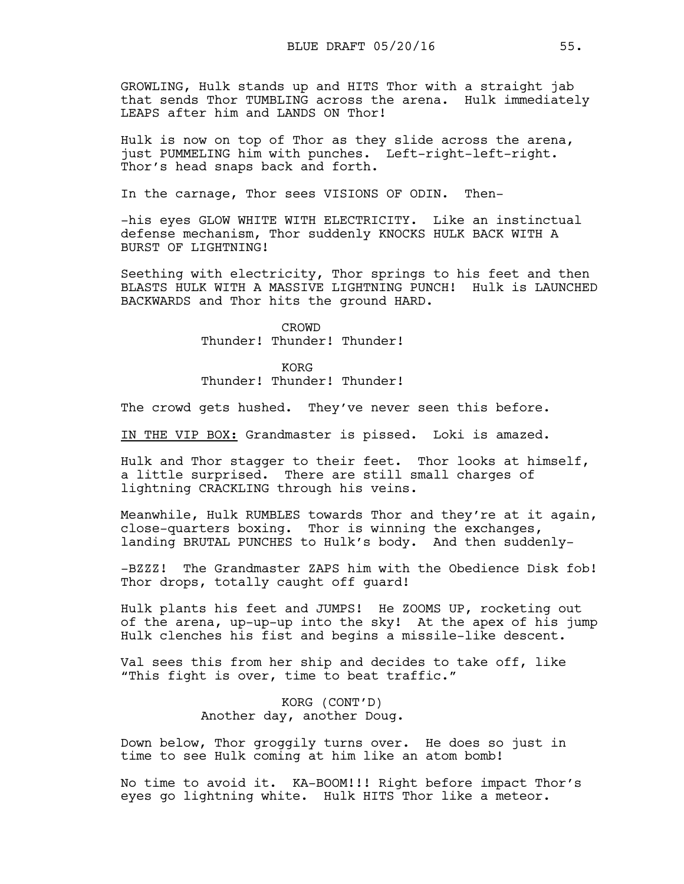GROWLING, Hulk stands up and HITS Thor with a straight jab that sends Thor TUMBLING across the arena. Hulk immediately LEAPS after him and LANDS ON Thor!

Hulk is now on top of Thor as they slide across the arena, just PUMMELING him with punches. Left-right-left-right. Thor's head snaps back and forth.

In the carnage, Thor sees VISIONS OF ODIN. Then-

-his eyes GLOW WHITE WITH ELECTRICITY. Like an instinctual defense mechanism, Thor suddenly KNOCKS HULK BACK WITH A BURST OF LIGHTNING!

Seething with electricity, Thor springs to his feet and then BLASTS HULK WITH A MASSIVE LIGHTNING PUNCH! Hulk is LAUNCHED BACKWARDS and Thor hits the ground HARD.

> CROWD Thunder! Thunder! Thunder!

> KORG Thunder! Thunder! Thunder!

The crowd gets hushed. They've never seen this before.

IN THE VIP BOX: Grandmaster is pissed. Loki is amazed.

Hulk and Thor stagger to their feet. Thor looks at himself, a little surprised. There are still small charges of lightning CRACKLING through his veins.

Meanwhile, Hulk RUMBLES towards Thor and they're at it again, close-quarters boxing. Thor is winning the exchanges, landing BRUTAL PUNCHES to Hulk's body. And then suddenly-

-BZZZ! The Grandmaster ZAPS him with the Obedience Disk fob! Thor drops, totally caught off guard!

Hulk plants his feet and JUMPS! He ZOOMS UP, rocketing out of the arena, up-up-up into the sky! At the apex of his jump Hulk clenches his fist and begins a missile-like descent.

Val sees this from her ship and decides to take off, like "This fight is over, time to beat traffic."

> KORG (CONT'D) Another day, another Doug.

Down below, Thor groggily turns over. He does so just in time to see Hulk coming at him like an atom bomb!

No time to avoid it. KA-BOOM!!! Right before impact Thor's eyes go lightning white. Hulk HITS Thor like a meteor.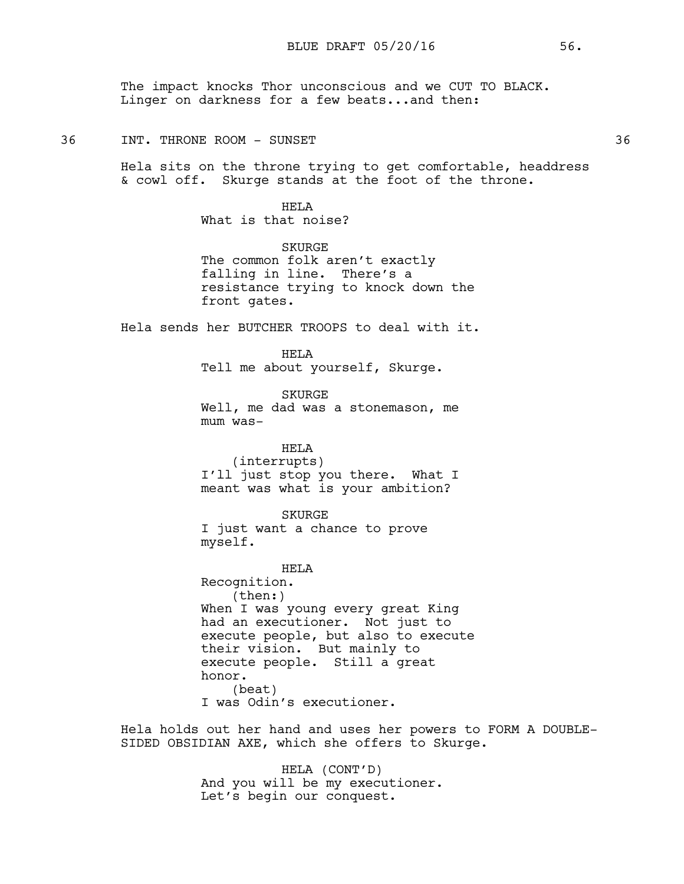The impact knocks Thor unconscious and we CUT TO BLACK. Linger on darkness for a few beats...and then:

#### 36 INT. THRONE ROOM – SUNSET NAMEL AND SOME 2008 2009 36

Hela sits on the throne trying to get comfortable, headdress & cowl off. Skurge stands at the foot of the throne.

> HELA What is that noise?

SKURGE The common folk aren't exactly falling in line. There's a resistance trying to knock down the front gates.

Hela sends her BUTCHER TROOPS to deal with it.

HELA Tell me about yourself, Skurge.

SKURGE Well, me dad was a stonemason, me mum was-

### HELA

(interrupts) I'll just stop you there. What I meant was what is your ambition?

SKURGE

I just want a chance to prove myself.

HELA Recognition. (then:) When I was young every great King had an executioner. Not just to execute people, but also to execute their vision. But mainly to execute people. Still a great honor. (beat) I was Odin's executioner.

Hela holds out her hand and uses her powers to FORM A DOUBLE-SIDED OBSIDIAN AXE, which she offers to Skurge.

> HELA (CONT'D) And you will be my executioner. Let's begin our conquest.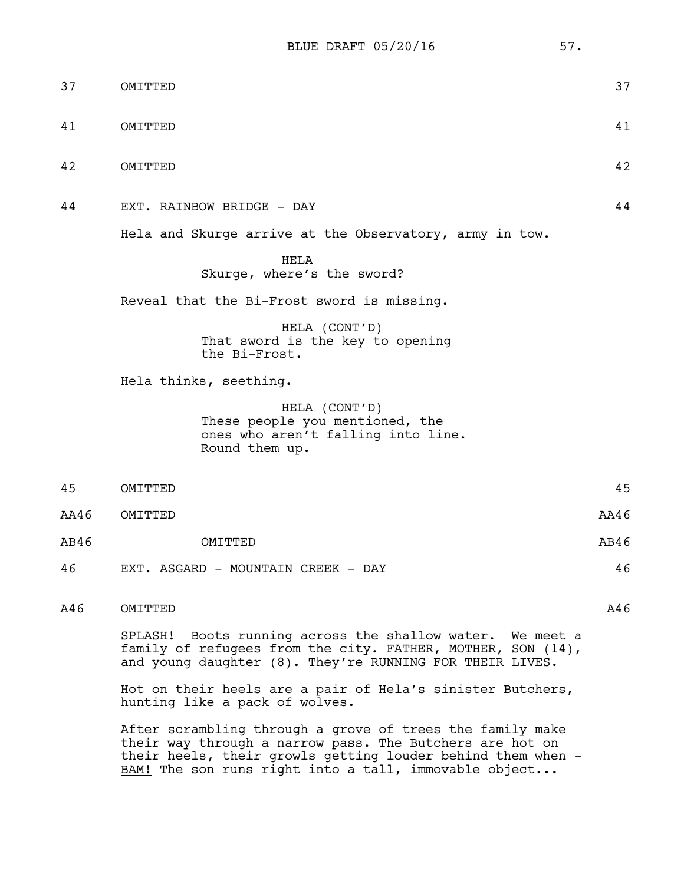BLUE DRAFT 05/20/16 57.

| 37   | OMITTED                                                                                                                                                                              | 37   |
|------|--------------------------------------------------------------------------------------------------------------------------------------------------------------------------------------|------|
| 41   | OMITTED                                                                                                                                                                              | 41   |
| 42   | OMITTED                                                                                                                                                                              | 42   |
| 44   | EXT. RAINBOW BRIDGE - DAY                                                                                                                                                            | 44   |
|      | Hela and Skurge arrive at the Observatory, army in tow.                                                                                                                              |      |
|      | <b>HELA</b><br>Skurge, where's the sword?                                                                                                                                            |      |
|      | Reveal that the Bi-Frost sword is missing.                                                                                                                                           |      |
|      | HELA (CONT'D)<br>That sword is the key to opening<br>the Bi-Frost.                                                                                                                   |      |
|      | Hela thinks, seething.                                                                                                                                                               |      |
|      | HELA (CONT'D)<br>These people you mentioned, the<br>ones who aren't falling into line.<br>Round them up.                                                                             |      |
| 45   | OMITTED                                                                                                                                                                              | 45   |
| AA46 | OMITTED                                                                                                                                                                              | AA46 |
| AB46 | OMTTTED                                                                                                                                                                              | AB46 |
| 46   | EXT. ASGARD - MOUNTAIN CREEK - DAY                                                                                                                                                   | 46   |
| A46  | OMITTED                                                                                                                                                                              | A46  |
|      | SPLASH! Boots running across the shallow water. We meet a<br>family of refugees from the city. FATHER, MOTHER, SON (14),<br>and young daughter (8). They're RUNNING FOR THEIR LIVES. |      |
|      | Hot on their heels are a pair of Hela's sinister Butchers,<br>hunting like a pack of wolves.                                                                                         |      |

After scrambling through a grove of trees the family make their way through a narrow pass. The Butchers are hot on their heels, their growls getting louder behind them when - BAM! The son runs right into a tall, immovable object...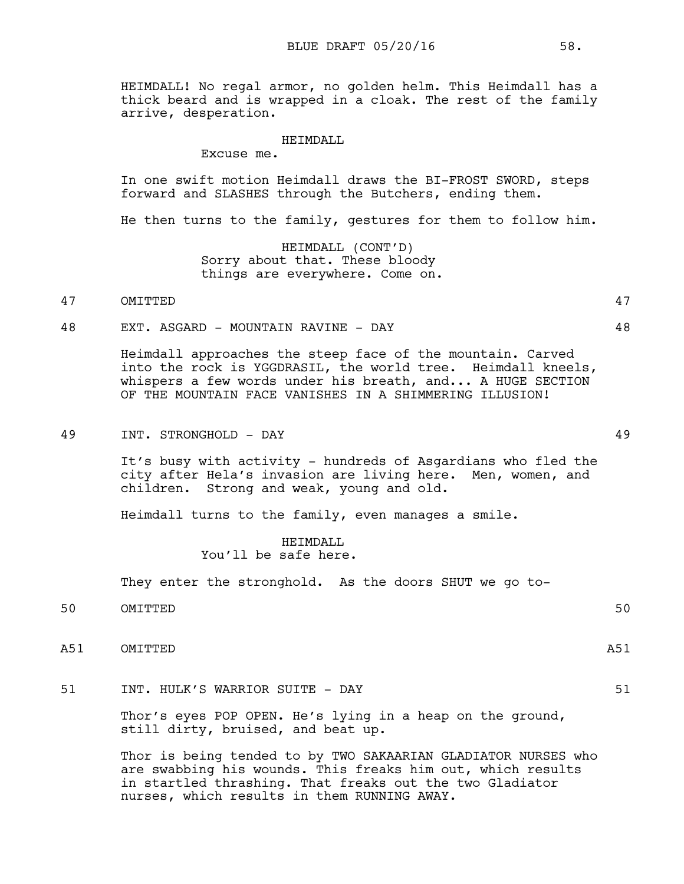HEIMDALL! No regal armor, no golden helm. This Heimdall has a thick beard and is wrapped in a cloak. The rest of the family arrive, desperation.

#### HEIMDALL

Excuse me.

In one swift motion Heimdall draws the BI-FROST SWORD, steps forward and SLASHES through the Butchers, ending them.

He then turns to the family, gestures for them to follow him.

HEIMDALL (CONT'D) Sorry about that. These bloody things are everywhere. Come on.

### 47 OMITTED 47

48 EXT. ASGARD - MOUNTAIN RAVINE - DAY 48

Heimdall approaches the steep face of the mountain. Carved into the rock is YGGDRASIL, the world tree. Heimdall kneels, whispers a few words under his breath, and... A HUGE SECTION OF THE MOUNTAIN FACE VANISHES IN A SHIMMERING ILLUSION!

#### 49 INT. STRONGHOLD - DAY 49

It's busy with activity - hundreds of Asgardians who fled the city after Hela's invasion are living here. Men, women, and children. Strong and weak, young and old.

Heimdall turns to the family, even manages a smile.

HEIMDALL You'll be safe here.

They enter the stronghold. As the doors SHUT we go to-

- 50 OMITTED 50
- A51 OMITTED A51

51 INT. HULK'S WARRIOR SUITE - DAY 51

Thor's eyes POP OPEN. He's lying in a heap on the ground, still dirty, bruised, and beat up.

Thor is being tended to by TWO SAKAARIAN GLADIATOR NURSES who are swabbing his wounds. This freaks him out, which results in startled thrashing. That freaks out the two Gladiator nurses, which results in them RUNNING AWAY.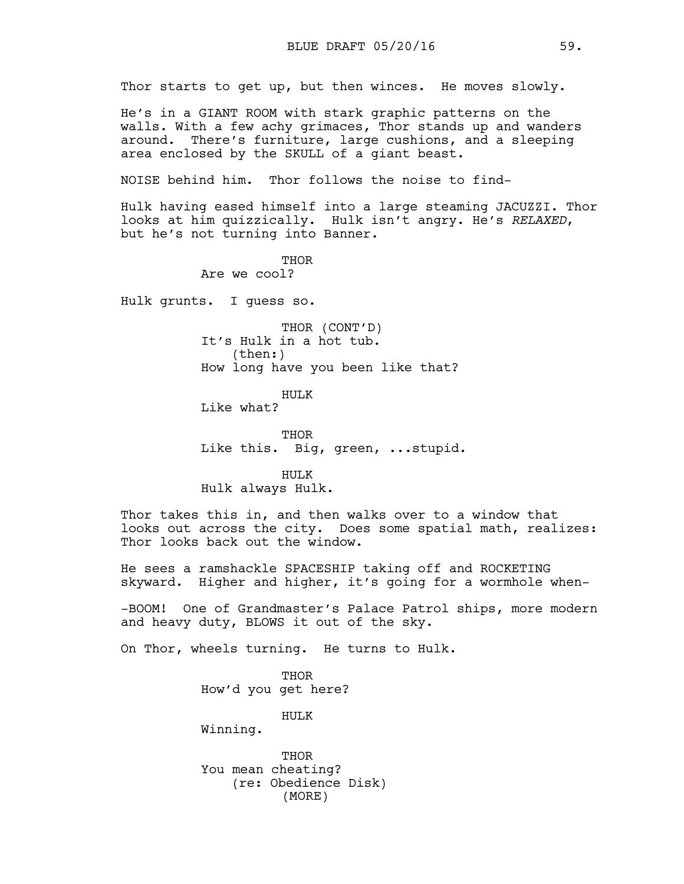Thor starts to get up, but then winces. He moves slowly.

He's in a GIANT ROOM with stark graphic patterns on the walls. With a few achy grimaces, Thor stands up and wanders around. There's furniture, large cushions, and a sleeping area enclosed by the SKULL of a giant beast.

NOISE behind him. Thor follows the noise to find-

Hulk having eased himself into a large steaming JACUZZI. Thor looks at him quizzically. Hulk isn't angry. He's *RELAXED*, but he's not turning into Banner.

> THOR Are we cool?

Hulk grunts. I guess so.

THOR (CONT'D) It's Hulk in a hot tub. (then:) How long have you been like that?

HULK Like what?

THOR Like this. Big, green, ...stupid.

HULK Hulk always Hulk.

Thor takes this in, and then walks over to a window that looks out across the city. Does some spatial math, realizes: Thor looks back out the window.

He sees a ramshackle SPACESHIP taking off and ROCKETING skyward. Higher and higher, it's going for a wormhole when-

-BOOM! One of Grandmaster's Palace Patrol ships, more modern and heavy duty, BLOWS it out of the sky.

On Thor, wheels turning. He turns to Hulk.

THOR How'd you get here?

HULK

Winning.

THOR You mean cheating? (re: Obedience Disk) (MORE)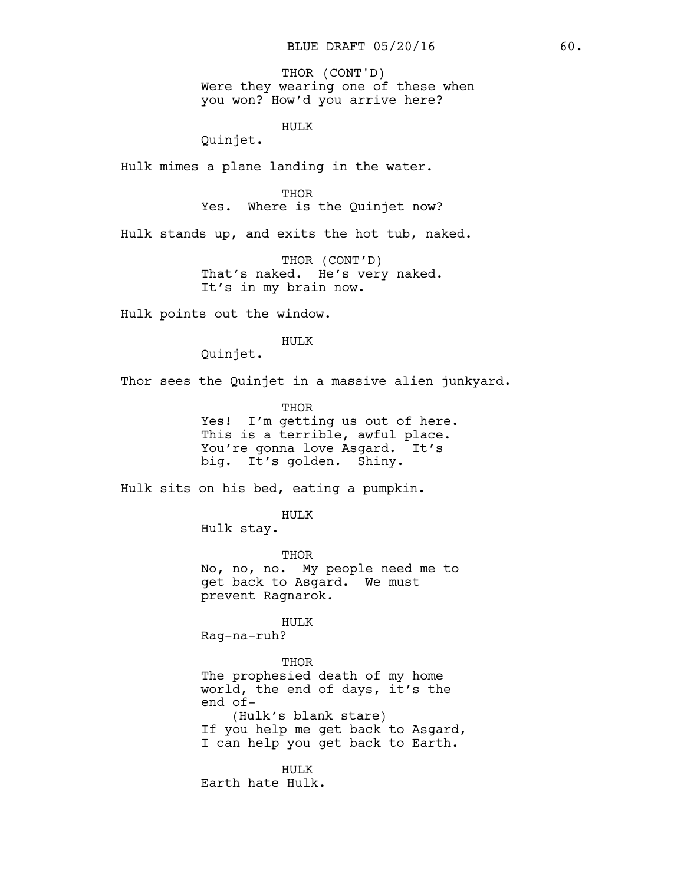Were they wearing one of these when you won? How'd you arrive here? THOR (CONT'D)

HULK

Quinjet.

Hulk mimes a plane landing in the water.

THOR

Yes. Where is the Quinjet now?

Hulk stands up, and exits the hot tub, naked.

THOR (CONT'D) That's naked. He's very naked. It's in my brain now.

Hulk points out the window.

HULK

Quinjet.

Thor sees the Quinjet in a massive alien junkyard.

THOR Yes! I'm getting us out of here. This is a terrible, awful place. You're gonna love Asgard. It's big. It's golden. Shiny.

Hulk sits on his bed, eating a pumpkin.

HULK

Hulk stay.

THOR No, no, no. My people need me to get back to Asgard. We must prevent Ragnarok.

HULK

Rag-na-ruh?

THOR The prophesied death of my home world, the end of days, it's the end of- (Hulk's blank stare) If you help me get back to Asgard, I can help you get back to Earth.

HULK Earth hate Hulk.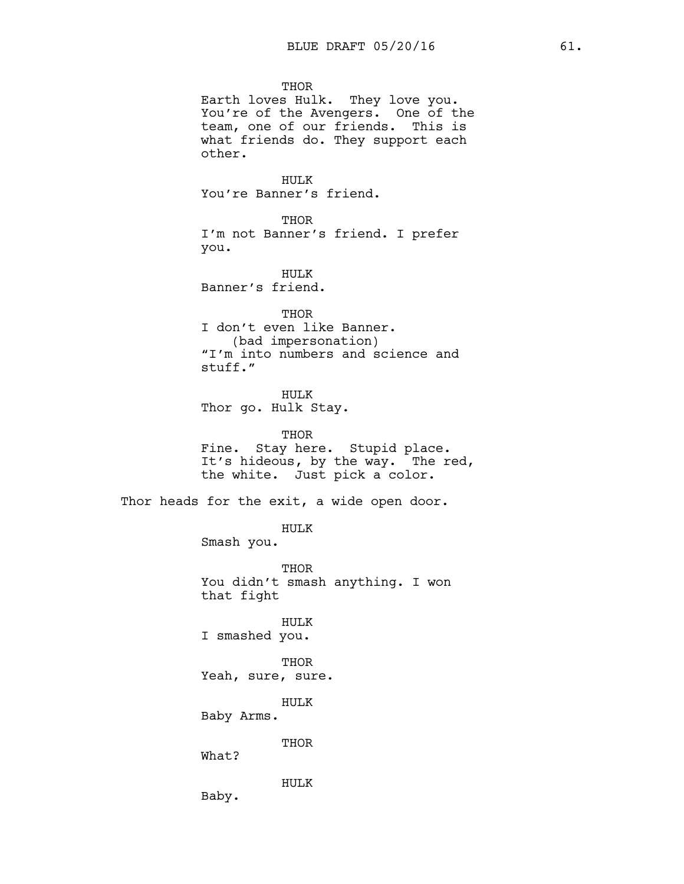THOR Earth loves Hulk. They love you. You're of the Avengers. One of the team, one of our friends. This is what friends do. They support each other.

HULK You're Banner's friend.

THOR I'm not Banner's friend. I prefer you.

HULK Banner's friend.

THOR I don't even like Banner. (bad impersonation) "I'm into numbers and science and stuff."

HULK Thor go. Hulk Stay.

THOR Fine. Stay here. Stupid place. It's hideous, by the way. The red, the white. Just pick a color.

Thor heads for the exit, a wide open door.

HULK

Smash you.

THOR You didn't smash anything. I won that fight

HULK I smashed you.

THOR Yeah, sure, sure.

HULK

Baby Arms.

THOR

What?

HULK

Baby.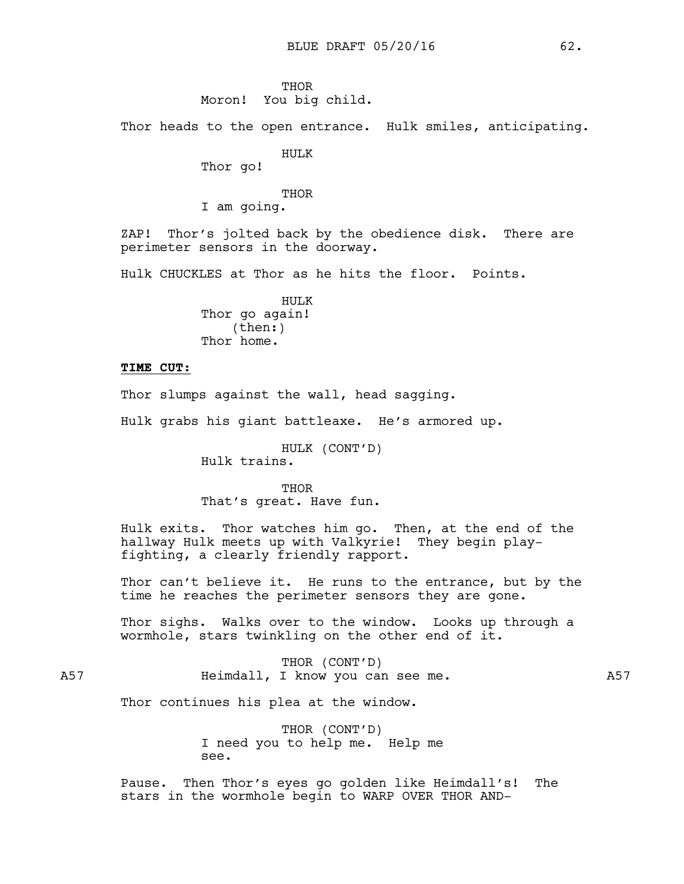#### **THOR**

### Moron! You big child.

Thor heads to the open entrance. Hulk smiles, anticipating.

### HULK

Thor go!

### **THOR**

I am going.

ZAP! Thor's jolted back by the obedience disk. There are perimeter sensors in the doorway.

Hulk CHUCKLES at Thor as he hits the floor. Points.

HULK Thor go again! (then:) Thor home.

### **TIME CUT:**

Thor slumps against the wall, head sagging.

Hulk grabs his giant battleaxe. He's armored up.

HULK (CONT'D) Hulk trains.

THOR That's great. Have fun.

Hulk exits. Thor watches him go. Then, at the end of the hallway Hulk meets up with Valkyrie! They begin playfighting, a clearly friendly rapport.

Thor can't believe it. He runs to the entrance, but by the time he reaches the perimeter sensors they are gone.

Thor sighs. Walks over to the window. Looks up through a wormhole, stars twinkling on the other end of it.

THOR (CONT'D) A57 Heimdall, I know you can see me. A57

Thor continues his plea at the window.

THOR (CONT'D) I need you to help me. Help me see.

Pause. Then Thor's eyes go golden like Heimdall's! The stars in the wormhole begin to WARP OVER THOR AND-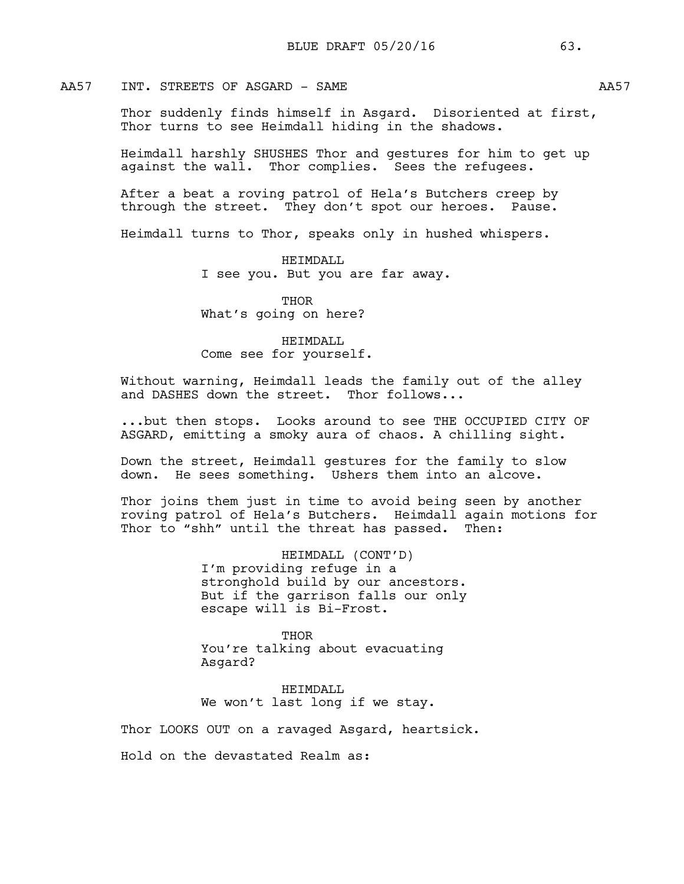### AA57 INT. STREETS OF ASGARD - SAME AA57

Thor suddenly finds himself in Asgard. Disoriented at first, Thor turns to see Heimdall hiding in the shadows.

Heimdall harshly SHUSHES Thor and gestures for him to get up against the wall. Thor complies. Sees the refugees.

After a beat a roving patrol of Hela's Butchers creep by through the street. They don't spot our heroes. Pause.

Heimdall turns to Thor, speaks only in hushed whispers.

HEIMDALL I see you. But you are far away.

**THOR** What's going on here?

### HEIMDALL Come see for yourself.

Without warning, Heimdall leads the family out of the alley and DASHES down the street. Thor follows...

...but then stops. Looks around to see THE OCCUPIED CITY OF ASGARD, emitting a smoky aura of chaos. A chilling sight.

Down the street, Heimdall gestures for the family to slow down. He sees something. Ushers them into an alcove.

Thor joins them just in time to avoid being seen by another roving patrol of Hela's Butchers. Heimdall again motions for Thor to "shh" until the threat has passed. Then:

> HEIMDALL (CONT'D) I'm providing refuge in a stronghold build by our ancestors. But if the garrison falls our only escape will is Bi-Frost.

THOR You're talking about evacuating Asgard?

HEIMDALL We won't last long if we stay.

Thor LOOKS OUT on a ravaged Asgard, heartsick.

Hold on the devastated Realm as: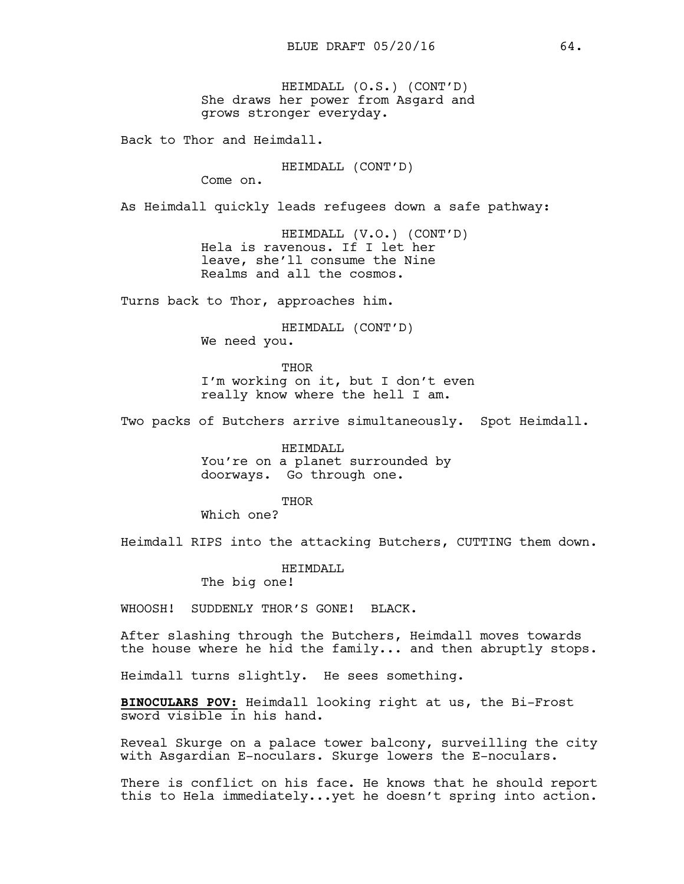HEIMDALL (O.S.) (CONT'D) She draws her power from Asgard and grows stronger everyday.

Back to Thor and Heimdall.

HEIMDALL (CONT'D)

Come on.

As Heimdall quickly leads refugees down a safe pathway:

HEIMDALL (V.O.) (CONT'D) Hela is ravenous. If I let her leave, she'll consume the Nine Realms and all the cosmos.

Turns back to Thor, approaches him.

HEIMDALL (CONT'D) We need you.

THOR I'm working on it, but I don't even really know where the hell I am.

Two packs of Butchers arrive simultaneously. Spot Heimdall.

HEIMDALL You're on a planet surrounded by doorways. Go through one.

THOR

Which one?

Heimdall RIPS into the attacking Butchers, CUTTING them down.

HEIMDALL

The big one!

WHOOSH! SUDDENLY THOR'S GONE! BLACK.

After slashing through the Butchers, Heimdall moves towards the house where he hid the family... and then abruptly stops.

Heimdall turns slightly. He sees something.

**BINOCULARS POV:** Heimdall looking right at us, the Bi-Frost sword visible in his hand.

Reveal Skurge on a palace tower balcony, surveilling the city with Asgardian E-noculars. Skurge lowers the E-noculars.

There is conflict on his face. He knows that he should report this to Hela immediately...yet he doesn't spring into action.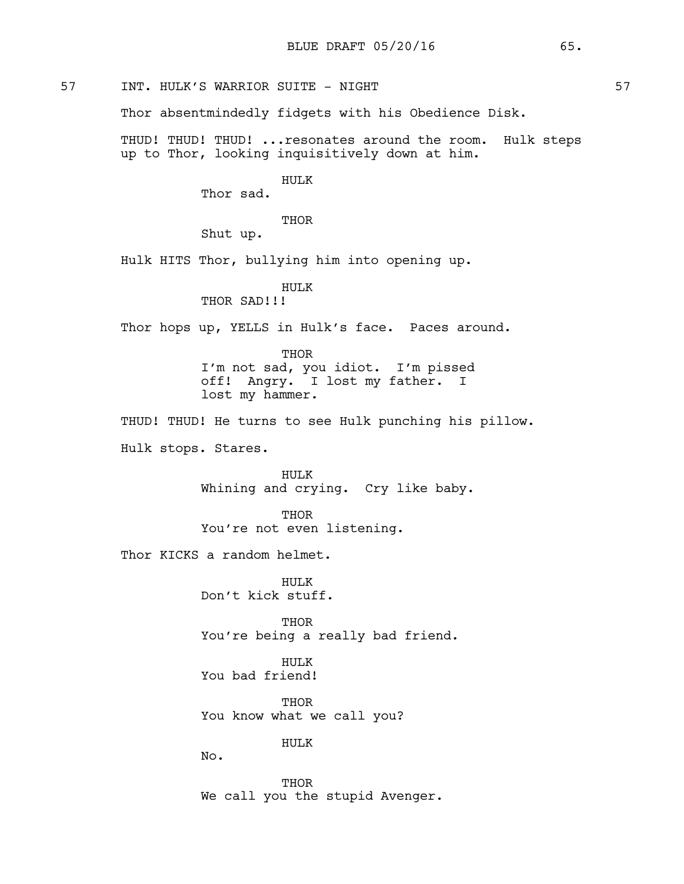# 57 INT. HULK'S WARRIOR SUITE - NIGHT 57

Thor absentmindedly fidgets with his Obedience Disk.

THUD! THUD! THUD! ...resonates around the room. Hulk steps up to Thor, looking inquisitively down at him.

#### HULK

Thor sad.

**THOR** 

Shut up.

Hulk HITS Thor, bullying him into opening up.

## HULK

THOR SAD!!!

Thor hops up, YELLS in Hulk's face. Paces around.

THOR I'm not sad, you idiot. I'm pissed off! Angry. I lost my father. I lost my hammer.

THUD! THUD! He turns to see Hulk punching his pillow.

Hulk stops. Stares.

HULK Whining and crying. Cry like baby.

THOR You're not even listening.

Thor KICKS a random helmet.

HULK Don't kick stuff.

THOR You're being a really bad friend.

HULK You bad friend!

THOR You know what we call you?

HULK

No.

**THOR** We call you the stupid Avenger.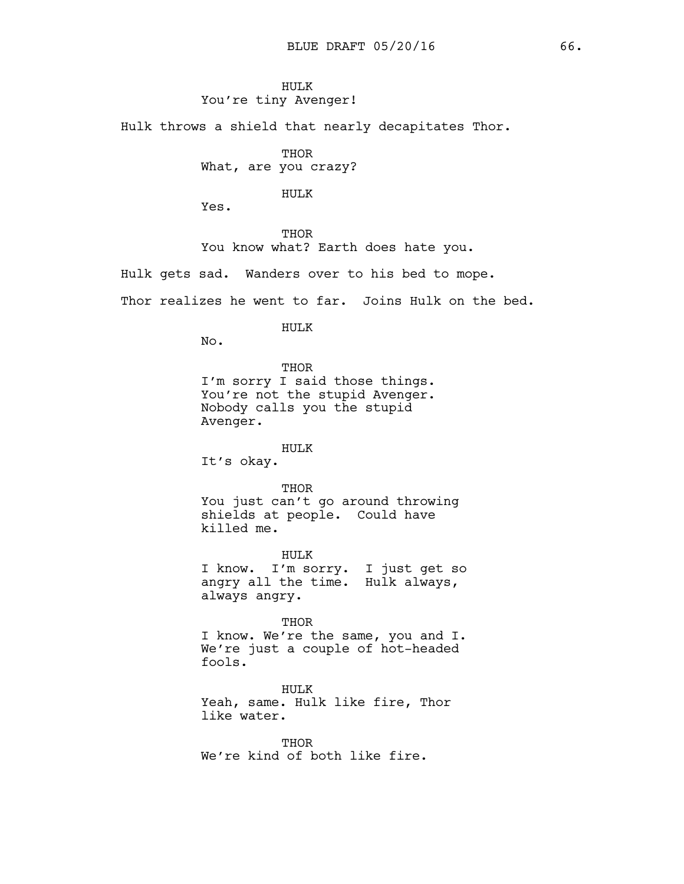### HULK You're tiny Avenger!

Hulk throws a shield that nearly decapitates Thor.

**THOR** 

What, are you crazy?

### HULK

Yes.

THOR You know what? Earth does hate you.

Hulk gets sad. Wanders over to his bed to mope.

Thor realizes he went to far. Joins Hulk on the bed.

#### HULK

No.

### THOR

I'm sorry I said those things. You're not the stupid Avenger. Nobody calls you the stupid Avenger.

# HULK

It's okay.

#### THOR

You just can't go around throwing shields at people. Could have killed me.

HULK I know. I'm sorry. I just get so angry all the time. Hulk always, always angry.

THOR I know. We're the same, you and I. We're just a couple of hot-headed fools.

HULK Yeah, same. Hulk like fire, Thor like water.

THOR We're kind of both like fire.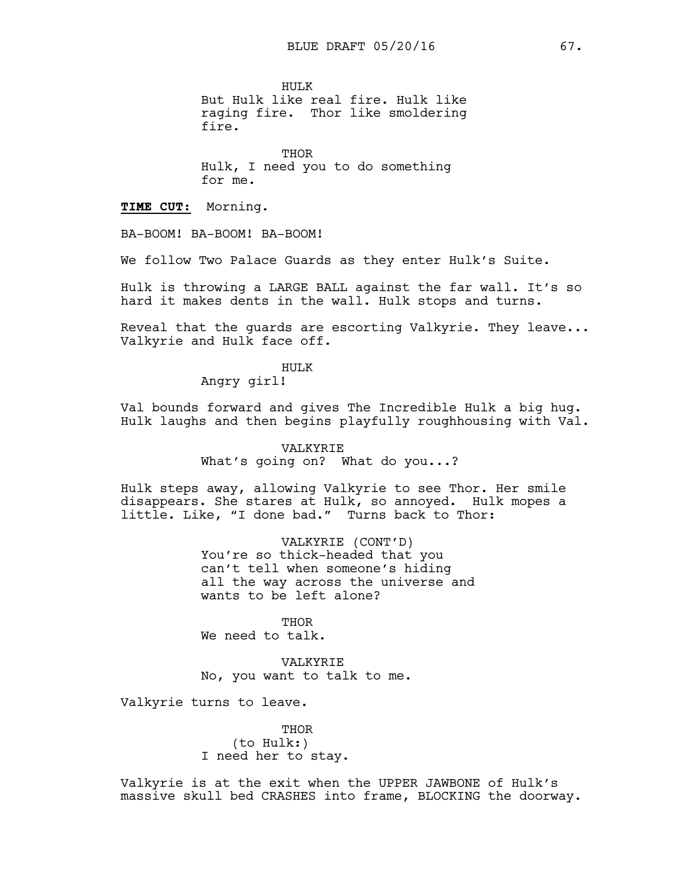HULK

But Hulk like real fire. Hulk like raging fire. Thor like smoldering fire.

**THOR** Hulk, I need you to do something for me.

**TIME CUT:** Morning.

BA-BOOM! BA-BOOM! BA-BOOM!

We follow Two Palace Guards as they enter Hulk's Suite.

Hulk is throwing a LARGE BALL against the far wall. It's so hard it makes dents in the wall. Hulk stops and turns.

Reveal that the guards are escorting Valkyrie. They leave... Valkyrie and Hulk face off.

HULK

Angry girl!

Val bounds forward and gives The Incredible Hulk a big hug. Hulk laughs and then begins playfully roughhousing with Val.

> VALKYRIE What's going on? What do you...?

Hulk steps away, allowing Valkyrie to see Thor. Her smile disappears. She stares at Hulk, so annoyed. Hulk mopes a little. Like, "I done bad." Turns back to Thor:

> VALKYRIE (CONT'D) You're so thick-headed that you can't tell when someone's hiding all the way across the universe and wants to be left alone?

THOR We need to talk.

VALKYRIE No, you want to talk to me.

Valkyrie turns to leave.

**THOR** (to Hulk:) I need her to stay.

Valkyrie is at the exit when the UPPER JAWBONE of Hulk's massive skull bed CRASHES into frame, BLOCKING the doorway.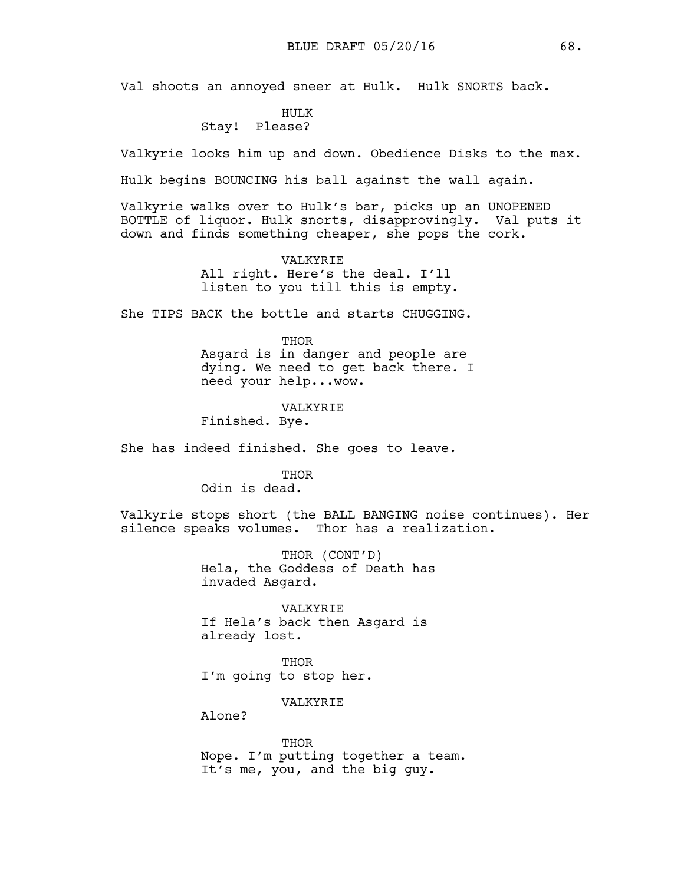Val shoots an annoyed sneer at Hulk. Hulk SNORTS back.

# HULK

# Stay! Please?

Valkyrie looks him up and down. Obedience Disks to the max.

Hulk begins BOUNCING his ball against the wall again.

Valkyrie walks over to Hulk's bar, picks up an UNOPENED BOTTLE of liquor. Hulk snorts, disapprovingly. Val puts it down and finds something cheaper, she pops the cork.

> VALKYRIE All right. Here's the deal. I'll listen to you till this is empty.

She TIPS BACK the bottle and starts CHUGGING.

#### THOR

Asgard is in danger and people are dying. We need to get back there. I need your help...wow.

VALKYRIE

Finished. Bye.

She has indeed finished. She goes to leave.

THOR

Odin is dead.

Valkyrie stops short (the BALL BANGING noise continues). Her silence speaks volumes. Thor has a realization.

> THOR (CONT'D) Hela, the Goddess of Death has invaded Asgard.

VALKYRIE If Hela's back then Asgard is already lost.

THOR I'm going to stop her.

VALKYRIE

Alone?

THOR Nope. I'm putting together a team. It's me, you, and the big guy.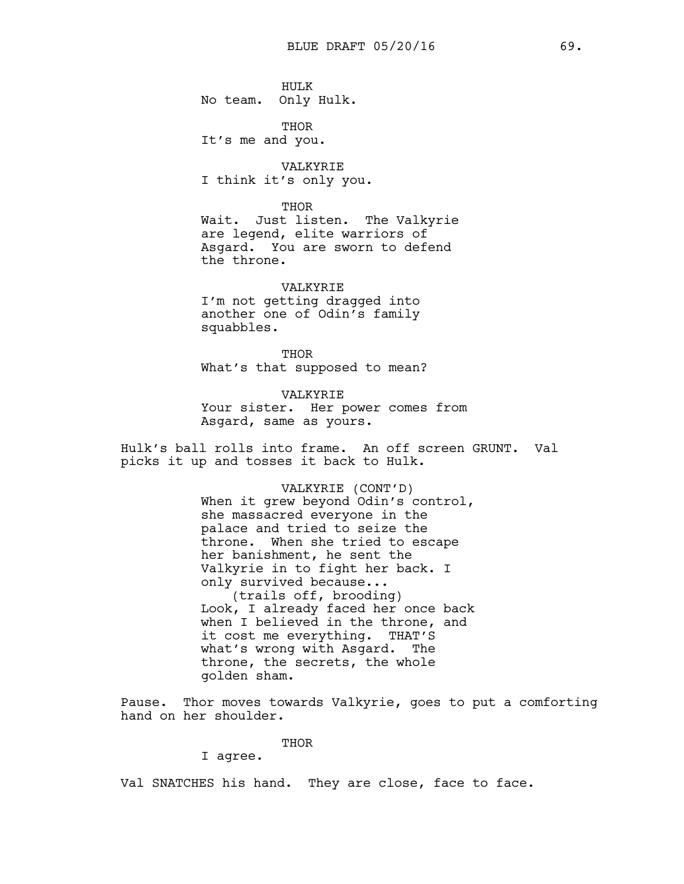HULK No team. Only Hulk.

THOR It's me and you.

VALKYRIE I think it's only you.

THOR

Wait. Just listen. The Valkyrie are legend, elite warriors of Asgard. You are sworn to defend the throne.

VALKYRIE I'm not getting dragged into another one of Odin's family squabbles.

THOR What's that supposed to mean?

VALKYRIE Your sister. Her power comes from Asgard, same as yours.

Hulk's ball rolls into frame. An off screen GRUNT. Val picks it up and tosses it back to Hulk.

> VALKYRIE (CONT'D) When it grew beyond Odin's control, she massacred everyone in the palace and tried to seize the throne. When she tried to escape her banishment, he sent the Valkyrie in to fight her back. I only survived because... (trails off, brooding) Look, I already faced her once back when I believed in the throne, and it cost me everything. THAT'S what's wrong with Asgard. The throne, the secrets, the whole golden sham.

Pause. Thor moves towards Valkyrie, goes to put a comforting hand on her shoulder.

THOR

I agree.

Val SNATCHES his hand. They are close, face to face.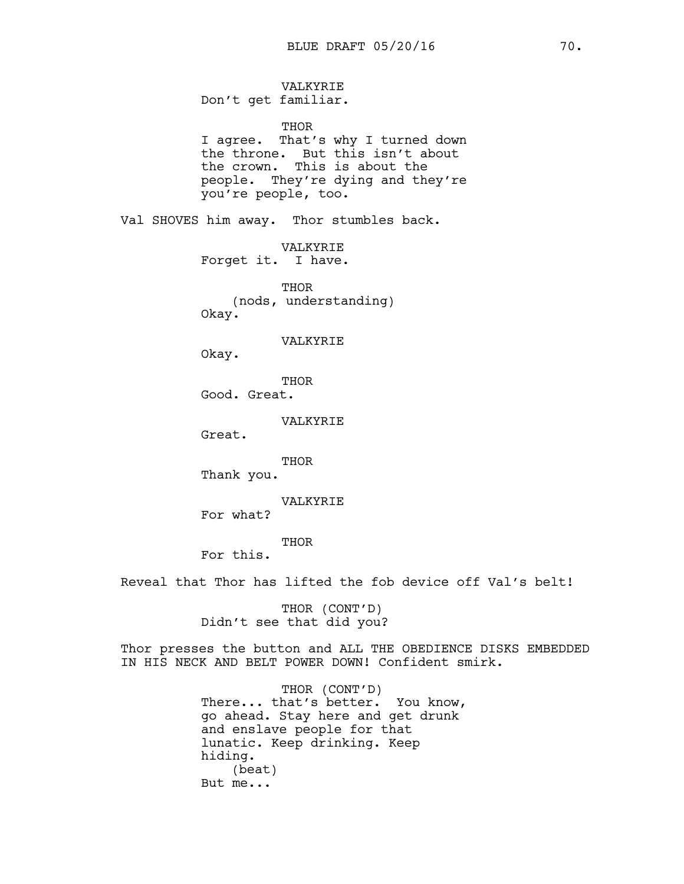VALKYRIE Don't get familiar.

THOR

I agree. That's why I turned down the throne. But this isn't about the crown. This is about the people. They're dying and they're you're people, too.

Val SHOVES him away. Thor stumbles back.

VALKYRIE Forget it. I have.

THOR (nods, understanding) Okay.

VALKYRIE

Okay.

THOR Good. Great.

VALKYRIE

Great.

THOR

Thank you.

VALKYRIE

For what?

THOR

For this.

Reveal that Thor has lifted the fob device off Val's belt!

THOR (CONT'D) Didn't see that did you?

Thor presses the button and ALL THE OBEDIENCE DISKS EMBEDDED IN HIS NECK AND BELT POWER DOWN! Confident smirk.

> THOR (CONT'D) There... that's better. You know, go ahead. Stay here and get drunk and enslave people for that lunatic. Keep drinking. Keep hiding. (beat) But me...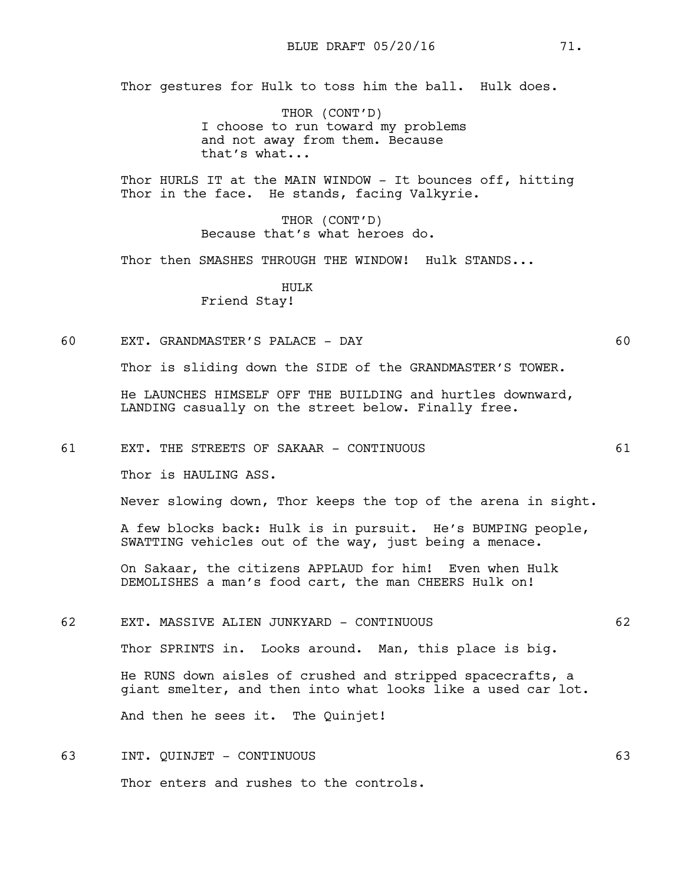Thor gestures for Hulk to toss him the ball. Hulk does.

THOR (CONT'D) I choose to run toward my problems and not away from them. Because that's what...

Thor HURLS IT at the MAIN WINDOW - It bounces off, hitting Thor in the face. He stands, facing Valkyrie.

> THOR (CONT'D) Because that's what heroes do.

Thor then SMASHES THROUGH THE WINDOW! Hulk STANDS...

HULK Friend Stay!

60 EXT. GRANDMASTER'S PALACE - DAY 60

Thor is sliding down the SIDE of the GRANDMASTER'S TOWER.

He LAUNCHES HIMSELF OFF THE BUILDING and hurtles downward, LANDING casually on the street below. Finally free.

61 EXT. THE STREETS OF SAKAAR - CONTINUOUS 61

Thor is HAULING ASS.

Never slowing down, Thor keeps the top of the arena in sight.

A few blocks back: Hulk is in pursuit. He's BUMPING people, SWATTING vehicles out of the way, just being a menace.

On Sakaar, the citizens APPLAUD for him! Even when Hulk DEMOLISHES a man's food cart, the man CHEERS Hulk on!

62 EXT. MASSIVE ALIEN JUNKYARD - CONTINUOUS 62

Thor SPRINTS in. Looks around. Man, this place is big.

He RUNS down aisles of crushed and stripped spacecrafts, a giant smelter, and then into what looks like a used car lot.

And then he sees it. The Quinjet!

63 INT. QUINJET - CONTINUOUS 63 Thor enters and rushes to the controls.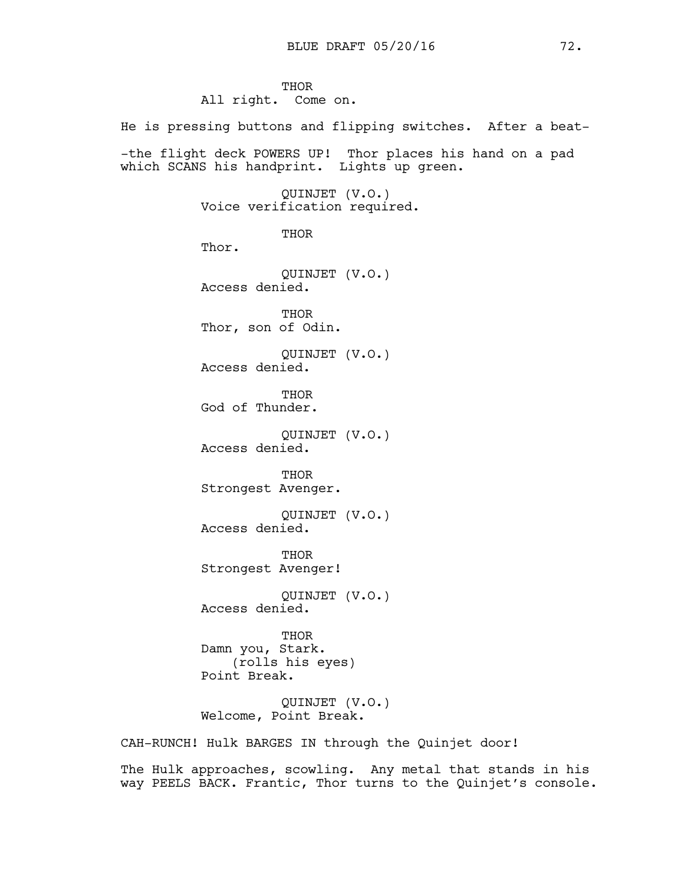**THOR** All right. Come on.

He is pressing buttons and flipping switches. After a beat- -the flight deck POWERS UP! Thor places his hand on a pad which SCANS his handprint. Lights up green. QUINJET (V.O.) Voice verification required. **THOR** Thor. QUINJET (V.O.) Access denied. THOR Thor, son of Odin. QUINJET (V.O.) Access denied. **THOR** God of Thunder. QUINJET (V.O.) Access denied. THOR Strongest Avenger. QUINJET (V.O.) Access denied. THOR Strongest Avenger! QUINJET (V.O.) Access denied. THOR Damn you, Stark. (rolls his eyes) Point Break. QUINJET (V.O.) Welcome, Point Break. CAH-RUNCH! Hulk BARGES IN through the Quinjet door!

The Hulk approaches, scowling. Any metal that stands in his way PEELS BACK. Frantic, Thor turns to the Quinjet's console.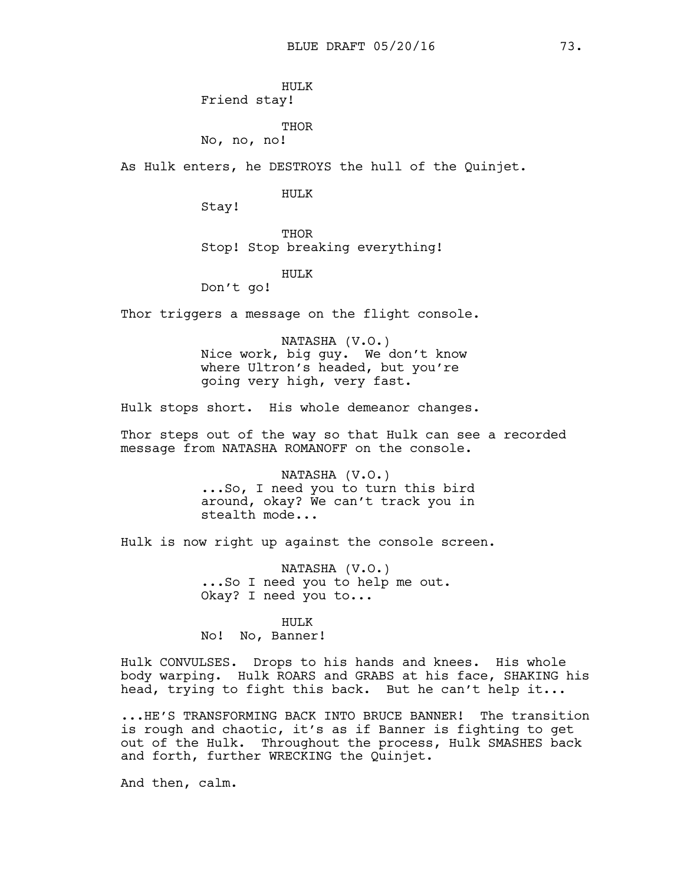HULK Friend stay!

THOR

No, no, no!

As Hulk enters, he DESTROYS the hull of the Quinjet.

HULK

Stay!

THOR Stop! Stop breaking everything!

HULK

Don't go!

Thor triggers a message on the flight console.

NATASHA (V.O.) Nice work, big guy. We don't know where Ultron's headed, but you're going very high, very fast.

Hulk stops short. His whole demeanor changes.

Thor steps out of the way so that Hulk can see a recorded message from NATASHA ROMANOFF on the console.

> NATASHA (V.O.) ...So, I need you to turn this bird around, okay? We can't track you in stealth mode...

Hulk is now right up against the console screen.

NATASHA (V.O.) ...So I need you to help me out. Okay? I need you to...

HULK

No! No, Banner!

Hulk CONVULSES. Drops to his hands and knees. His whole body warping. Hulk ROARS and GRABS at his face, SHAKING his head, trying to fight this back. But he can't help it...

...HE'S TRANSFORMING BACK INTO BRUCE BANNER! The transition is rough and chaotic, it's as if Banner is fighting to get out of the Hulk. Throughout the process, Hulk SMASHES back and forth, further WRECKING the Quinjet.

And then, calm.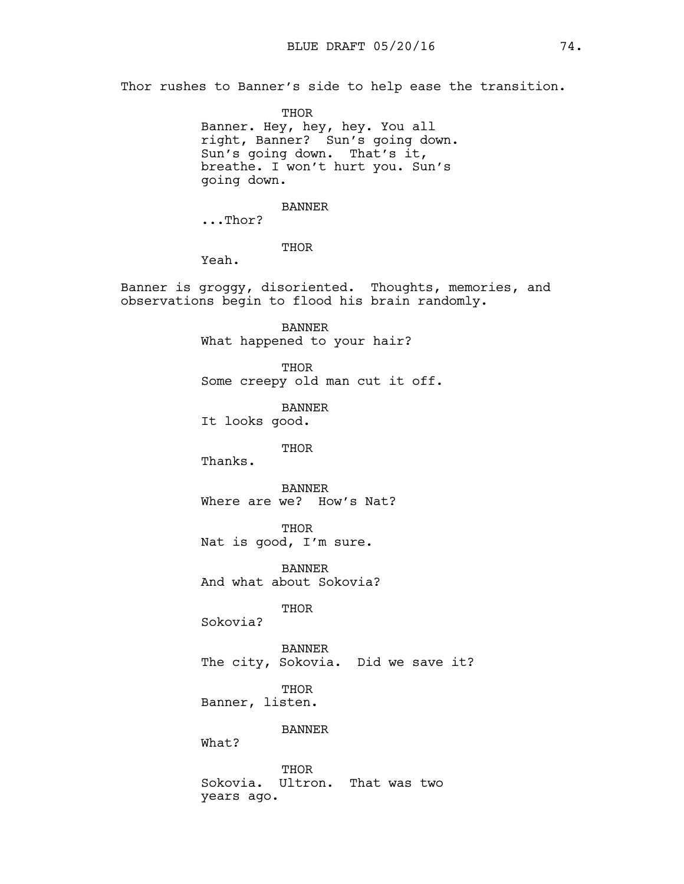Thor rushes to Banner's side to help ease the transition.

THOR Banner. Hey, hey, hey. You all right, Banner? Sun's going down. Sun's going down. That's it, breathe. I won't hurt you. Sun's going down.

BANNER

...Thor?

THOR

Yeah.

Banner is groggy, disoriented. Thoughts, memories, and observations begin to flood his brain randomly.

> BANNER What happened to your hair?

THOR Some creepy old man cut it off.

BANNER It looks good.

## THOR

Thanks.

BANNER Where are we? How's Nat?

THOR Nat is good, I'm sure.

BANNER And what about Sokovia?

THOR

Sokovia?

BANNER The city, Sokovia. Did we save it?

THOR

Banner, listen.

BANNER

What?

THOR Sokovia. Ultron. That was two years ago.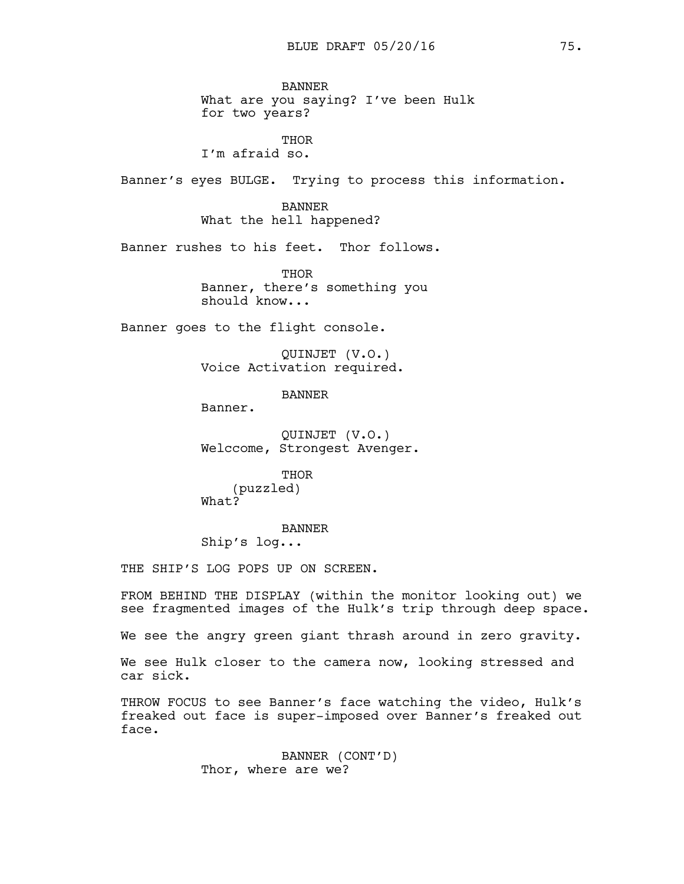BANNER What are you saying? I've been Hulk for two years?

THOR I'm afraid so.

Banner's eyes BULGE. Trying to process this information.

BANNER What the hell happened?

Banner rushes to his feet. Thor follows.

THOR Banner, there's something you should know...

Banner goes to the flight console.

QUINJET (V.O.) Voice Activation required.

BANNER

Banner.

QUINJET (V.O.) Welccome, Strongest Avenger.

THOR (puzzled) What?

BANNER Ship's log...

THE SHIP'S LOG POPS UP ON SCREEN.

FROM BEHIND THE DISPLAY (within the monitor looking out) we see fragmented images of the Hulk's trip through deep space.

We see the angry green giant thrash around in zero gravity.

We see Hulk closer to the camera now, looking stressed and car sick.

THROW FOCUS to see Banner's face watching the video, Hulk's freaked out face is super-imposed over Banner's freaked out face.

> BANNER (CONT'D) Thor, where are we?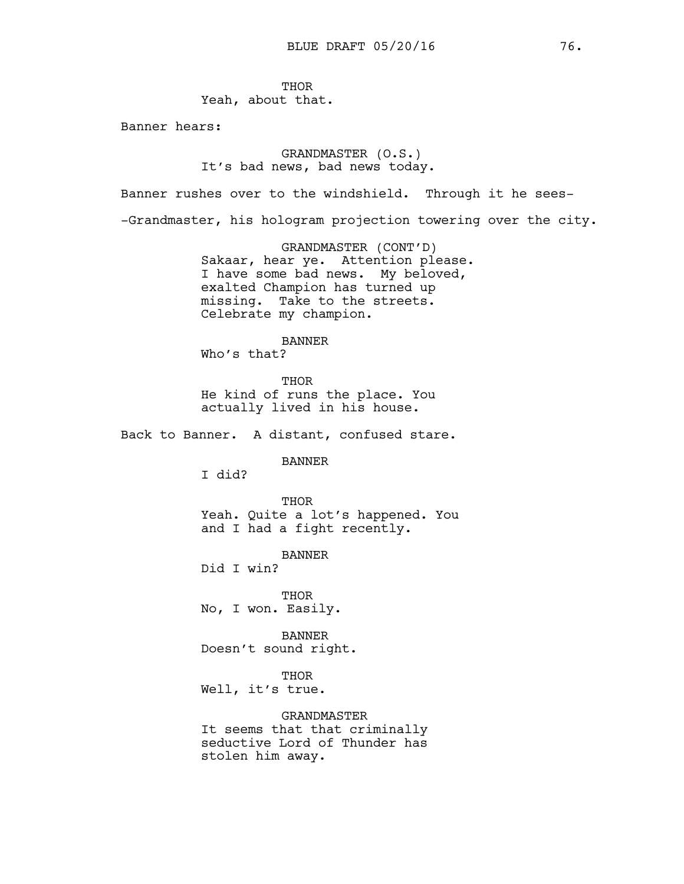THOR Yeah, about that.

Banner hears:

# GRANDMASTER (O.S.) It's bad news, bad news today.

Banner rushes over to the windshield. Through it he sees-

-Grandmaster, his hologram projection towering over the city.

GRANDMASTER (CONT'D) Sakaar, hear ye. Attention please. I have some bad news. My beloved, exalted Champion has turned up missing. Take to the streets. Celebrate my champion.

## BANNER

Who's that?

**THOR** He kind of runs the place. You actually lived in his house.

Back to Banner. A distant, confused stare.

BANNER

I did?

THOR Yeah. Quite a lot's happened. You and I had a fight recently.

BANNER

Did I win?

**THOR** No, I won. Easily.

BANNER Doesn't sound right.

THOR

Well, it's true.

GRANDMASTER

It seems that that criminally seductive Lord of Thunder has stolen him away.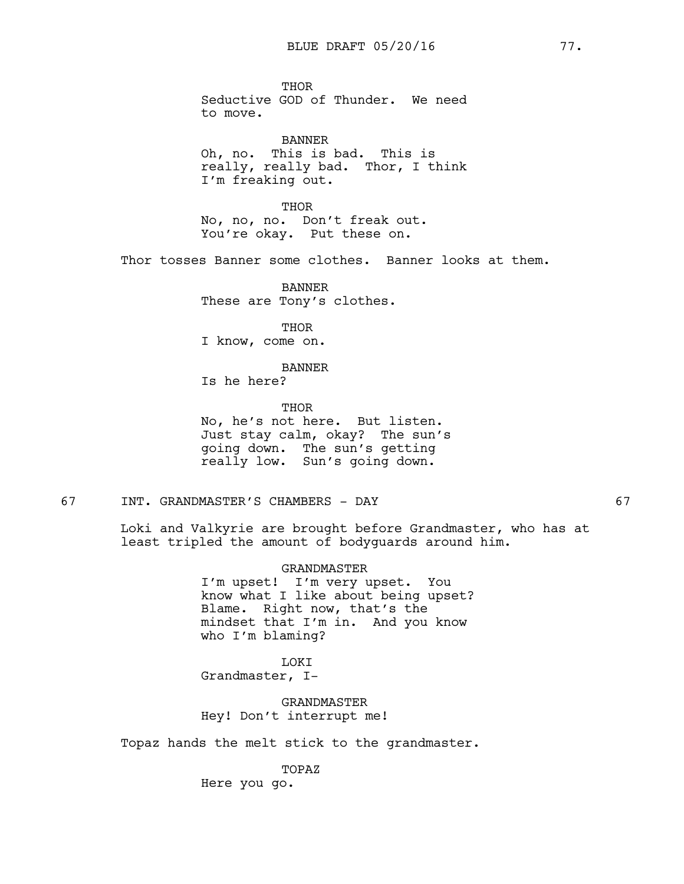THOR Seductive GOD of Thunder. We need to move.

BANNER Oh, no. This is bad. This is really, really bad. Thor, I think I'm freaking out.

THOR No, no, no. Don't freak out. You're okay. Put these on.

Thor tosses Banner some clothes. Banner looks at them.

BANNER These are Tony's clothes.

THOR

I know, come on.

BANNER Is he here?

THOR No, he's not here. But listen. Just stay calm, okay? The sun's going down. The sun's getting really low. Sun's going down.

67 INT. GRANDMASTER'S CHAMBERS - DAY 67

Loki and Valkyrie are brought before Grandmaster, who has at least tripled the amount of bodyguards around him.

> GRANDMASTER I'm upset! I'm very upset. You know what I like about being upset? Blame. Right now, that's the mindset that I'm in. And you know who I'm blaming?

LOKI Grandmaster, I-

GRANDMASTER Hey! Don't interrupt me!

Topaz hands the melt stick to the grandmaster.

TOPAZ Here you go.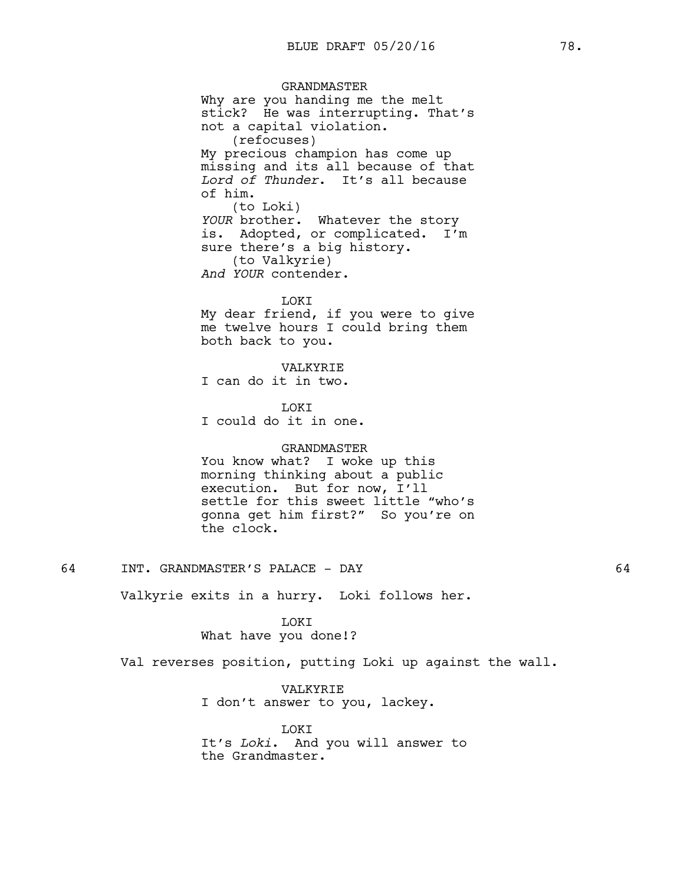GRANDMASTER Why are you handing me the melt stick? He was interrupting. That's not a capital violation. (refocuses) My precious champion has come up missing and its all because of that *Lord of Thunder*. It's all because of him. (to Loki) *YOUR* brother. Whatever the story is. Adopted, or complicated. I'm sure there's a big history. (to Valkyrie) *And YOUR* contender.

LOKI My dear friend, if you were to give me twelve hours I could bring them both back to you.

VALKYRIE I can do it in two.

**T.OKT** I could do it in one.

### GRANDMASTER

You know what? I woke up this morning thinking about a public execution. But for now, I'll settle for this sweet little "who's gonna get him first?" So you're on the clock.

64 INT. GRANDMASTER'S PALACE - DAY 64

Valkyrie exits in a hurry. Loki follows her.

LOKI What have you done!?

Val reverses position, putting Loki up against the wall.

VALKYRIE I don't answer to you, lackey.

LOKI It's *Loki*. And you will answer to the Grandmaster.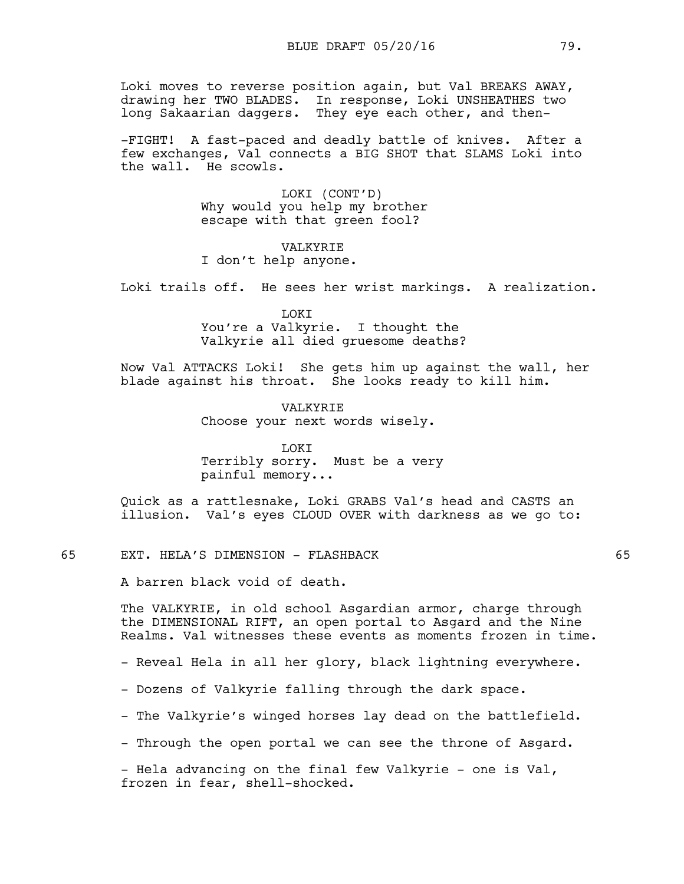Loki moves to reverse position again, but Val BREAKS AWAY, drawing her TWO BLADES. In response, Loki UNSHEATHES two long Sakaarian daggers. They eye each other, and then-

-FIGHT! A fast-paced and deadly battle of knives. After a few exchanges, Val connects a BIG SHOT that SLAMS Loki into the wall. He scowls.

> LOKI (CONT'D) Why would you help my brother escape with that green fool?

VALKYRIE I don't help anyone.

Loki trails off. He sees her wrist markings. A realization.

LOKI You're a Valkyrie. I thought the Valkyrie all died gruesome deaths?

Now Val ATTACKS Loki! She gets him up against the wall, her blade against his throat. She looks ready to kill him.

> VALKYRIE Choose your next words wisely.

LOKI Terribly sorry. Must be a very painful memory...

Quick as a rattlesnake, Loki GRABS Val's head and CASTS an illusion. Val's eyes CLOUD OVER with darkness as we go to:

65 EXT. HELA'S DIMENSION - FLASHBACK 65

A barren black void of death.

The VALKYRIE, in old school Asgardian armor, charge through the DIMENSIONAL RIFT, an open portal to Asgard and the Nine Realms. Val witnesses these events as moments frozen in time.

- Reveal Hela in all her glory, black lightning everywhere.

- Dozens of Valkyrie falling through the dark space.
- The Valkyrie's winged horses lay dead on the battlefield.

- Through the open portal we can see the throne of Asgard.

- Hela advancing on the final few Valkyrie - one is Val, frozen in fear, shell-shocked.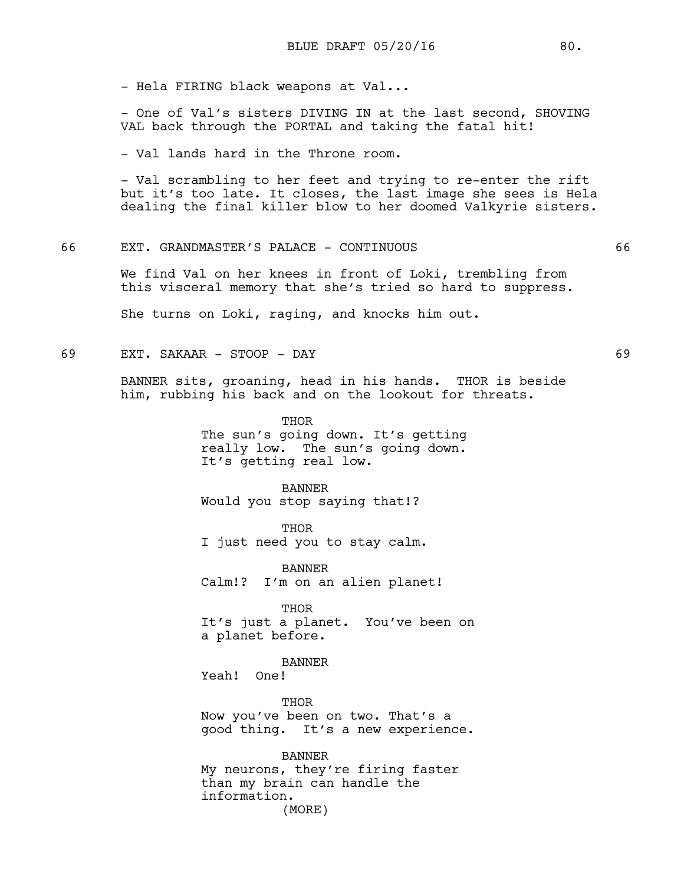- Hela FIRING black weapons at Val...

- One of Val's sisters DIVING IN at the last second, SHOVING VAL back through the PORTAL and taking the fatal hit!

- Val lands hard in the Throne room.

- Val scrambling to her feet and trying to re-enter the rift but it's too late. It closes, the last image she sees is Hela dealing the final killer blow to her doomed Valkyrie sisters.

# 66 EXT. GRANDMASTER'S PALACE - CONTINUOUS 66

We find Val on her knees in front of Loki, trembling from this visceral memory that she's tried so hard to suppress.

She turns on Loki, raging, and knocks him out.

69 EXT. SAKAAR - STOOP - DAY 69

BANNER sits, groaning, head in his hands. THOR is beside him, rubbing his back and on the lookout for threats.

> THOR The sun's going down. It's getting really low. The sun's going down. It's getting real low.

BANNER Would you stop saying that!?

THOR I just need you to stay calm.

BANNER Calm!? I'm on an alien planet!

THOR It's just a planet. You've been on a planet before.

BANNER Yeah! One!

THOR Now you've been on two. That's a good thing. It's a new experience.

BANNER My neurons, they're firing faster than my brain can handle the information. (MORE)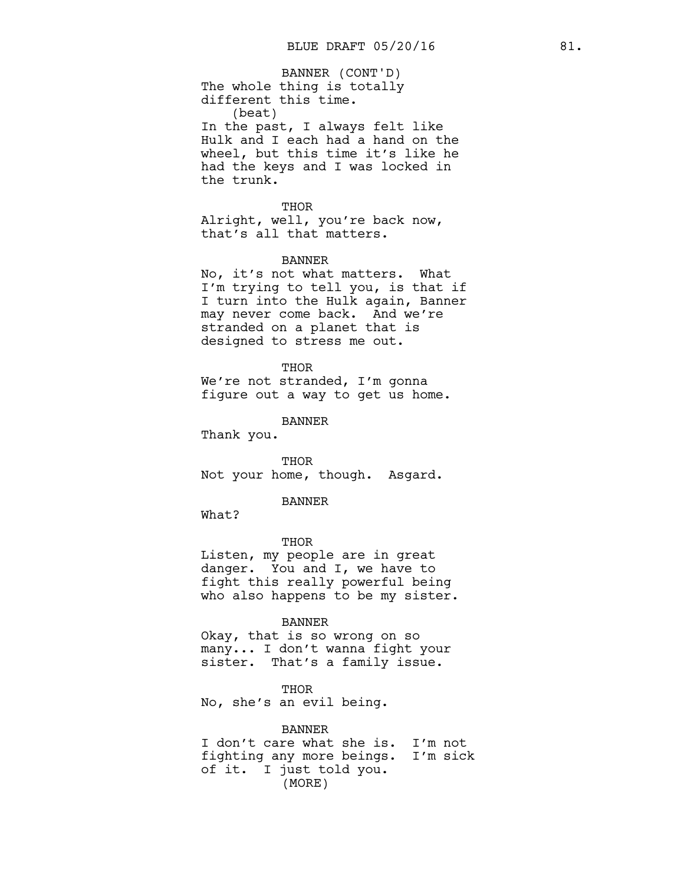The whole thing is totally different this time. (beat) In the past, I always felt like Hulk and I each had a hand on the wheel, but this time it's like he had the keys and I was locked in the trunk. BANNER (CONT'D)

THOR

Alright, well, you're back now, that's all that matters.

#### BANNER

No, it's not what matters. What I'm trying to tell you, is that if I turn into the Hulk again, Banner may never come back. And we're stranded on a planet that is designed to stress me out.

#### THOR

We're not stranded, I'm gonna figure out a way to get us home.

BANNER

Thank you.

THOR Not your home, though. Asgard.

#### BANNER

What?

THOR Listen, my people are in great danger. You and I, we have to fight this really powerful being who also happens to be my sister.

## BANNER

Okay, that is so wrong on so many... I don't wanna fight your sister. That's a family issue.

THOR No, she's an evil being.

BANNER I don't care what she is. I'm not fighting any more beings. I'm sick of it. I just told you. (MORE)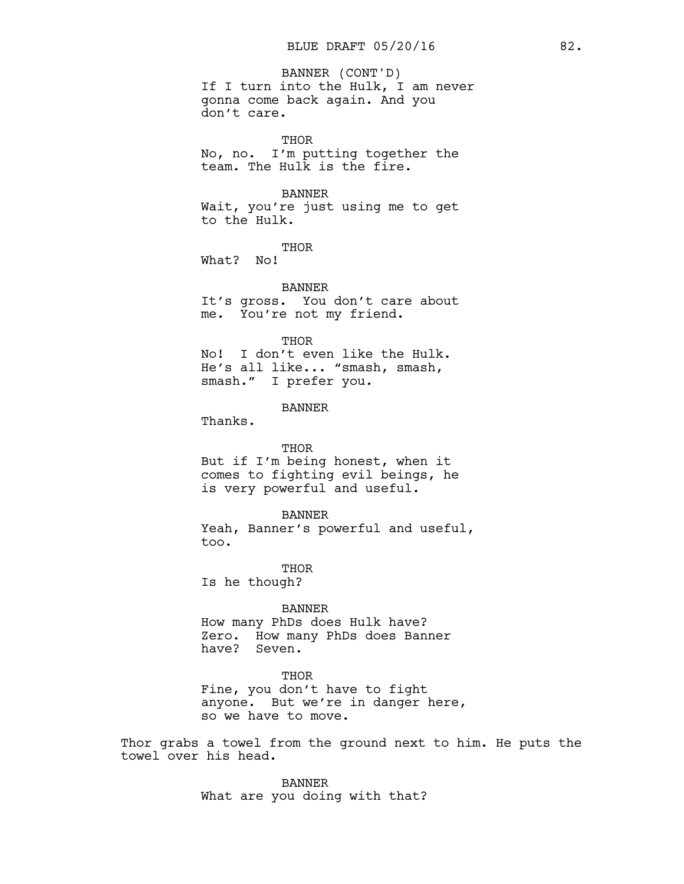# If I turn into the Hulk, I am never gonna come back again. And you don't care. BANNER (CONT'D)

THOR No, no. I'm putting together the team. The Hulk is the fire.

## BANNER

Wait, you're just using me to get to the Hulk.

THOR

What? No!

BANNER It's gross. You don't care about me. You're not my friend.

#### **THOR**

No! I don't even like the Hulk. He's all like... "smash, smash, smash." I prefer you.

## BANNER

Thanks.

### THOR

But if I'm being honest, when it comes to fighting evil beings, he is very powerful and useful.

#### BANNER

Yeah, Banner's powerful and useful, too.

THOR Is he though?

#### BANNER

How many PhDs does Hulk have? Zero. How many PhDs does Banner have? Seven.

#### THOR

Fine, you don't have to fight anyone. But we're in danger here, so we have to move.

Thor grabs a towel from the ground next to him. He puts the towel over his head.

> BANNER What are you doing with that?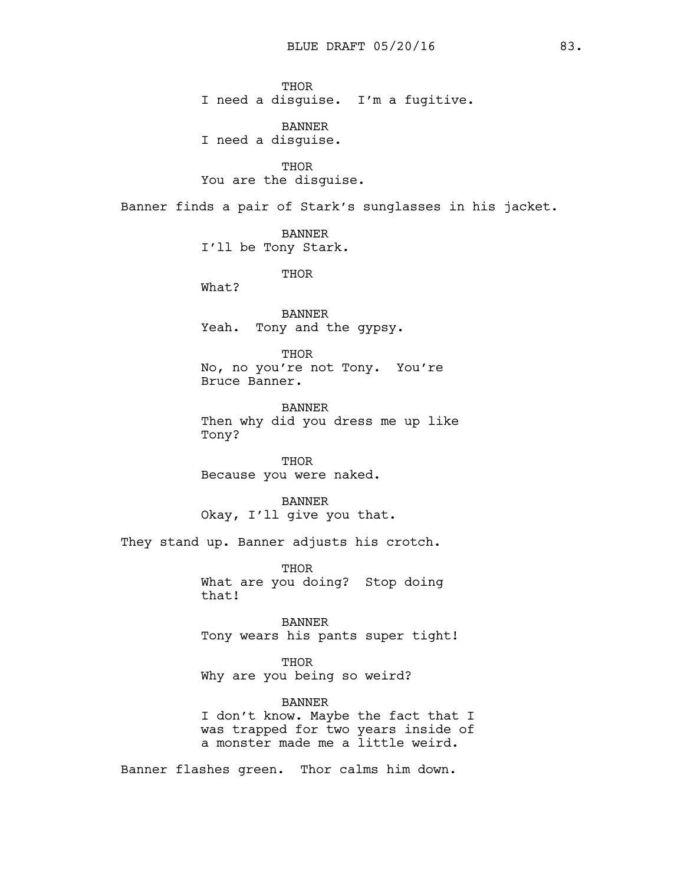**THOR** I need a disguise. I'm a fugitive.

BANNER I need a disguise.

THOR You are the disguise.

Banner finds a pair of Stark's sunglasses in his jacket.

BANNER I'll be Tony Stark.

THOR

What?

BANNER Yeah. Tony and the gypsy.

THOR No, no you're not Tony. You're Bruce Banner.

BANNER Then why did you dress me up like Tony?

THOR Because you were naked.

BANNER Okay, I'll give you that.

They stand up. Banner adjusts his crotch.

THOR What are you doing? Stop doing that!

BANNER Tony wears his pants super tight!

THOR Why are you being so weird?

BANNER I don't know. Maybe the fact that I was trapped for two years inside of a monster made me a little weird.

Banner flashes green. Thor calms him down.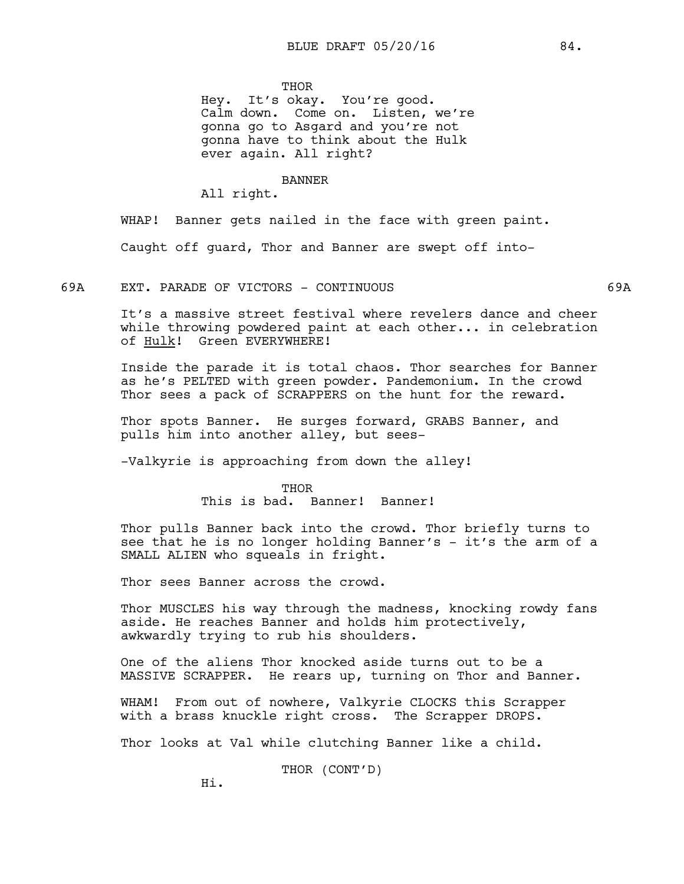**THOR** 

Hey. It's okay. You're good. Calm down. Come on. Listen, we're gonna go to Asgard and you're not gonna have to think about the Hulk ever again. All right?

## BANNER

All right.

WHAP! Banner gets nailed in the face with green paint. Caught off guard, Thor and Banner are swept off into-

## 69A EXT. PARADE OF VICTORS - CONTINUOUS 69A

It's a massive street festival where revelers dance and cheer while throwing powdered paint at each other... in celebration of Hulk! Green EVERYWHERE!

Inside the parade it is total chaos. Thor searches for Banner as he's PELTED with green powder. Pandemonium. In the crowd Thor sees a pack of SCRAPPERS on the hunt for the reward.

Thor spots Banner. He surges forward, GRABS Banner, and pulls him into another alley, but sees-

-Valkyrie is approaching from down the alley!

#### THOR

This is bad. Banner! Banner!

Thor pulls Banner back into the crowd. Thor briefly turns to see that he is no longer holding Banner's - it's the arm of a SMALL ALIEN who squeals in fright.

Thor sees Banner across the crowd.

Thor MUSCLES his way through the madness, knocking rowdy fans aside. He reaches Banner and holds him protectively, awkwardly trying to rub his shoulders.

One of the aliens Thor knocked aside turns out to be a MASSIVE SCRAPPER. He rears up, turning on Thor and Banner.

WHAM! From out of nowhere, Valkyrie CLOCKS this Scrapper with a brass knuckle right cross. The Scrapper DROPS.

Thor looks at Val while clutching Banner like a child.

THOR (CONT'D)

Hi.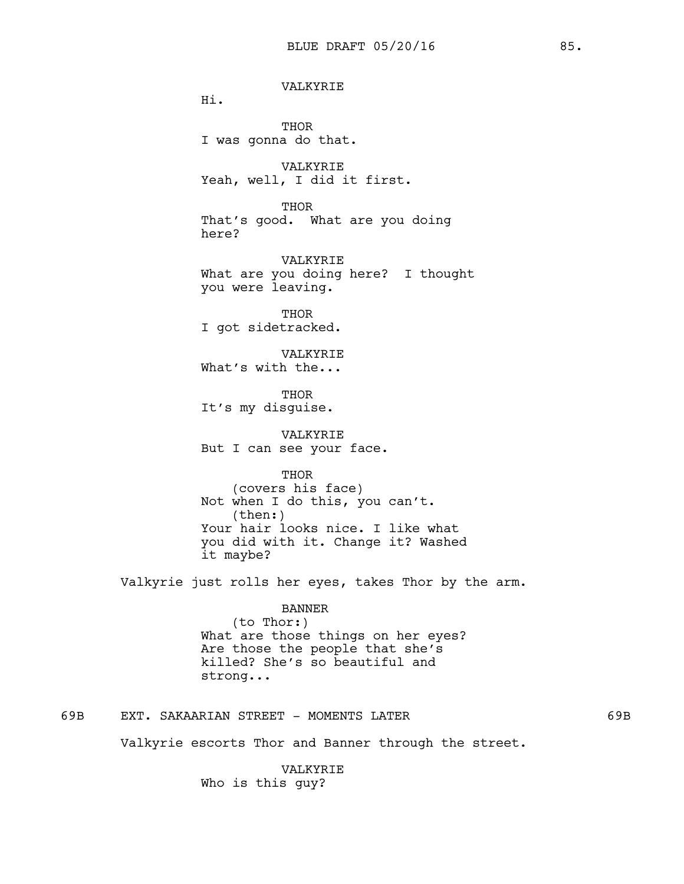VALKYRIE Hi. THOR I was gonna do that. VALKYRIE Yeah, well, I did it first. THOR That's good. What are you doing here? VALKYRIE What are you doing here? I thought you were leaving. THOR I got sidetracked. VALKYRIE What's with the... **THOR** It's my disguise. VALKYRIE But I can see your face. THOR (covers his face) Not when I do this, you can't. (then:) Your hair looks nice. I like what you did with it. Change it? Washed it maybe? Valkyrie just rolls her eyes, takes Thor by the arm. BANNER (to Thor:) What are those things on her eyes?

Are those the people that she's killed? She's so beautiful and strong...

69B EXT. SAKAARIAN STREET - MOMENTS LATER 69B

Valkyrie escorts Thor and Banner through the street.

VALKYRIE Who is this guy?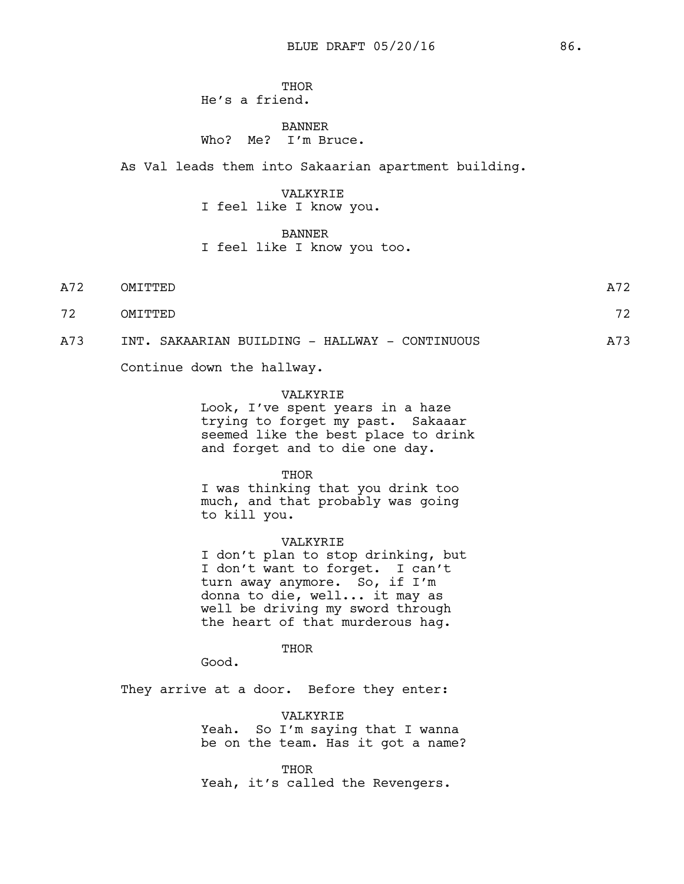# THOR He's a friend.

# BANNER Who? Me? I'm Bruce.

As Val leads them into Sakaarian apartment building.

# VALKYRIE I feel like I know you.

## BANNER

I feel like I know you too.

| A72 | OMITTED | A72 |
|-----|---------|-----|
| 72  | OMITTED | 72  |

A73 INT. SAKAARIAN BUILDING - HALLWAY - CONTINUOUS A73

Continue down the hallway.

## VALKYRIE

Look, I've spent years in a haze trying to forget my past. Sakaaar seemed like the best place to drink and forget and to die one day.

#### THOR

I was thinking that you drink too much, and that probably was going to kill you.

#### VALKYRIE

I don't plan to stop drinking, but I don't want to forget. I can't turn away anymore. So, if I'm donna to die, well... it may as well be driving my sword through the heart of that murderous hag.

# THOR

Good.

They arrive at a door. Before they enter:

VALKYRIE Yeah. So I'm saying that I wanna be on the team. Has it got a name?

**THOR** Yeah, it's called the Revengers.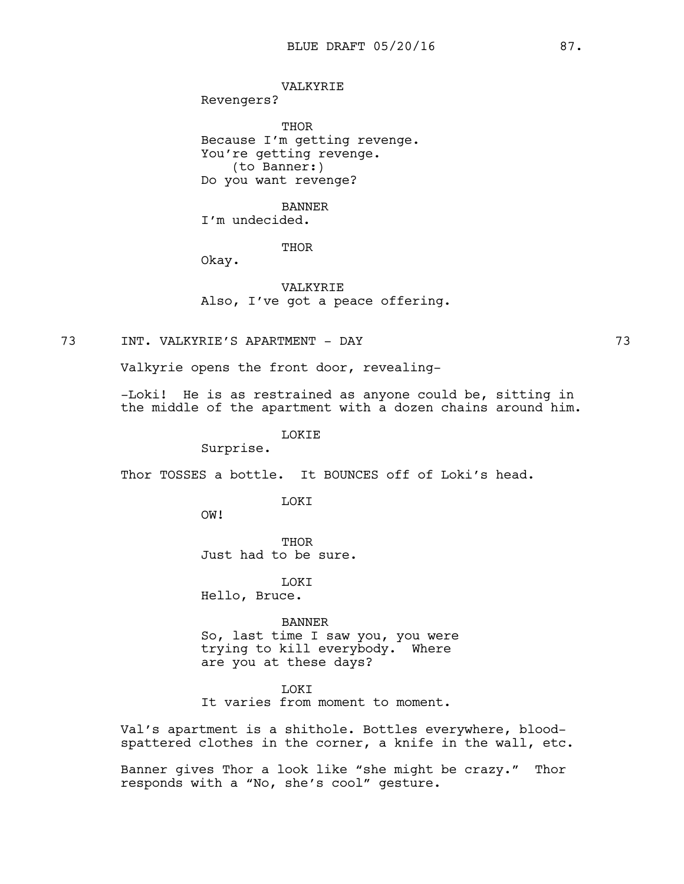## VALKYRIE

Revengers?

THOR Because I'm getting revenge. You're getting revenge. (to Banner:) Do you want revenge?

# BANNER

I'm undecided.

# THOR

Okay.

VALKYRIE Also, I've got a peace offering.

# 73 INT. VALKYRIE'S APARTMENT - DAY 73

Valkyrie opens the front door, revealing-

-Loki! He is as restrained as anyone could be, sitting in the middle of the apartment with a dozen chains around him.

#### LOKIE

Surprise.

Thor TOSSES a bottle. It BOUNCES off of Loki's head.

**TOKT** 

OW!

THOR Just had to be sure.

LOKI Hello, Bruce.

BANNER So, last time I saw you, you were trying to kill everybody. Where are you at these days?

LOKI It varies from moment to moment.

Val's apartment is a shithole. Bottles everywhere, bloodspattered clothes in the corner, a knife in the wall, etc.

Banner gives Thor a look like "she might be crazy." Thor responds with a "No, she's cool" gesture.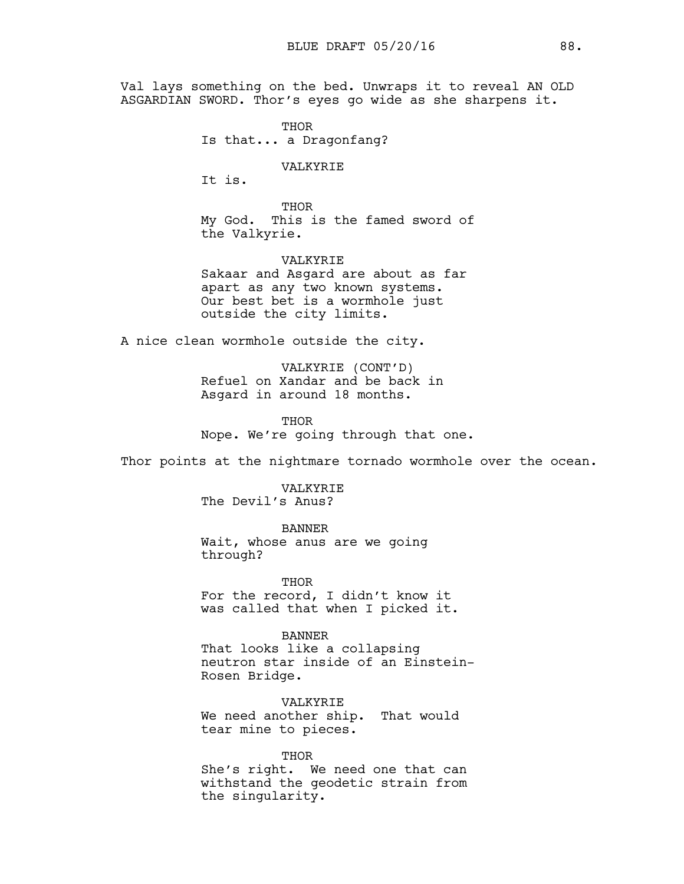Val lays something on the bed. Unwraps it to reveal AN OLD ASGARDIAN SWORD. Thor's eyes go wide as she sharpens it.

> THOR Is that... a Dragonfang?

> > VALKYRIE

It is.

THOR My God. This is the famed sword of the Valkyrie.

VALKYRIE Sakaar and Asgard are about as far apart as any two known systems. Our best bet is a wormhole just outside the city limits.

A nice clean wormhole outside the city.

VALKYRIE (CONT'D) Refuel on Xandar and be back in Asgard in around 18 months.

THOR Nope. We're going through that one.

Thor points at the nightmare tornado wormhole over the ocean.

VALKYRIE The Devil's Anus?

BANNER

Wait, whose anus are we going through?

**THOR** For the record, I didn't know it was called that when I picked it.

BANNER That looks like a collapsing neutron star inside of an Einstein-Rosen Bridge.

VALKYRIE We need another ship. That would tear mine to pieces.

THOR She's right. We need one that can withstand the geodetic strain from the singularity.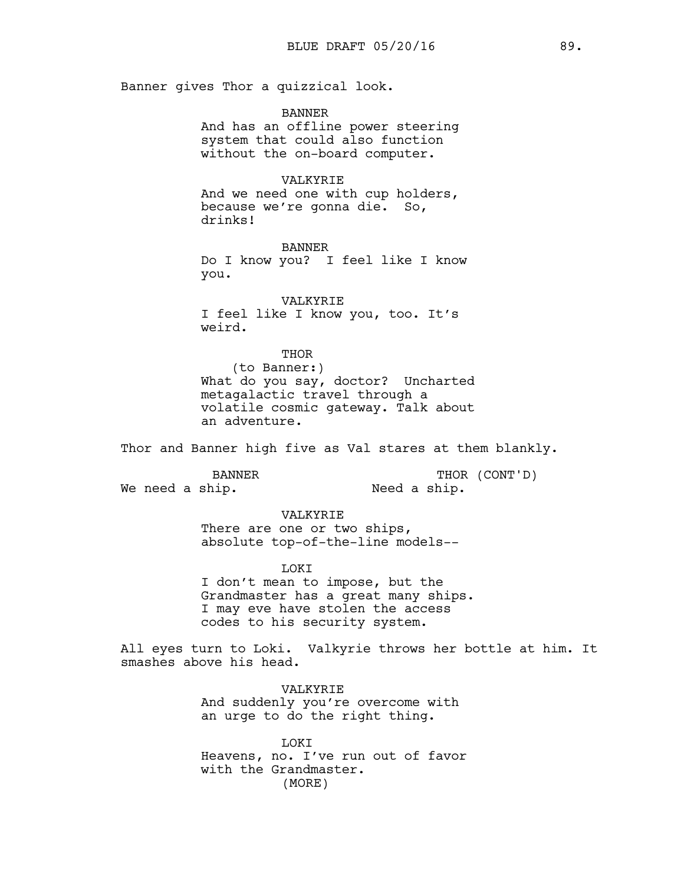Banner gives Thor a quizzical look.

BANNER And has an offline power steering system that could also function without the on-board computer.

VALKYRIE And we need one with cup holders, because we're gonna die. So, drinks!

BANNER Do I know you? I feel like I know you.

VALKYRIE I feel like I know you, too. It's weird.

THOR

(to Banner:) What do you say, doctor? Uncharted metagalactic travel through a volatile cosmic gateway. Talk about an adventure.

Thor and Banner high five as Val stares at them blankly.

BANNER

We need a ship.

THOR (CONT'D) Need a ship.

VALKYRIE

There are one or two ships, absolute top-of-the-line models--

LOKI

I don't mean to impose, but the Grandmaster has a great many ships. I may eve have stolen the access codes to his security system.

All eyes turn to Loki. Valkyrie throws her bottle at him. It smashes above his head.

> VALKYRIE And suddenly you're overcome with an urge to do the right thing.

LOKI Heavens, no. I've run out of favor with the Grandmaster. (MORE)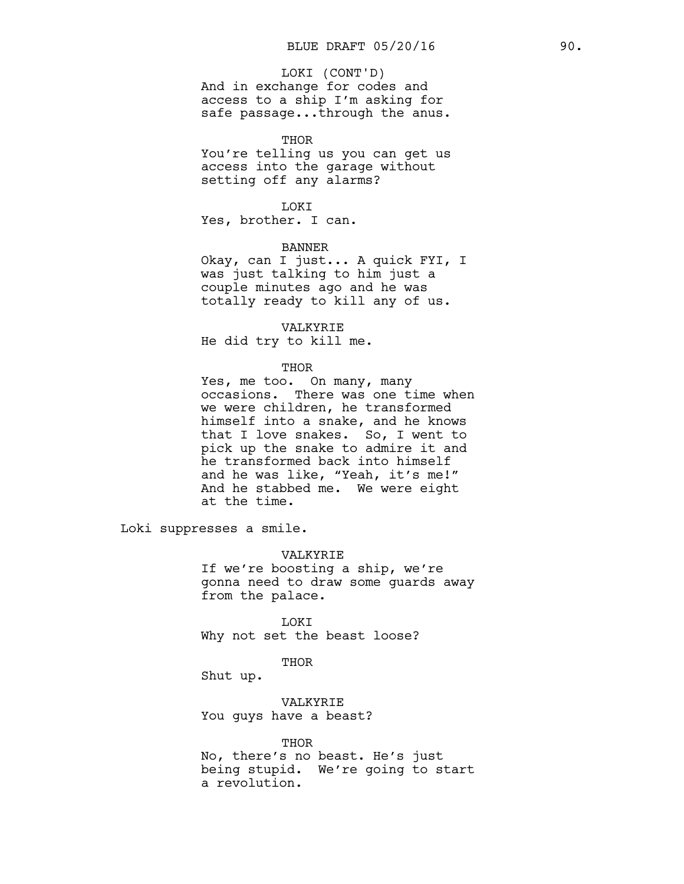#### LOKI (CONT'D)

And in exchange for codes and access to a ship I'm asking for safe passage...through the anus.

#### THOR

You're telling us you can get us access into the garage without setting off any alarms?

## LOKI

Yes, brother. I can.

# BANNER

Okay, can I just... A quick FYI, I was just talking to him just a couple minutes ago and he was totally ready to kill any of us.

## VALKYRIE

He did try to kill me.

#### THOR

Yes, me too. On many, many occasions. There was one time when we were children, he transformed himself into a snake, and he knows that I love snakes. So, I went to pick up the snake to admire it and he transformed back into himself and he was like, "Yeah, it's me!" And he stabbed me. We were eight at the time.

Loki suppresses a smile.

#### VALKYRIE

If we're boosting a ship, we're gonna need to draw some guards away from the palace.

LOKI Why not set the beast loose?

#### THOR

Shut up.

VALKYRIE You guys have a beast?

# THOR

No, there's no beast. He's just being stupid. We're going to start a revolution.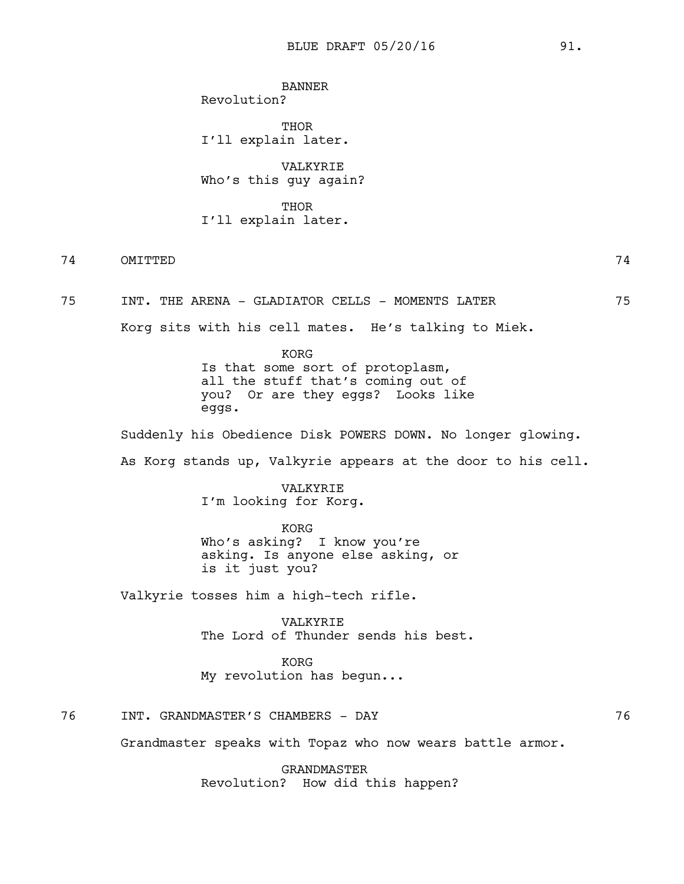BANNER Revolution?

THOR I'll explain later.

VALKYRIE Who's this guy again?

**THOR** I'll explain later.

74 OMITTED 74

75 INT. THE ARENA - GLADIATOR CELLS - MOMENTS LATER 75

Korg sits with his cell mates. He's talking to Miek.

KORG Is that some sort of protoplasm, all the stuff that's coming out of you? Or are they eggs? Looks like eggs.

Suddenly his Obedience Disk POWERS DOWN. No longer glowing.

As Korg stands up, Valkyrie appears at the door to his cell.

VALKYRIE I'm looking for Korg.

KORG Who's asking? I know you're asking. Is anyone else asking, or is it just you?

Valkyrie tosses him a high-tech rifle.

VALKYRIE The Lord of Thunder sends his best.

KORG My revolution has begun...

76 INT. GRANDMASTER'S CHAMBERS - DAY 76

Grandmaster speaks with Topaz who now wears battle armor.

GRANDMASTER Revolution? How did this happen?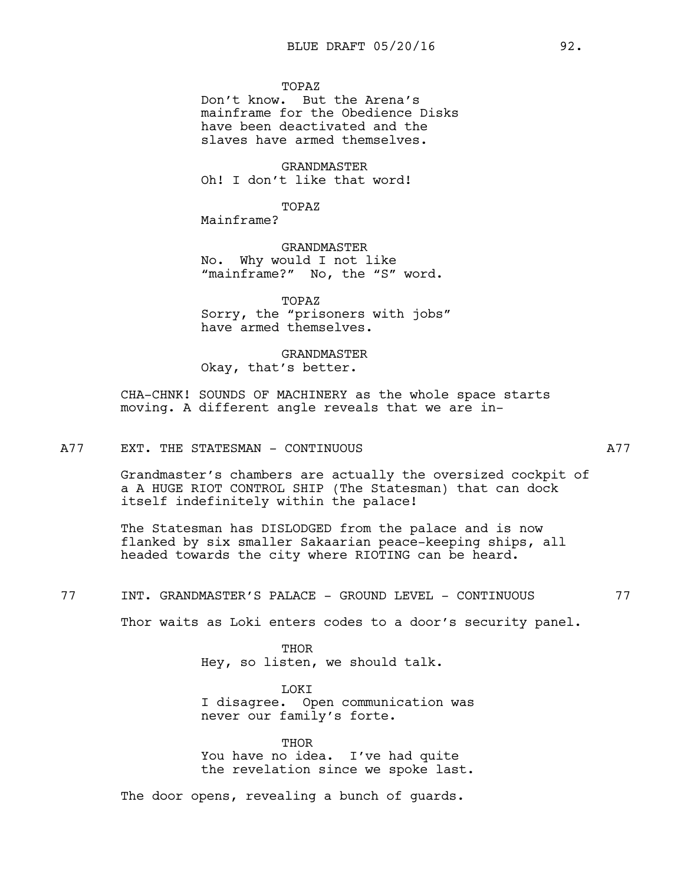## TOPAZ

Don't know. But the Arena's mainframe for the Obedience Disks have been deactivated and the slaves have armed themselves.

GRANDMASTER Oh! I don't like that word!

TOPAZ

Mainframe?

GRANDMASTER No. Why would I not like "mainframe?" No, the "S" word.

TOPAZ Sorry, the "prisoners with jobs" have armed themselves.

GRANDMASTER

Okay, that's better.

CHA-CHNK! SOUNDS OF MACHINERY as the whole space starts moving. A different angle reveals that we are in-

## A77 EXT. THE STATESMAN - CONTINUOUS A77

Grandmaster's chambers are actually the oversized cockpit of a A HUGE RIOT CONTROL SHIP (The Statesman) that can dock itself indefinitely within the palace!

The Statesman has DISLODGED from the palace and is now flanked by six smaller Sakaarian peace-keeping ships, all headed towards the city where RIOTING can be heard.

77 INT. GRANDMASTER'S PALACE - GROUND LEVEL - CONTINUOUS 77

Thor waits as Loki enters codes to a door's security panel.

THOR Hey, so listen, we should talk.

LOKI I disagree. Open communication was never our family's forte.

THOR You have no idea. I've had quite the revelation since we spoke last.

The door opens, revealing a bunch of guards.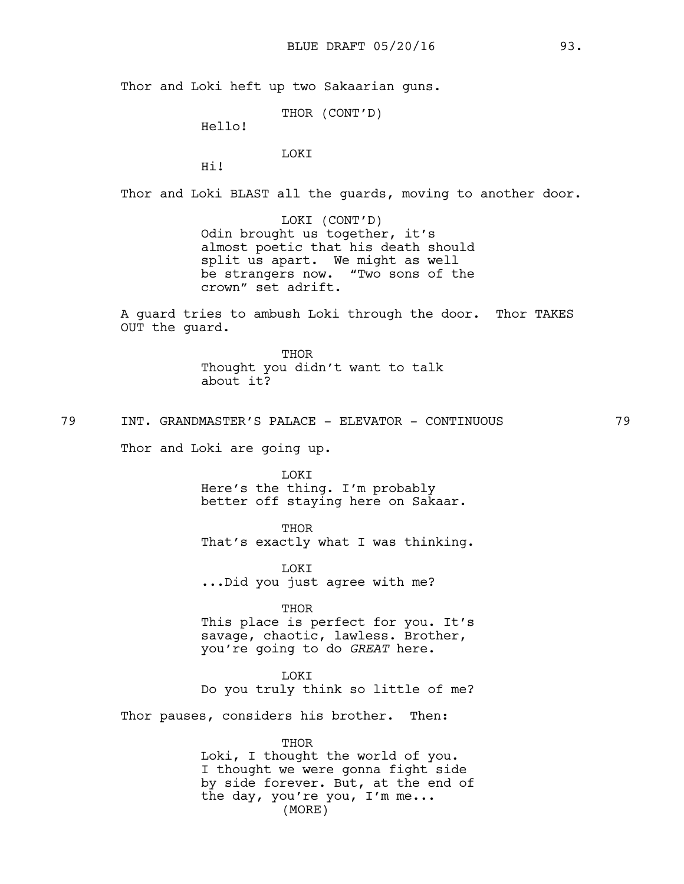Thor and Loki heft up two Sakaarian guns.

THOR (CONT'D)

Hello!

# LOKI

Hi!

Thor and Loki BLAST all the guards, moving to another door.

LOKI (CONT'D) Odin brought us together, it's almost poetic that his death should split us apart. We might as well be strangers now. "Two sons of the crown" set adrift.

A guard tries to ambush Loki through the door. Thor TAKES OUT the guard.

> THOR Thought you didn't want to talk about it?

79 INT. GRANDMASTER'S PALACE - ELEVATOR - CONTINUOUS 79

Thor and Loki are going up.

LOKI Here's the thing. I'm probably better off staying here on Sakaar.

**THOR** That's exactly what I was thinking.

LOKI ...Did you just agree with me?

THOR

This place is perfect for you. It's savage, chaotic, lawless. Brother, you're going to do *GREAT* here.

**T.OKT** Do you truly think so little of me?

Thor pauses, considers his brother. Then:

THOR

Loki, I thought the world of you. I thought we were gonna fight side by side forever. But, at the end of the day, you're you, I'm me... (MORE)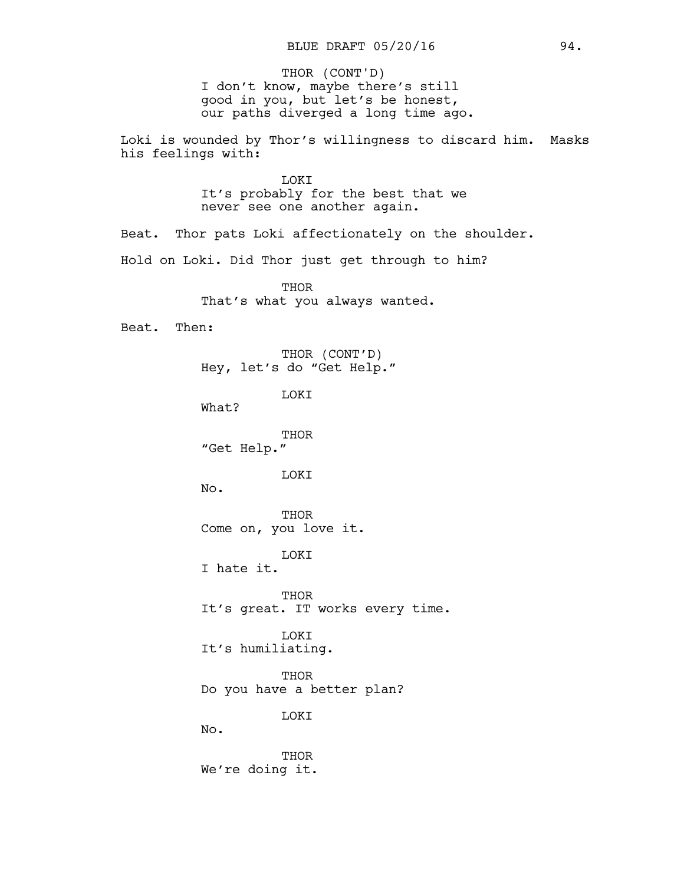I don't know, maybe there's still good in you, but let's be honest, our paths diverged a long time ago. THOR (CONT'D)

Loki is wounded by Thor's willingness to discard him. Masks his feelings with:

> LOKI It's probably for the best that we never see one another again.

Beat. Thor pats Loki affectionately on the shoulder.

Hold on Loki. Did Thor just get through to him?

**THOR** That's what you always wanted.

Beat. Then:

THOR (CONT'D) Hey, let's do "Get Help."

LOKI

What?

THOR "Get Help."

**T.OKT** 

No.

THOR Come on, you love it.

LOKI

I hate it.

**THOR** It's great. IT works every time.

LOKI It's humiliating.

THOR Do you have a better plan?

LOKI

No.

THOR We're doing it.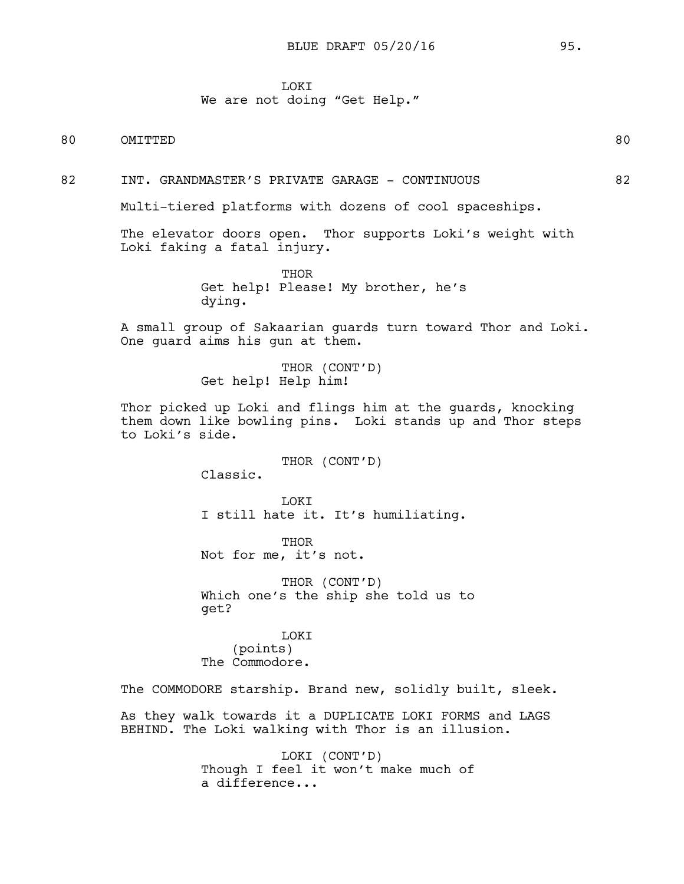# **TOKT**

## We are not doing "Get Help."

80 OMITTED 80

82 INT. GRANDMASTER'S PRIVATE GARAGE - CONTINUOUS 82

Multi-tiered platforms with dozens of cool spaceships.

The elevator doors open. Thor supports Loki's weight with Loki faking a fatal injury.

> THOR Get help! Please! My brother, he's dying.

A small group of Sakaarian guards turn toward Thor and Loki. One guard aims his gun at them.

> THOR (CONT'D) Get help! Help him!

Thor picked up Loki and flings him at the guards, knocking them down like bowling pins. Loki stands up and Thor steps to Loki's side.

THOR (CONT'D)

Classic.

**T.OKT** I still hate it. It's humiliating.

THOR Not for me, it's not.

THOR (CONT'D) Which one's the ship she told us to get?

LOKI (points) The Commodore.

The COMMODORE starship. Brand new, solidly built, sleek.

As they walk towards it a DUPLICATE LOKI FORMS and LAGS BEHIND. The Loki walking with Thor is an illusion.

> LOKI (CONT'D) Though I feel it won't make much of a difference...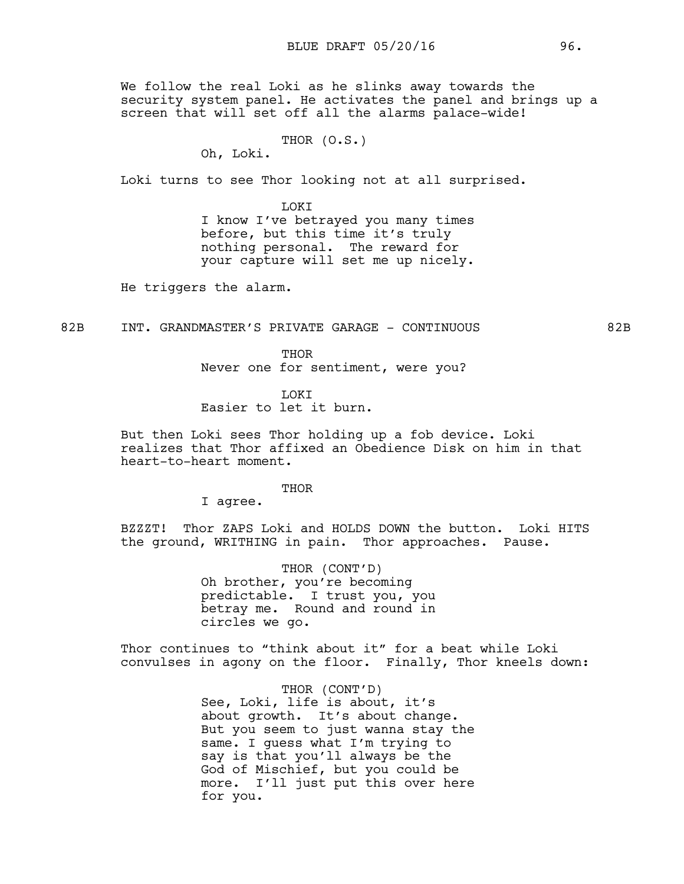We follow the real Loki as he slinks away towards the security system panel. He activates the panel and brings up a screen that will set off all the alarms palace-wide!

```
THOR (O.S.)
```
Oh, Loki.

Loki turns to see Thor looking not at all surprised.

**LOKT** I know I've betrayed you many times before, but this time it's truly nothing personal. The reward for your capture will set me up nicely.

He triggers the alarm.

82B INT. GRANDMASTER'S PRIVATE GARAGE - CONTINUOUS 82B

THOR Never one for sentiment, were you?

LOKI Easier to let it burn.

But then Loki sees Thor holding up a fob device. Loki realizes that Thor affixed an Obedience Disk on him in that heart-to-heart moment.

#### THOR

I agree.

BZZZT! Thor ZAPS Loki and HOLDS DOWN the button. Loki HITS the ground, WRITHING in pain. Thor approaches. Pause.

> THOR (CONT'D) Oh brother, you're becoming predictable. I trust you, you betray me. Round and round in circles we go.

Thor continues to "think about it" for a beat while Loki convulses in agony on the floor. Finally, Thor kneels down:

> THOR (CONT'D) See, Loki, life is about, it's about growth. It's about change. But you seem to just wanna stay the same. I guess what I'm trying to say is that you'll always be the God of Mischief, but you could be more. I'll just put this over here for you.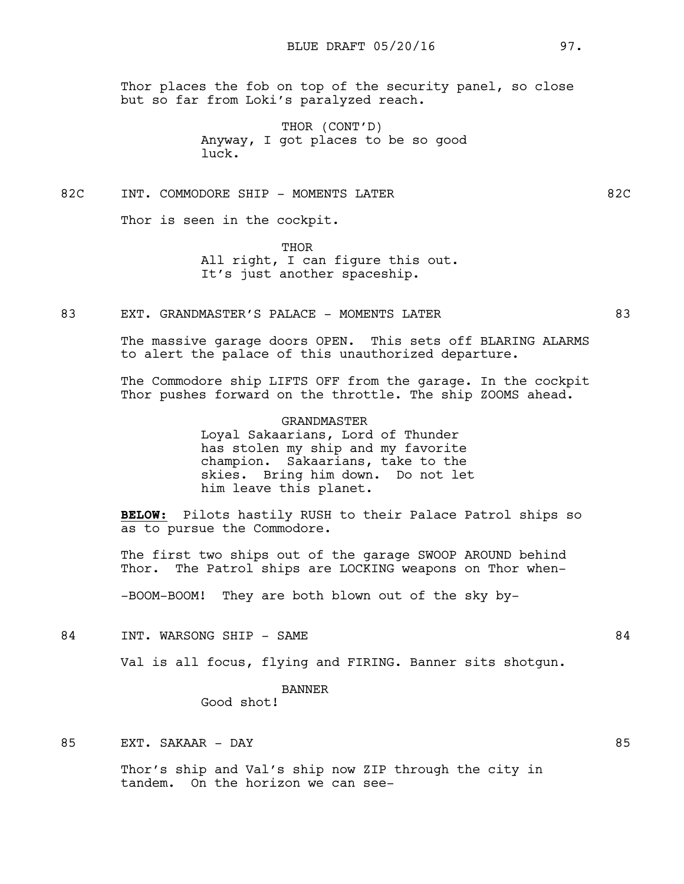Thor places the fob on top of the security panel, so close but so far from Loki's paralyzed reach.

> THOR (CONT'D) Anyway, I got places to be so good luck.

82C INT. COMMODORE SHIP - MOMENTS LATER 62C

Thor is seen in the cockpit.

THOR All right, I can figure this out. It's just another spaceship.

83 EXT. GRANDMASTER'S PALACE - MOMENTS LATER 63

The massive garage doors OPEN. This sets off BLARING ALARMS to alert the palace of this unauthorized departure.

The Commodore ship LIFTS OFF from the garage. In the cockpit Thor pushes forward on the throttle. The ship ZOOMS ahead.

> GRANDMASTER Loyal Sakaarians, Lord of Thunder has stolen my ship and my favorite champion. Sakaarians, take to the skies. Bring him down. Do not let him leave this planet.

**BELOW:** Pilots hastily RUSH to their Palace Patrol ships so as to pursue the Commodore.

The first two ships out of the garage SWOOP AROUND behind Thor. The Patrol ships are LOCKING weapons on Thor when-

-BOOM-BOOM! They are both blown out of the sky by-

84 INT. WARSONG SHIP - SAME 84

Val is all focus, flying and FIRING. Banner sits shotgun.

BANNER

Good shot!

85 EXT. SAKAAR – DAY 85

Thor's ship and Val's ship now ZIP through the city in tandem. On the horizon we can see-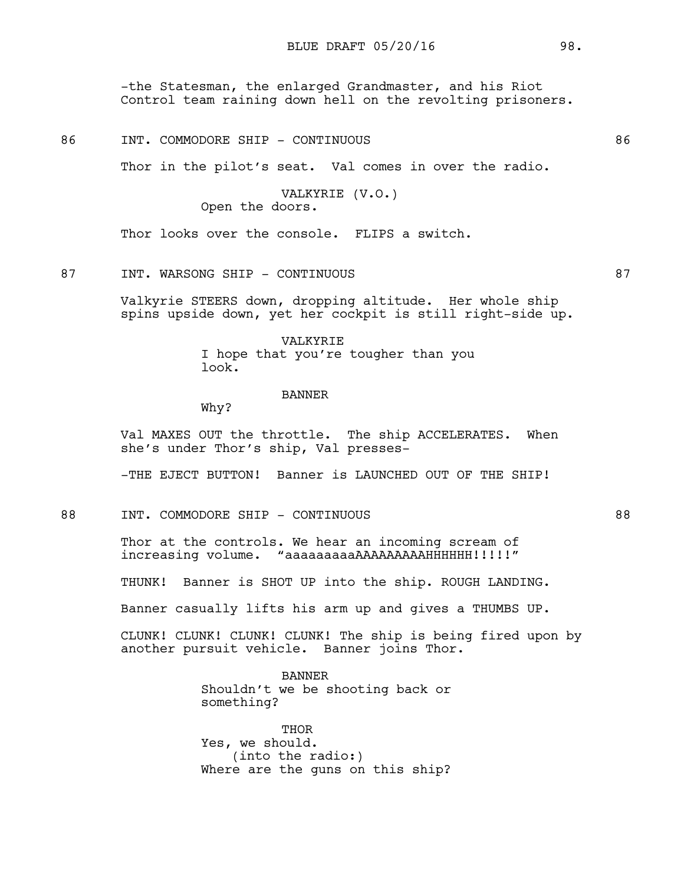-the Statesman, the enlarged Grandmaster, and his Riot Control team raining down hell on the revolting prisoners.

| 86 | <b>INT</b> | "OMMODORE | SHIP | $\overline{\phantom{a}}$ | CONTINUOUS |  |
|----|------------|-----------|------|--------------------------|------------|--|
|    |            |           |      |                          |            |  |

Thor in the pilot's seat. Val comes in over the radio.

VALKYRIE (V.O.) Open the doors.

Thor looks over the console. FLIPS a switch.

## 87 INT. WARSONG SHIP - CONTINUOUS 87

Valkyrie STEERS down, dropping altitude. Her whole ship spins upside down, yet her cockpit is still right-side up.

> VALKYRIE I hope that you're tougher than you look.

#### BANNER

Why?

Val MAXES OUT the throttle. The ship ACCELERATES. When she's under Thor's ship, Val presses-

-THE EJECT BUTTON! Banner is LAUNCHED OUT OF THE SHIP!

88 INT. COMMODORE SHIP - CONTINUOUS 88

Thor at the controls. We hear an incoming scream of increasing volume. "aaaaaaaaaAAAAAAAAAHHHHHH!!!!!"

THUNK! Banner is SHOT UP into the ship. ROUGH LANDING.

Banner casually lifts his arm up and gives a THUMBS UP.

CLUNK! CLUNK! CLUNK! CLUNK! The ship is being fired upon by another pursuit vehicle. Banner joins Thor.

> BANNER Shouldn't we be shooting back or something?

> THOR Yes, we should. (into the radio:) Where are the guns on this ship?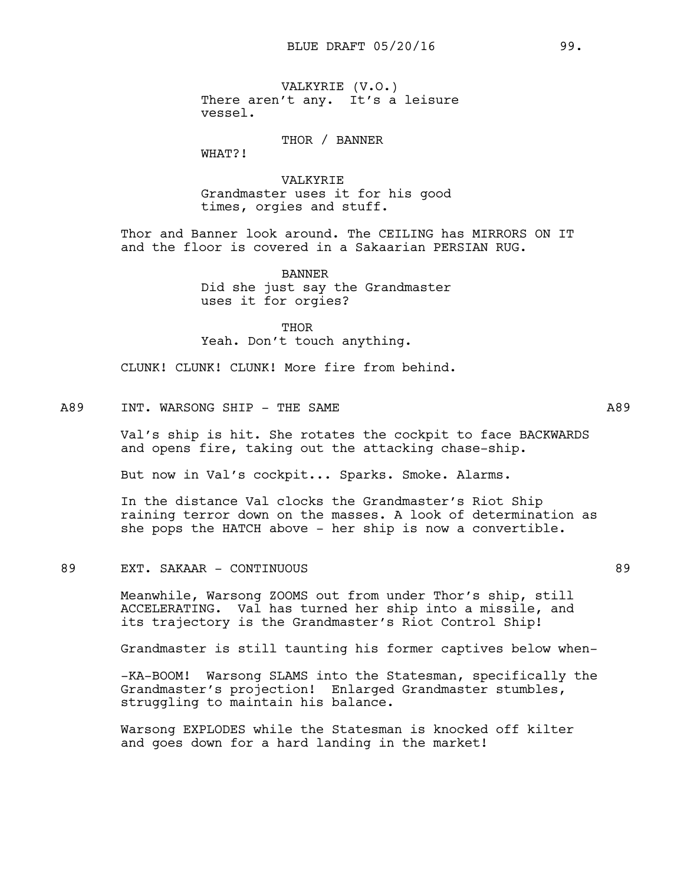VALKYRIE (V.O.) There aren't any. It's a leisure vessel.

THOR / BANNER

WHAT?!

VALKYRIE Grandmaster uses it for his good times, orgies and stuff.

Thor and Banner look around. The CEILING has MIRRORS ON IT and the floor is covered in a Sakaarian PERSIAN RUG.

> BANNER Did she just say the Grandmaster uses it for orgies?

> > THOR

Yeah. Don't touch anything.

CLUNK! CLUNK! CLUNK! More fire from behind.

# A89 INT. WARSONG SHIP - THE SAME A89

Val's ship is hit. She rotates the cockpit to face BACKWARDS and opens fire, taking out the attacking chase-ship.

But now in Val's cockpit... Sparks. Smoke. Alarms.

In the distance Val clocks the Grandmaster's Riot Ship raining terror down on the masses. A look of determination as she pops the HATCH above - her ship is now a convertible.

# 89 EXT. SAKAAR - CONTINUOUS 89

Meanwhile, Warsong ZOOMS out from under Thor's ship, still ACCELERATING. Val has turned her ship into a missile, and its trajectory is the Grandmaster's Riot Control Ship!

Grandmaster is still taunting his former captives below when-

-KA-BOOM! Warsong SLAMS into the Statesman, specifically the Grandmaster's projection! Enlarged Grandmaster stumbles, struggling to maintain his balance.

Warsong EXPLODES while the Statesman is knocked off kilter and goes down for a hard landing in the market!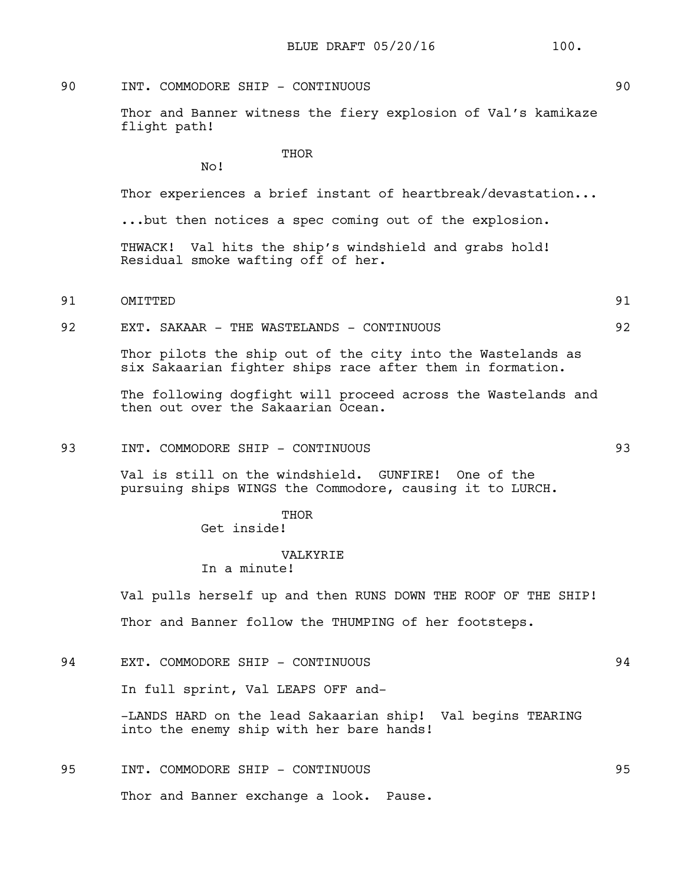# 90 INT. COMMODORE SHIP - CONTINUOUS 90

No!

Thor and Banner witness the fiery explosion of Val's kamikaze flight path!

**THOR** 

Thor experiences a brief instant of heartbreak/devastation...

...but then notices a spec coming out of the explosion.

THWACK! Val hits the ship's windshield and grabs hold! Residual smoke wafting off of her.

# 91 OMITTED 91

92 EXT. SAKAAR - THE WASTELANDS - CONTINUOUS 92

Thor pilots the ship out of the city into the Wastelands as six Sakaarian fighter ships race after them in formation.

The following dogfight will proceed across the Wastelands and then out over the Sakaarian Ocean.

# 93 INT. COMMODORE SHIP - CONTINUOUS 93

Val is still on the windshield. GUNFIRE! One of the pursuing ships WINGS the Commodore, causing it to LURCH.

THOR

Get inside!

#### VALKYRIE

In a minute!

Val pulls herself up and then RUNS DOWN THE ROOF OF THE SHIP! Thor and Banner follow the THUMPING of her footsteps.

94 EXT. COMMODORE SHIP - CONTINUOUS 94

In full sprint, Val LEAPS OFF and-

-LANDS HARD on the lead Sakaarian ship! Val begins TEARING into the enemy ship with her bare hands!

# 95 INT. COMMODORE SHIP - CONTINUOUS 95 Thor and Banner exchange a look. Pause.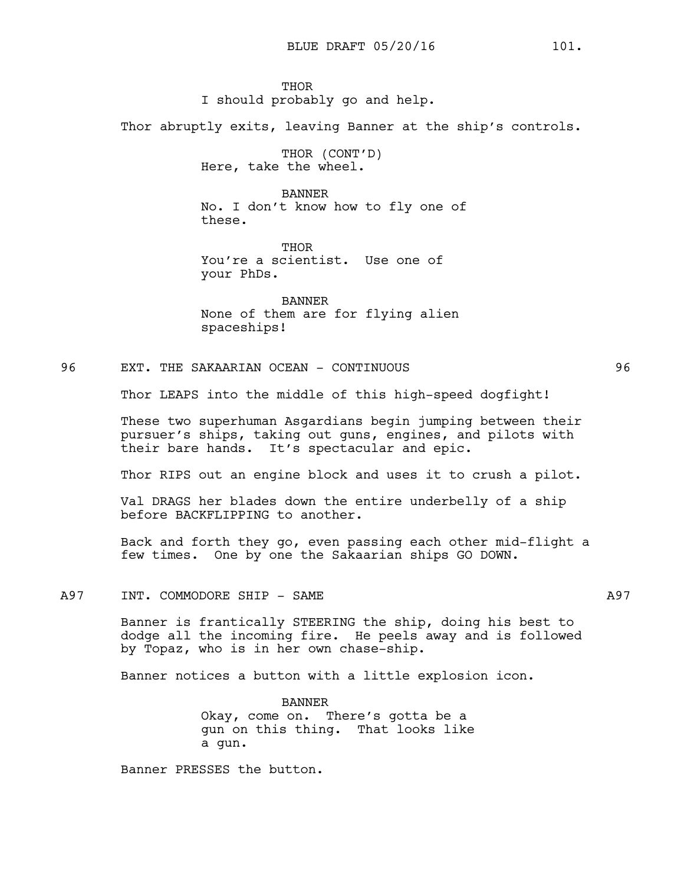**THOR** I should probably go and help.

Thor abruptly exits, leaving Banner at the ship's controls.

THOR (CONT'D) Here, take the wheel.

BANNER No. I don't know how to fly one of these.

**THOR** You're a scientist. Use one of your PhDs.

BANNER None of them are for flying alien spaceships!

96 EXT. THE SAKAARIAN OCEAN - CONTINUOUS 96

Thor LEAPS into the middle of this high-speed dogfight!

These two superhuman Asgardians begin jumping between their pursuer's ships, taking out guns, engines, and pilots with their bare hands. It's spectacular and epic.

Thor RIPS out an engine block and uses it to crush a pilot.

Val DRAGS her blades down the entire underbelly of a ship before BACKFLIPPING to another.

Back and forth they go, even passing each other mid-flight a few times. One by one the Sakaarian ships GO DOWN.

# A97 INT. COMMODORE SHIP - SAME A97

Banner is frantically STEERING the ship, doing his best to dodge all the incoming fire. He peels away and is followed by Topaz, who is in her own chase-ship.

Banner notices a button with a little explosion icon.

BANNER Okay, come on. There's gotta be a gun on this thing. That looks like a gun.

Banner PRESSES the button.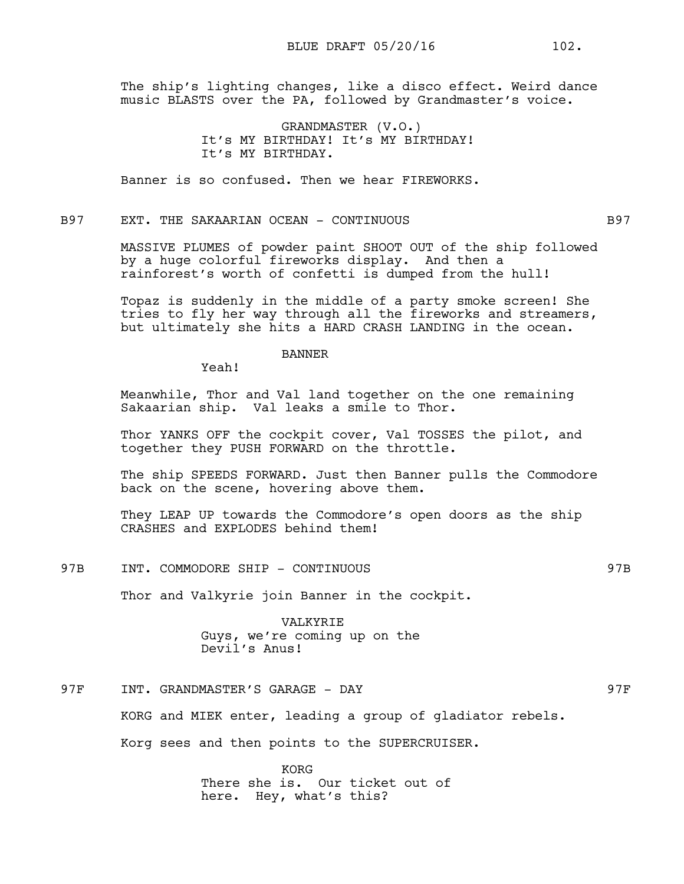BLUE DRAFT 05/20/16 102.

The ship's lighting changes, like a disco effect. Weird dance music BLASTS over the PA, followed by Grandmaster's voice.

> GRANDMASTER (V.O.) It's MY BIRTHDAY! It's MY BIRTHDAY! It's MY BIRTHDAY.

Banner is so confused. Then we hear FIREWORKS.

# B97 EXT. THE SAKAARIAN OCEAN - CONTINUOUS B97

MASSIVE PLUMES of powder paint SHOOT OUT of the ship followed by a huge colorful fireworks display. And then a rainforest's worth of confetti is dumped from the hull!

Topaz is suddenly in the middle of a party smoke screen! She tries to fly her way through all the fireworks and streamers, but ultimately she hits a HARD CRASH LANDING in the ocean.

# BANNER

Yeah!

Meanwhile, Thor and Val land together on the one remaining Sakaarian ship. Val leaks a smile to Thor.

Thor YANKS OFF the cockpit cover, Val TOSSES the pilot, and together they PUSH FORWARD on the throttle.

The ship SPEEDS FORWARD. Just then Banner pulls the Commodore back on the scene, hovering above them.

They LEAP UP towards the Commodore's open doors as the ship CRASHES and EXPLODES behind them!

97B INT. COMMODORE SHIP - CONTINUOUS 87B 897B

Thor and Valkyrie join Banner in the cockpit.

VALKYRIE Guys, we're coming up on the Devil's Anus!

# 97F INT. GRANDMASTER'S GARAGE - DAY 97F

KORG and MIEK enter, leading a group of gladiator rebels.

Korg sees and then points to the SUPERCRUISER.

KORG There she is. Our ticket out of here. Hey, what's this?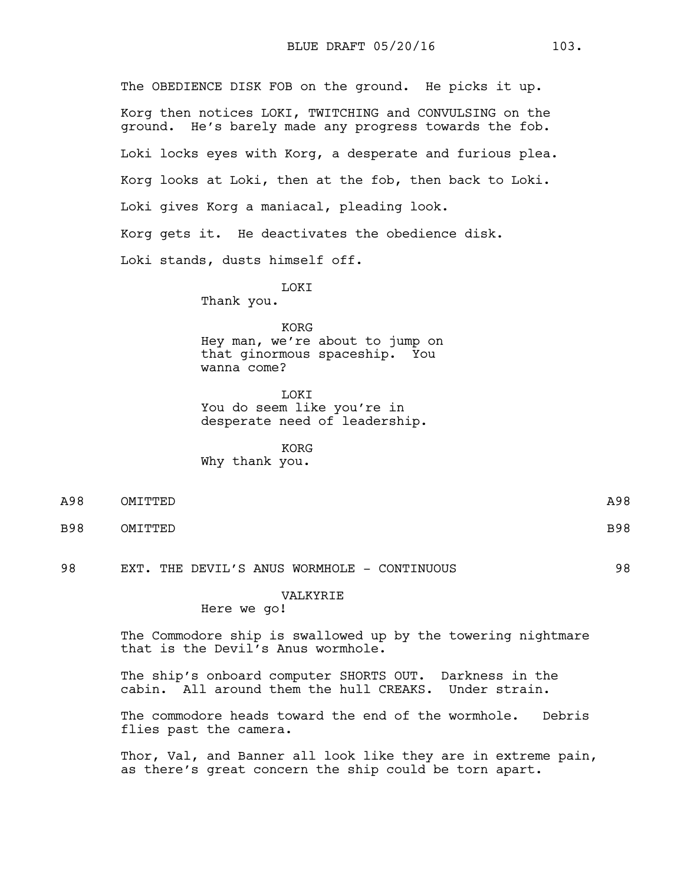The OBEDIENCE DISK FOB on the ground. He picks it up. Korg then notices LOKI, TWITCHING and CONVULSING on the ground. He's barely made any progress towards the fob. Loki locks eyes with Korg, a desperate and furious plea. Korg looks at Loki, then at the fob, then back to Loki. Loki gives Korg a maniacal, pleading look. Korg gets it. He deactivates the obedience disk. Loki stands, dusts himself off.

LOKI

Thank you.

KORG Hey man, we're about to jump on that ginormous spaceship. You wanna come?

LOKI You do seem like you're in desperate need of leadership.

KORG Why thank you.

| A98 | OMITTED | A98        |
|-----|---------|------------|
| B98 | OMITTED | <b>B98</b> |

98 EXT. THE DEVIL'S ANUS WORMHOLE - CONTINUOUS 98

## VALKYRIE

Here we go!

The Commodore ship is swallowed up by the towering nightmare that is the Devil's Anus wormhole.

The ship's onboard computer SHORTS OUT. Darkness in the cabin. All around them the hull CREAKS. Under strain.

The commodore heads toward the end of the wormhole. Debris flies past the camera.

Thor, Val, and Banner all look like they are in extreme pain, as there's great concern the ship could be torn apart.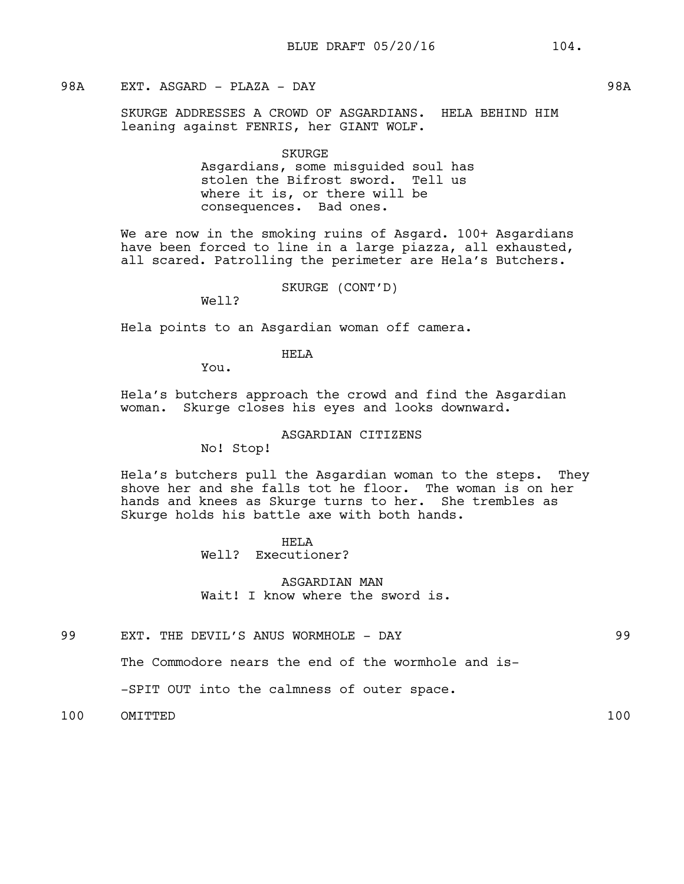# 98A EXT. ASGARD - PLAZA - DAY 98A

SKURGE ADDRESSES A CROWD OF ASGARDIANS. HELA BEHIND HIM leaning against FENRIS, her GIANT WOLF.

> SKURGE Asgardians, some misguided soul has stolen the Bifrost sword. Tell us where it is, or there will be consequences. Bad ones.

We are now in the smoking ruins of Asgard. 100+ Asgardians have been forced to line in a large piazza, all exhausted, all scared. Patrolling the perimeter are Hela's Butchers.

SKURGE (CONT'D)

Well?

Hela points to an Asgardian woman off camera.

# HELA

You.

Hela's butchers approach the crowd and find the Asgardian woman. Skurge closes his eyes and looks downward.

#### ASGARDIAN CITIZENS

No! Stop!

Hela's butchers pull the Asgardian woman to the steps. They shove her and she falls tot he floor. The woman is on her hands and knees as Skurge turns to her. She trembles as Skurge holds his battle axe with both hands.

> HELA Well? Executioner?

ASGARDIAN MAN Wait! I know where the sword is.

99 EXT. THE DEVIL'S ANUS WORMHOLE - DAY 1999

The Commodore nears the end of the wormhole and is-

-SPIT OUT into the calmness of outer space.

100 OMITTED 100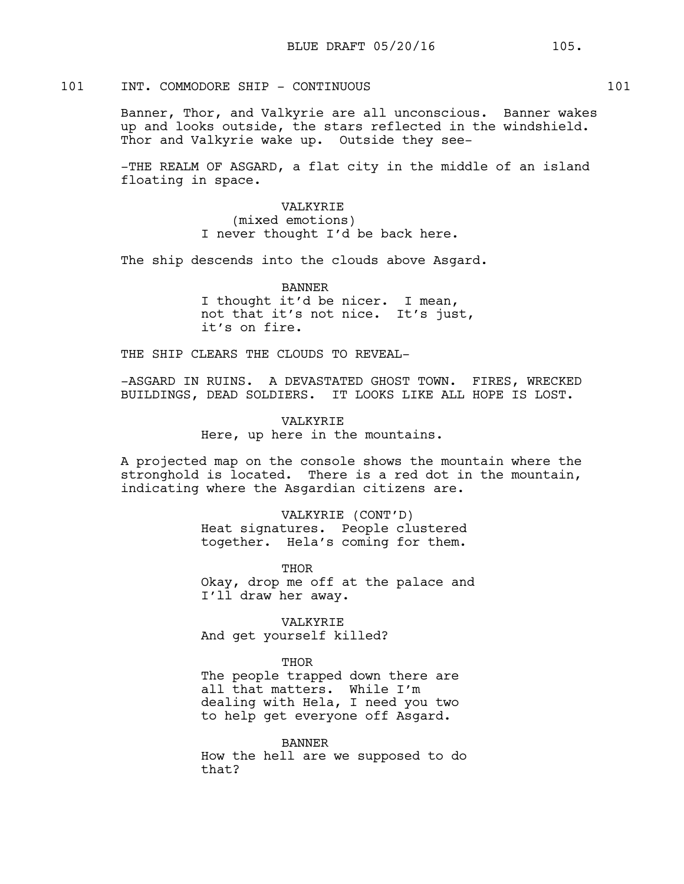# 101 INT. COMMODORE SHIP - CONTINUOUS 101

Banner, Thor, and Valkyrie are all unconscious. Banner wakes up and looks outside, the stars reflected in the windshield. Thor and Valkyrie wake up. Outside they see-

-THE REALM OF ASGARD, a flat city in the middle of an island floating in space.

> VALKYRIE (mixed emotions) I never thought I'd be back here.

The ship descends into the clouds above Asgard.

BANNER I thought it'd be nicer. I mean, not that it's not nice. It's just, it's on fire.

THE SHIP CLEARS THE CLOUDS TO REVEAL-

-ASGARD IN RUINS. A DEVASTATED GHOST TOWN. FIRES, WRECKED BUILDINGS, DEAD SOLDIERS. IT LOOKS LIKE ALL HOPE IS LOST.

> VALKYRIE Here, up here in the mountains.

A projected map on the console shows the mountain where the stronghold is located. There is a red dot in the mountain, indicating where the Asgardian citizens are.

> VALKYRIE (CONT'D) Heat signatures. People clustered together. Hela's coming for them.

THOR Okay, drop me off at the palace and I'll draw her away.

VALKYRIE And get yourself killed?

THOR

The people trapped down there are all that matters. While I'm dealing with Hela, I need you two to help get everyone off Asgard.

BANNER How the hell are we supposed to do that?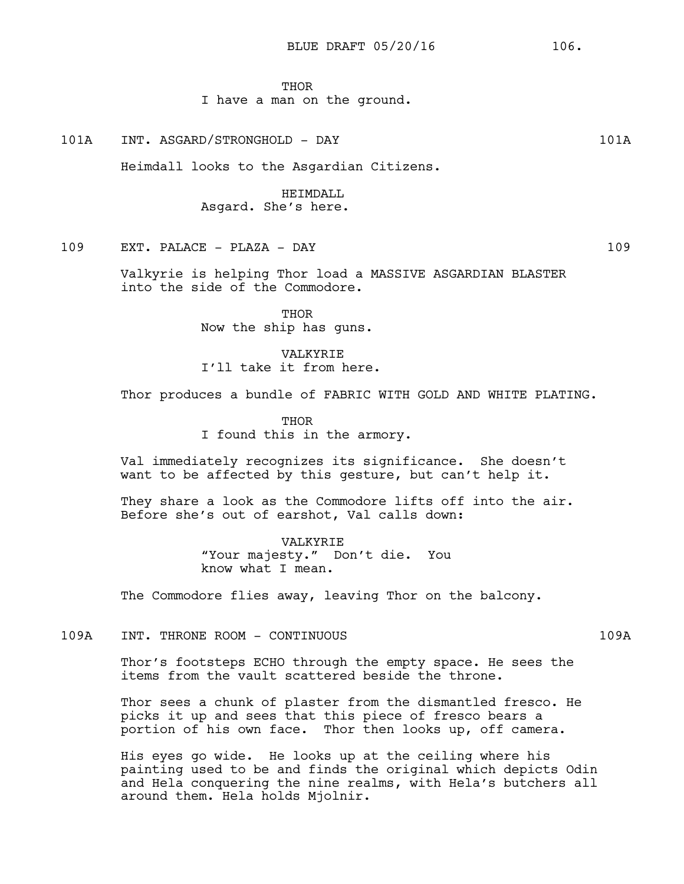## **THOR**

# I have a man on the ground.

101A INT. ASGARD/STRONGHOLD - DAY 101A

Heimdall looks to the Asgardian Citizens.

# HEIMDALL Asgard. She's here.

# 109 EXT. PALACE - PLAZA - DAY 109

Valkyrie is helping Thor load a MASSIVE ASGARDIAN BLASTER into the side of the Commodore.

> **THOR** Now the ship has guns.

VALKYRIE I'll take it from here.

Thor produces a bundle of FABRIC WITH GOLD AND WHITE PLATING.

THOR I found this in the armory.

Val immediately recognizes its significance. She doesn't want to be affected by this gesture, but can't help it.

They share a look as the Commodore lifts off into the air. Before she's out of earshot, Val calls down:

> VALKYRIE "Your majesty." Don't die. You know what I mean.

The Commodore flies away, leaving Thor on the balcony.

109A INT. THRONE ROOM - CONTINUOUS 109A

Thor's footsteps ECHO through the empty space. He sees the items from the vault scattered beside the throne.

Thor sees a chunk of plaster from the dismantled fresco. He picks it up and sees that this piece of fresco bears a portion of his own face. Thor then looks up, off camera.

His eyes go wide. He looks up at the ceiling where his painting used to be and finds the original which depicts Odin and Hela conquering the nine realms, with Hela's butchers all around them. Hela holds Mjolnir.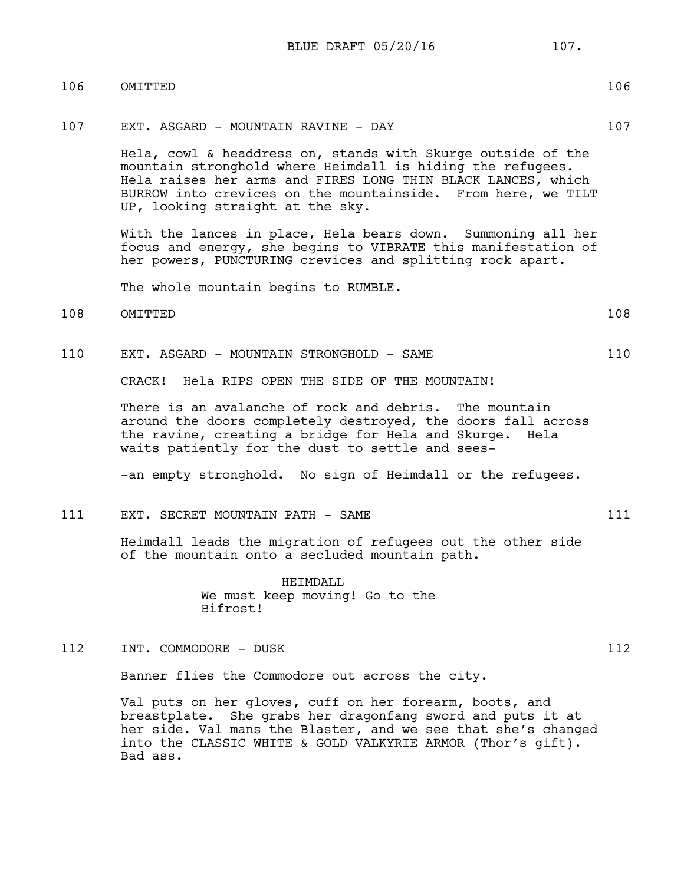# 106 OMITTED 106

#### 107 EXT. ASGARD - MOUNTAIN RAVINE - DAY 107

Hela, cowl & headdress on, stands with Skurge outside of the mountain stronghold where Heimdall is hiding the refugees. Hela raises her arms and FIRES LONG THIN BLACK LANCES, which BURROW into crevices on the mountainside. From here, we TILT UP, looking straight at the sky.

With the lances in place, Hela bears down. Summoning all her focus and energy, she begins to VIBRATE this manifestation of her powers, PUNCTURING crevices and splitting rock apart.

The whole mountain begins to RUMBLE.

- 108 OMITTED 108
- 110 EXT. ASGARD MOUNTAIN STRONGHOLD SAME 110

CRACK! Hela RIPS OPEN THE SIDE OF THE MOUNTAIN!

There is an avalanche of rock and debris. The mountain around the doors completely destroyed, the doors fall across the ravine, creating a bridge for Hela and Skurge. Hela waits patiently for the dust to settle and sees-

-an empty stronghold. No sign of Heimdall or the refugees.

# 111 EXT. SECRET MOUNTAIN PATH - SAME 111

Heimdall leads the migration of refugees out the other side of the mountain onto a secluded mountain path.

> HEIMDALL We must keep moving! Go to the Bifrost!

112 INT. COMMODORE - DUSK 112

Banner flies the Commodore out across the city.

Val puts on her gloves, cuff on her forearm, boots, and breastplate. She grabs her dragonfang sword and puts it at her side. Val mans the Blaster, and we see that she's changed into the CLASSIC WHITE & GOLD VALKYRIE ARMOR (Thor's gift). Bad ass.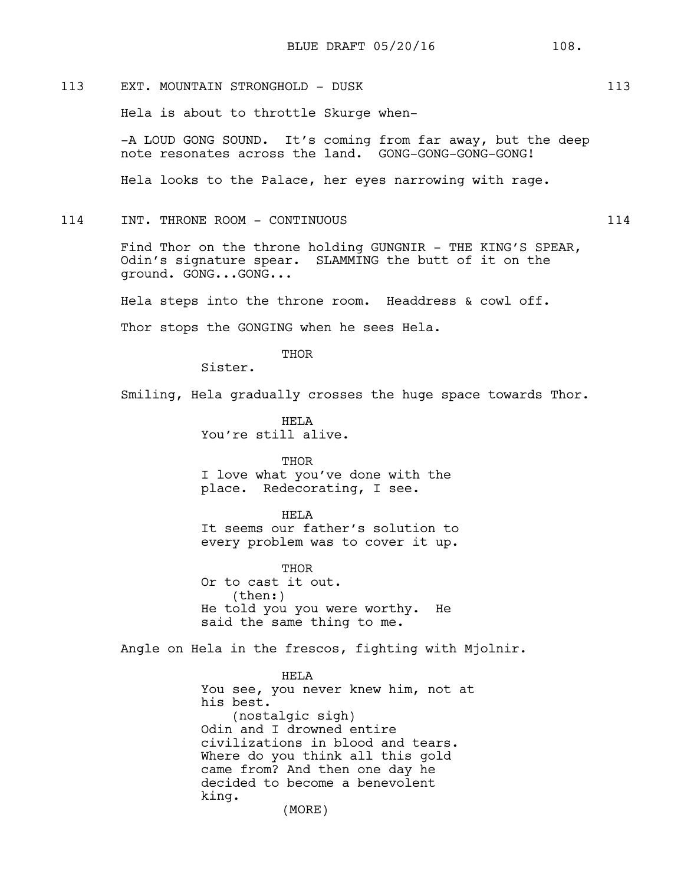Hela is about to throttle Skurge when-

-A LOUD GONG SOUND. It's coming from far away, but the deep note resonates across the land. GONG-GONG-GONG-GONG!

Hela looks to the Palace, her eyes narrowing with rage.

### 114 INT. THRONE ROOM - CONTINUOUS 114

Find Thor on the throne holding GUNGNIR - THE KING'S SPEAR, Odin's signature spear. SLAMMING the butt of it on the ground. GONG...GONG...

Hela steps into the throne room. Headdress & cowl off.

Thor stops the GONGING when he sees Hela.

THOR

Sister.

Smiling, Hela gradually crosses the huge space towards Thor.

HELA You're still alive.

THOR I love what you've done with the place. Redecorating, I see.

#### HELA

It seems our father's solution to every problem was to cover it up.

THOR Or to cast it out. (then:) He told you you were worthy. He said the same thing to me.

Angle on Hela in the frescos, fighting with Mjolnir.

#### HELA

You see, you never knew him, not at his best. (nostalgic sigh) Odin and I drowned entire civilizations in blood and tears. Where do you think all this gold came from? And then one day he decided to become a benevolent king.

(MORE)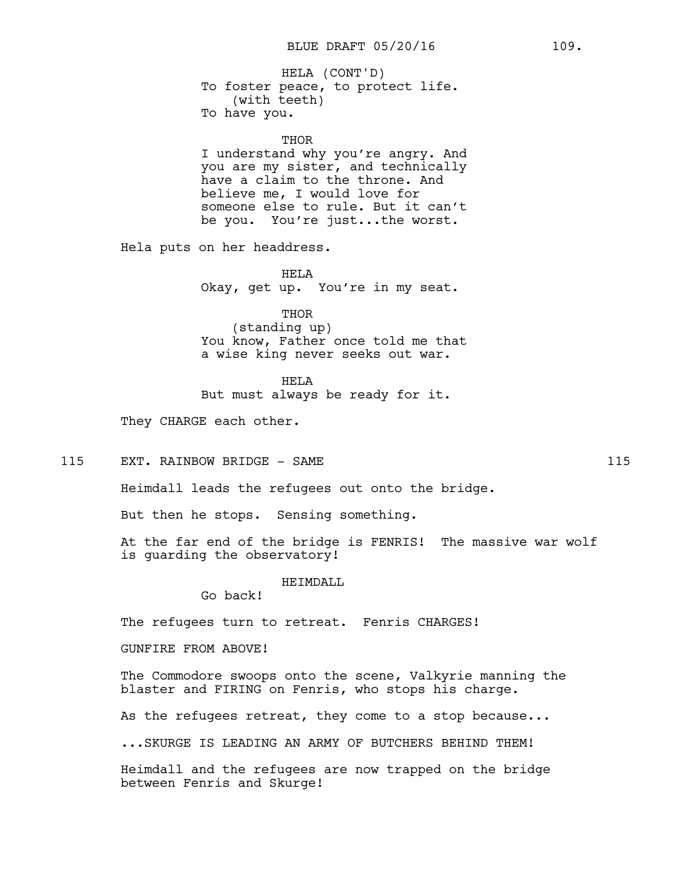To foster peace, to protect life. (with teeth) To have you. HELA (CONT'D)

#### **THOR**

I understand why you're angry. And you are my sister, and technically have a claim to the throne. And believe me, I would love for someone else to rule. But it can't be you. You're just...the worst.

Hela puts on her headdress.

HELA Okay, get up. You're in my seat.

THOR (standing up) You know, Father once told me that a wise king never seeks out war.

HELA

But must always be ready for it.

They CHARGE each other.

115 EXT. RAINBOW BRIDGE - SAME 115

Heimdall leads the refugees out onto the bridge.

But then he stops. Sensing something.

At the far end of the bridge is FENRIS! The massive war wolf is guarding the observatory!

HEIMDALL

Go back!

The refugees turn to retreat. Fenris CHARGES!

GUNFIRE FROM ABOVE!

The Commodore swoops onto the scene, Valkyrie manning the blaster and FIRING on Fenris, who stops his charge.

As the refugees retreat, they come to a stop because...

...SKURGE IS LEADING AN ARMY OF BUTCHERS BEHIND THEM!

Heimdall and the refugees are now trapped on the bridge between Fenris and Skurge!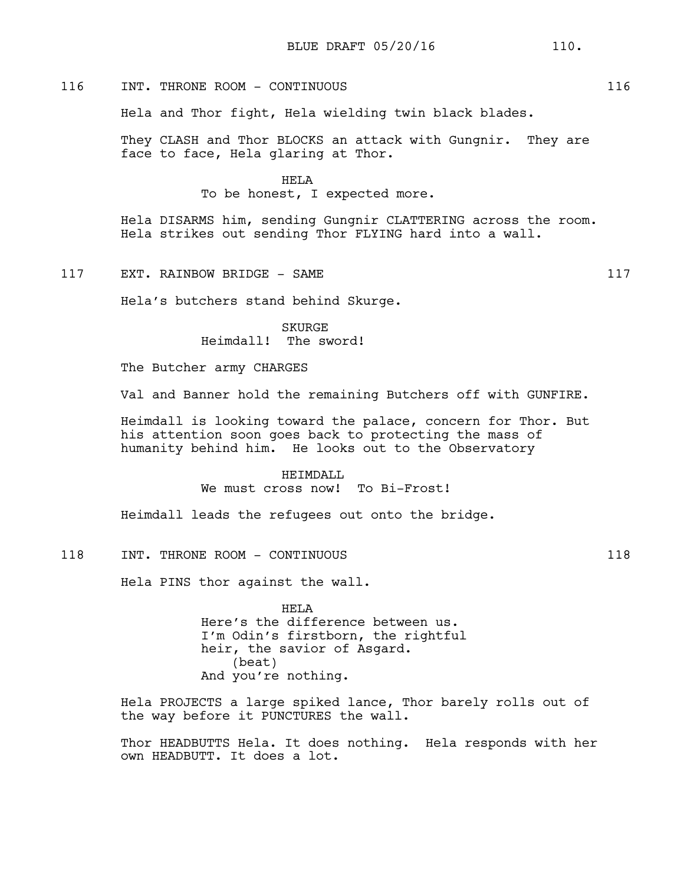# 116 INT. THRONE ROOM - CONTINUOUS 116

Hela and Thor fight, Hela wielding twin black blades.

They CLASH and Thor BLOCKS an attack with Gungnir. They are face to face, Hela glaring at Thor.

HELA

To be honest, I expected more.

Hela DISARMS him, sending Gungnir CLATTERING across the room. Hela strikes out sending Thor FLYING hard into a wall.

117 EXT. RAINBOW BRIDGE - SAME 117

Hela's butchers stand behind Skurge.

SKURGE Heimdall! The sword!

The Butcher army CHARGES

Val and Banner hold the remaining Butchers off with GUNFIRE.

Heimdall is looking toward the palace, concern for Thor. But his attention soon goes back to protecting the mass of humanity behind him. He looks out to the Observatory

> HEIMDALL We must cross now! To Bi-Frost!

Heimdall leads the refugees out onto the bridge.

## 118 INT. THRONE ROOM - CONTINUOUS 118

Hela PINS thor against the wall.

HELA Here's the difference between us. I'm Odin's firstborn, the rightful heir, the savior of Asgard. (beat) And you're nothing.

Hela PROJECTS a large spiked lance, Thor barely rolls out of the way before it PUNCTURES the wall.

Thor HEADBUTTS Hela. It does nothing. Hela responds with her own HEADBUTT. It does a lot.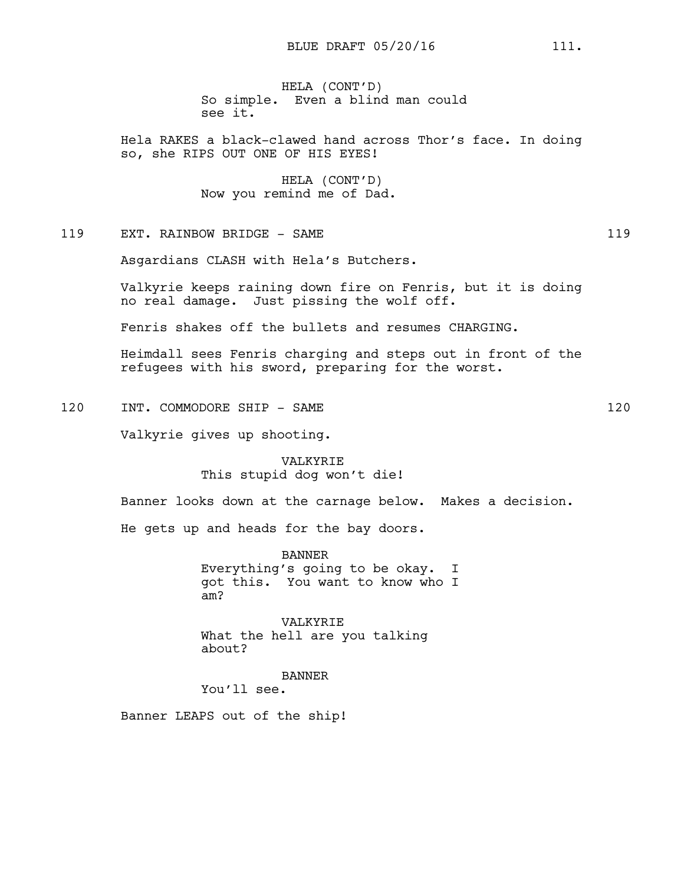HELA (CONT'D) So simple. Even a blind man could see it.

Hela RAKES a black-clawed hand across Thor's face. In doing so, she RIPS OUT ONE OF HIS EYES!

> HELA (CONT'D) Now you remind me of Dad.

119 EXT. RAINBOW BRIDGE - SAME 119

Asgardians CLASH with Hela's Butchers.

Valkyrie keeps raining down fire on Fenris, but it is doing no real damage. Just pissing the wolf off.

Fenris shakes off the bullets and resumes CHARGING.

Heimdall sees Fenris charging and steps out in front of the refugees with his sword, preparing for the worst.

120 INT. COMMODORE SHIP - SAME 120

Valkyrie gives up shooting.

VALKYRIE This stupid dog won't die!

Banner looks down at the carnage below. Makes a decision.

He gets up and heads for the bay doors.

BANNER Everything's going to be okay. I got this. You want to know who I am?

VALKYRIE What the hell are you talking about?

BANNER

You'll see.

Banner LEAPS out of the ship!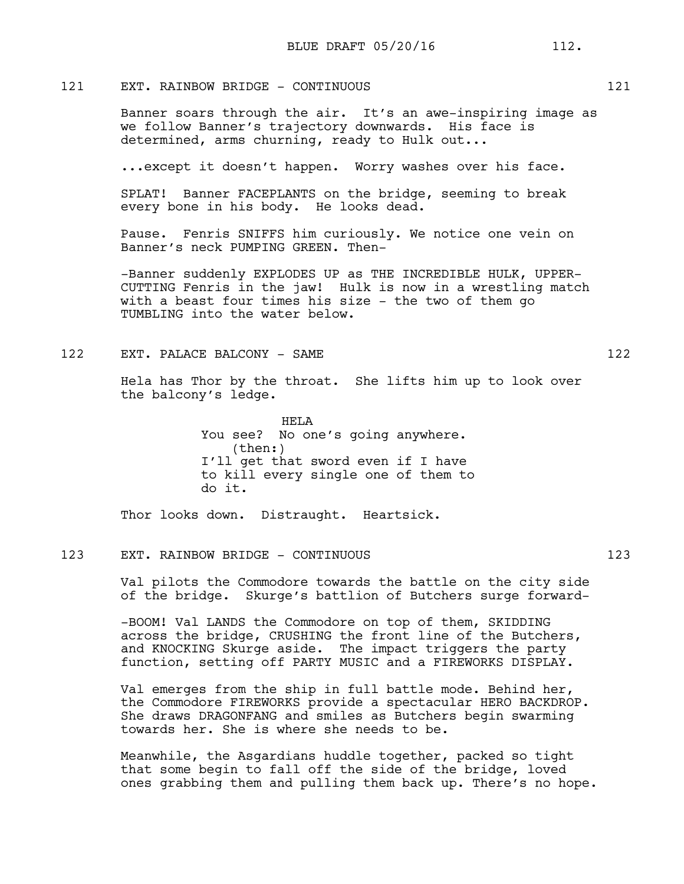# 121 EXT. RAINBOW BRIDGE - CONTINUOUS 121

Banner soars through the air. It's an awe-inspiring image as we follow Banner's trajectory downwards. His face is determined, arms churning, ready to Hulk out...

...except it doesn't happen. Worry washes over his face.

SPLAT! Banner FACEPLANTS on the bridge, seeming to break every bone in his body. He looks dead.

Pause. Fenris SNIFFS him curiously. We notice one vein on Banner's neck PUMPING GREEN. Then-

-Banner suddenly EXPLODES UP as THE INCREDIBLE HULK, UPPER-CUTTING Fenris in the jaw! Hulk is now in a wrestling match with a beast four times his size - the two of them go TUMBLING into the water below.

122 EXT. PALACE BALCONY - SAME 122

Hela has Thor by the throat. She lifts him up to look over the balcony's ledge.

> HELA You see? No one's going anywhere. (then:) I'll get that sword even if I have to kill every single one of them to do it.

Thor looks down. Distraught. Heartsick.

### 123 EXT. RAINBOW BRIDGE - CONTINUOUS 123

Val pilots the Commodore towards the battle on the city side of the bridge. Skurge's battlion of Butchers surge forward-

-BOOM! Val LANDS the Commodore on top of them, SKIDDING across the bridge, CRUSHING the front line of the Butchers, and KNOCKING Skurge aside. The impact triggers the party function, setting off PARTY MUSIC and a FIREWORKS DISPLAY.

Val emerges from the ship in full battle mode. Behind her, the Commodore FIREWORKS provide a spectacular HERO BACKDROP. She draws DRAGONFANG and smiles as Butchers begin swarming towards her. She is where she needs to be.

Meanwhile, the Asgardians huddle together, packed so tight that some begin to fall off the side of the bridge, loved ones grabbing them and pulling them back up. There's no hope.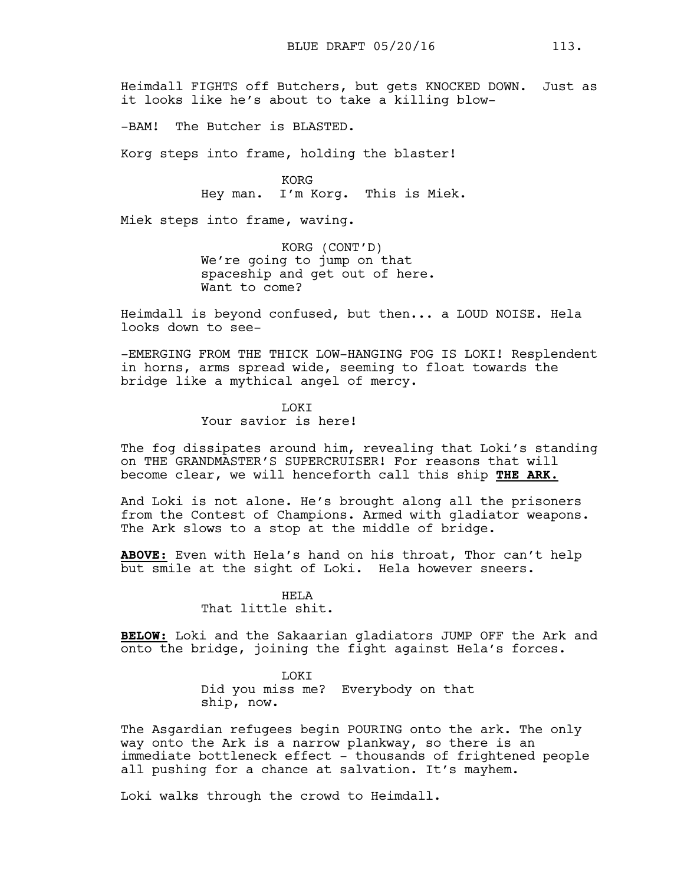Heimdall FIGHTS off Butchers, but gets KNOCKED DOWN. Just as it looks like he's about to take a killing blow-

-BAM! The Butcher is BLASTED.

Korg steps into frame, holding the blaster!

KORG Hey man. I'm Korg. This is Miek.

Miek steps into frame, waving.

KORG (CONT'D) We're going to jump on that spaceship and get out of here. Want to come?

Heimdall is beyond confused, but then... a LOUD NOISE. Hela looks down to see-

-EMERGING FROM THE THICK LOW-HANGING FOG IS LOKI! Resplendent in horns, arms spread wide, seeming to float towards the bridge like a mythical angel of mercy.

> **T.OKT** Your savior is here!

The fog dissipates around him, revealing that Loki's standing on THE GRANDMASTER'S SUPERCRUISER! For reasons that will become clear, we will henceforth call this ship **THE ARK.**

And Loki is not alone. He's brought along all the prisoners from the Contest of Champions. Armed with gladiator weapons. The Ark slows to a stop at the middle of bridge.

**ABOVE:** Even with Hela's hand on his throat, Thor can't help but smile at the sight of Loki. Hela however sneers.

> HELA That little shit.

**BELOW:** Loki and the Sakaarian gladiators JUMP OFF the Ark and onto the bridge, joining the fight against Hela's forces.

> LOKI Did you miss me? Everybody on that ship, now.

The Asgardian refugees begin POURING onto the ark. The only way onto the Ark is a narrow plankway, so there is an immediate bottleneck effect - thousands of frightened people all pushing for a chance at salvation. It's mayhem.

Loki walks through the crowd to Heimdall.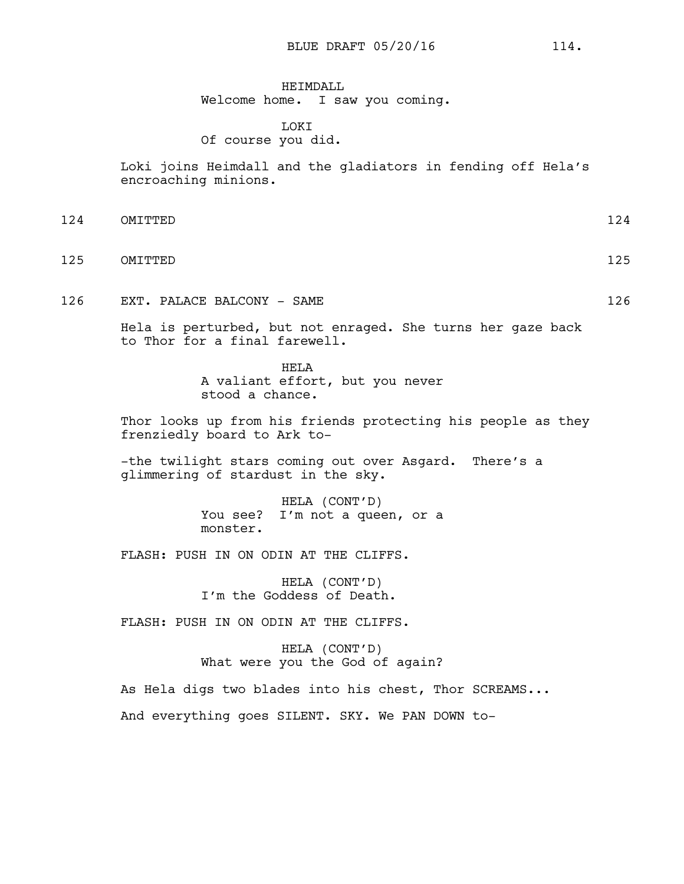HEIMDALL Welcome home. I saw you coming.

## LOKI Of course you did.

Loki joins Heimdall and the gladiators in fending off Hela's encroaching minions.

- 124 OMITTED 124
- 125 OMITTED 125
- 126 EXT. PALACE BALCONY SAME 126

Hela is perturbed, but not enraged. She turns her gaze back to Thor for a final farewell.

> HELA A valiant effort, but you never stood a chance.

Thor looks up from his friends protecting his people as they frenziedly board to Ark to-

-the twilight stars coming out over Asgard. There's a glimmering of stardust in the sky.

> HELA (CONT'D) You see? I'm not a queen, or a monster.

FLASH: PUSH IN ON ODIN AT THE CLIFFS.

HELA (CONT'D) I'm the Goddess of Death.

FLASH: PUSH IN ON ODIN AT THE CLIFFS.

HELA (CONT'D) What were you the God of again?

As Hela digs two blades into his chest, Thor SCREAMS... And everything goes SILENT. SKY. We PAN DOWN to-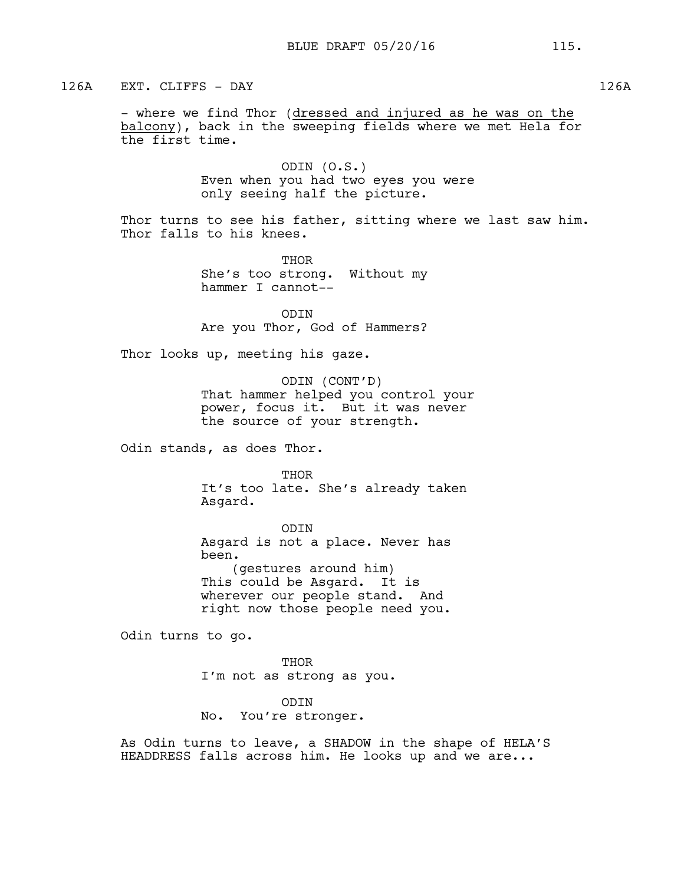126A EXT. CLIFFS - DAY 126A

- where we find Thor (dressed and injured as he was on the balcony), back in the sweeping fields where we met Hela for the first time.

> ODIN (O.S.) Even when you had two eyes you were only seeing half the picture.

Thor turns to see his father, sitting where we last saw him. Thor falls to his knees.

> THOR She's too strong. Without my hammer I cannot--

> ODIN Are you Thor, God of Hammers?

Thor looks up, meeting his gaze.

ODIN (CONT'D) That hammer helped you control your power, focus it. But it was never the source of your strength.

Odin stands, as does Thor.

**THOR** It's too late. She's already taken Asgard.

ODIN Asgard is not a place. Never has been. (gestures around him) This could be Asgard. It is wherever our people stand. And right now those people need you.

Odin turns to go.

THOR I'm not as strong as you.

ODIN No. You're stronger.

As Odin turns to leave, a SHADOW in the shape of HELA'S HEADDRESS falls across him. He looks up and we are...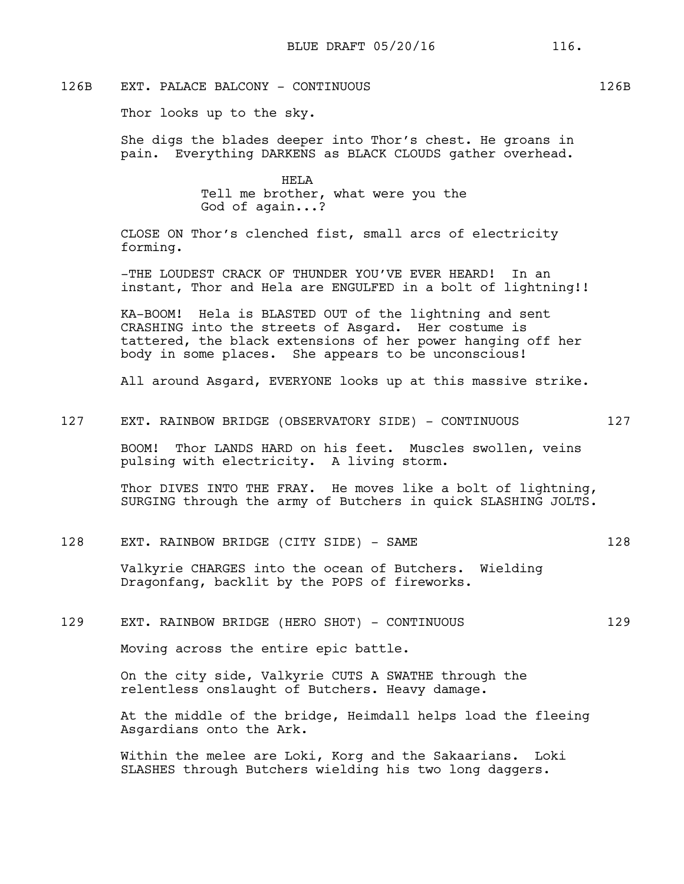# 126B EXT. PALACE BALCONY - CONTINUOUS 126B

Thor looks up to the sky.

She digs the blades deeper into Thor's chest. He groans in pain. Everything DARKENS as BLACK CLOUDS gather overhead.

> HELA Tell me brother, what were you the God of again...?

CLOSE ON Thor's clenched fist, small arcs of electricity forming.

-THE LOUDEST CRACK OF THUNDER YOU'VE EVER HEARD! In an instant, Thor and Hela are ENGULFED in a bolt of lightning!!

KA-BOOM! Hela is BLASTED OUT of the lightning and sent CRASHING into the streets of Asgard. Her costume is tattered, the black extensions of her power hanging off her body in some places. She appears to be unconscious!

All around Asgard, EVERYONE looks up at this massive strike.

127 EXT. RAINBOW BRIDGE (OBSERVATORY SIDE) - CONTINUOUS 127

BOOM! Thor LANDS HARD on his feet. Muscles swollen, veins pulsing with electricity. A living storm.

Thor DIVES INTO THE FRAY. He moves like a bolt of lightning, SURGING through the army of Butchers in quick SLASHING JOLTS.

### 128 EXT. RAINBOW BRIDGE (CITY SIDE) - SAME 128

Valkyrie CHARGES into the ocean of Butchers. Wielding Dragonfang, backlit by the POPS of fireworks.

### 129 EXT. RAINBOW BRIDGE (HERO SHOT) - CONTINUOUS 129

Moving across the entire epic battle.

On the city side, Valkyrie CUTS A SWATHE through the relentless onslaught of Butchers. Heavy damage.

At the middle of the bridge, Heimdall helps load the fleeing Asgardians onto the Ark.

Within the melee are Loki, Korg and the Sakaarians. Loki SLASHES through Butchers wielding his two long daggers.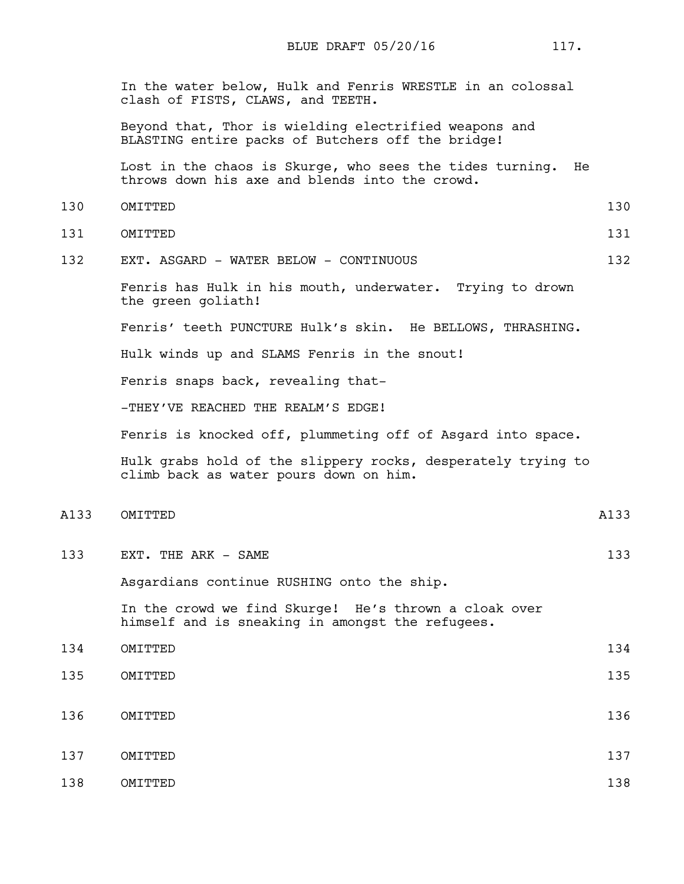In the water below, Hulk and Fenris WRESTLE in an colossal clash of FISTS, CLAWS, and TEETH.

Beyond that, Thor is wielding electrified weapons and BLASTING entire packs of Butchers off the bridge!

Lost in the chaos is Skurge, who sees the tides turning. He throws down his axe and blends into the crowd.

- 130 OMITTED 130
- 131 OMITTED 131
- 132 EXT. ASGARD WATER BELOW CONTINUOUS 132

Fenris has Hulk in his mouth, underwater. Trying to drown the green goliath!

Fenris' teeth PUNCTURE Hulk's skin. He BELLOWS, THRASHING.

Hulk winds up and SLAMS Fenris in the snout!

Fenris snaps back, revealing that-

-THEY'VE REACHED THE REALM'S EDGE!

Fenris is knocked off, plummeting off of Asgard into space.

Hulk grabs hold of the slippery rocks, desperately trying to climb back as water pours down on him.

A133 OMITTED A133

133 EXT. THE ARK – SAME 133

Asgardians continue RUSHING onto the ship.

In the crowd we find Skurge! He's thrown a cloak over himself and is sneaking in amongst the refugees.

- 134 OMITTED 134 135 OMITTED 135
- 136 OMITTED 136
- 137 OMITTED 137 138 OMITTED 138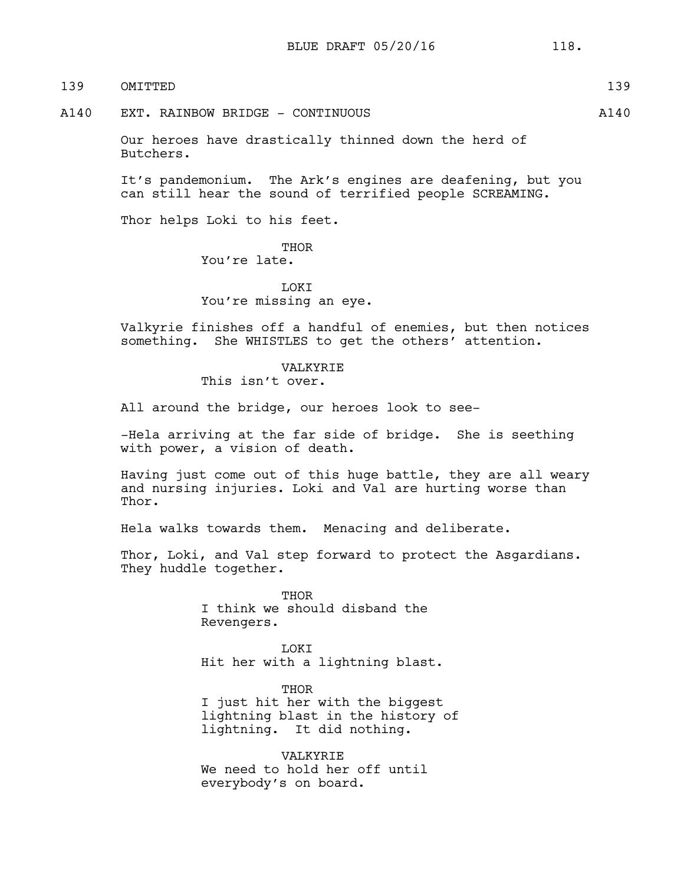| 139   | OMTTTED                                                           | 139   |
|-------|-------------------------------------------------------------------|-------|
| A 140 | EXT. RAINBOW BRIDGE - CONTINUOUS                                  | A 140 |
|       | Our heroes have drastically thinned down the herd of<br>Butchers. |       |

It's pandemonium. The Ark's engines are deafening, but you can still hear the sound of terrified people SCREAMING.

Thor helps Loki to his feet.

THOR You're late.

**T.OKT** You're missing an eye.

Valkyrie finishes off a handful of enemies, but then notices something. She WHISTLES to get the others' attention.

> VALKYRIE This isn't over.

All around the bridge, our heroes look to see-

-Hela arriving at the far side of bridge. She is seething with power, a vision of death.

Having just come out of this huge battle, they are all weary and nursing injuries. Loki and Val are hurting worse than Thor.

Hela walks towards them. Menacing and deliberate.

Thor, Loki, and Val step forward to protect the Asgardians. They huddle together.

> **THOR** I think we should disband the Revengers.

LOKI Hit her with a lightning blast.

THOR I just hit her with the biggest lightning blast in the history of lightning. It did nothing.

VALKYRIE We need to hold her off until everybody's on board.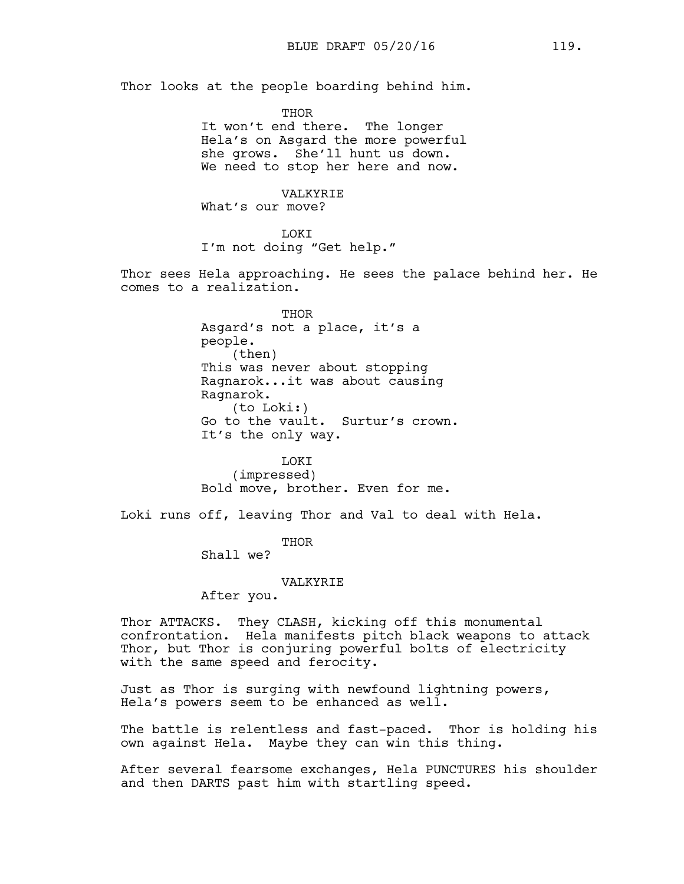Thor looks at the people boarding behind him.

THOR It won't end there. The longer Hela's on Asgard the more powerful she grows. She'll hunt us down. We need to stop her here and now.

VALKYRIE What's our move?

LOKI I'm not doing "Get help."

Thor sees Hela approaching. He sees the palace behind her. He comes to a realization.

> THOR Asgard's not a place, it's a people. (then) This was never about stopping Ragnarok...it was about causing Ragnarok. (to Loki:) Go to the vault. Surtur's crown. It's the only way.

LOKI (impressed) Bold move, brother. Even for me.

Loki runs off, leaving Thor and Val to deal with Hela.

THOR

Shall we?

#### VALKYRIE

After you.

Thor ATTACKS. They CLASH, kicking off this monumental confrontation. Hela manifests pitch black weapons to attack Thor, but Thor is conjuring powerful bolts of electricity with the same speed and ferocity.

Just as Thor is surging with newfound lightning powers, Hela's powers seem to be enhanced as well.

The battle is relentless and fast-paced. Thor is holding his own against Hela. Maybe they can win this thing.

After several fearsome exchanges, Hela PUNCTURES his shoulder and then DARTS past him with startling speed.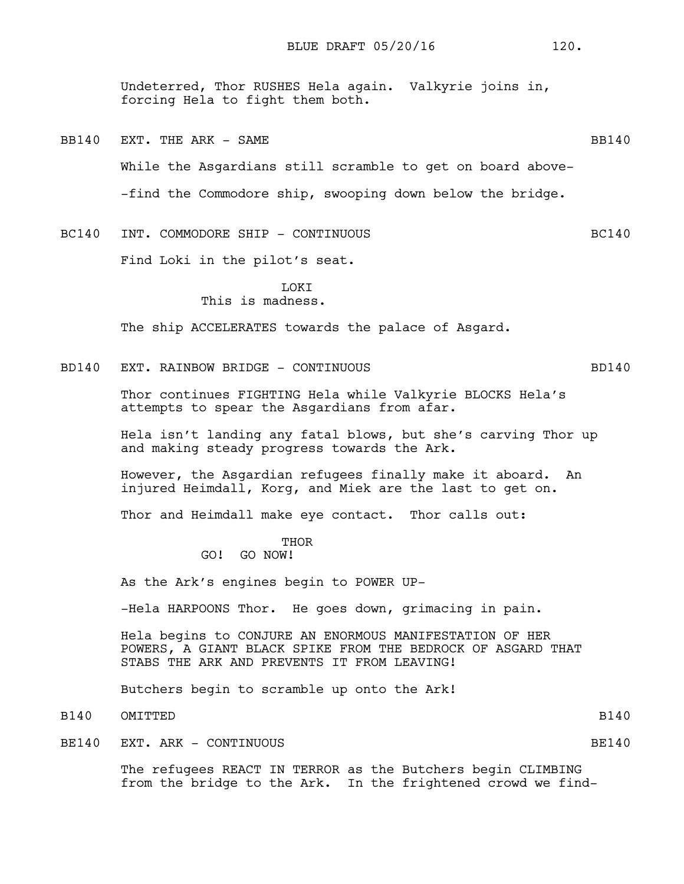Undeterred, Thor RUSHES Hela again. Valkyrie joins in, forcing Hela to fight them both.

- BB140 EXT. THE ARK SAME **BB140** While the Asgardians still scramble to get on board above- -find the Commodore ship, swooping down below the bridge.
- BC140 INT. COMMODORE SHIP CONTINUOUS BC140

Find Loki in the pilot's seat.

### **TOKT** This is madness.

The ship ACCELERATES towards the palace of Asgard.

## BD140 EXT. RAINBOW BRIDGE - CONTINUOUS SERVICES AND 140

Thor continues FIGHTING Hela while Valkyrie BLOCKS Hela's attempts to spear the Asgardians from afar.

Hela isn't landing any fatal blows, but she's carving Thor up and making steady progress towards the Ark.

However, the Asgardian refugees finally make it aboard. An injured Heimdall, Korg, and Miek are the last to get on.

Thor and Heimdall make eye contact. Thor calls out:

# THOR

# GO! GO NOW!

As the Ark's engines begin to POWER UP-

-Hela HARPOONS Thor. He goes down, grimacing in pain.

Hela begins to CONJURE AN ENORMOUS MANIFESTATION OF HER POWERS, A GIANT BLACK SPIKE FROM THE BEDROCK OF ASGARD THAT STABS THE ARK AND PREVENTS IT FROM LEAVING!

Butchers begin to scramble up onto the Ark!

B140 OMITTED B140

BE140 EXT. ARK - CONTINUOUS SERVICES AND RESOURCE BE140

The refugees REACT IN TERROR as the Butchers begin CLIMBING from the bridge to the Ark. In the frightened crowd we find-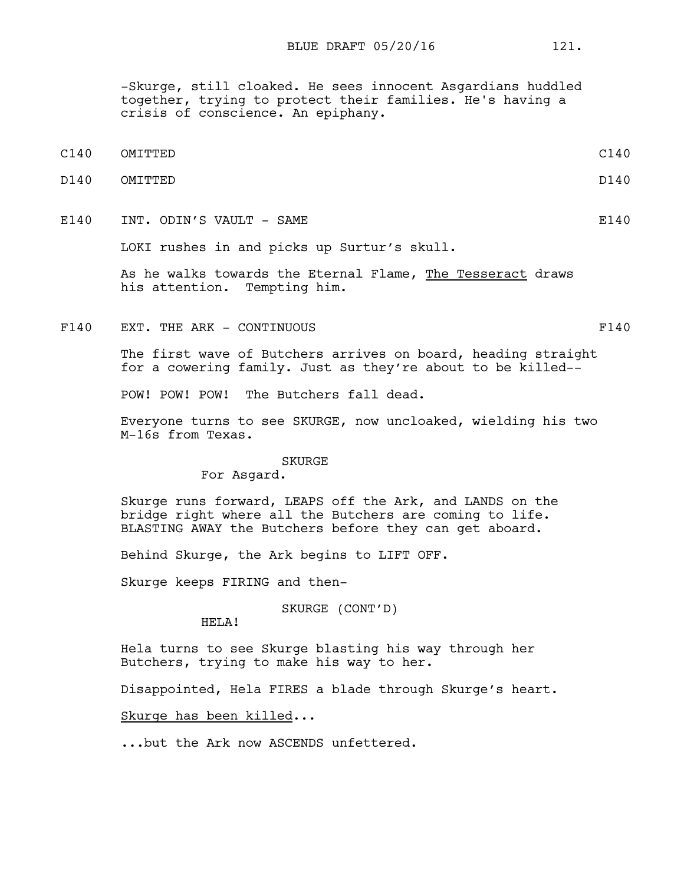-Skurge, still cloaked. He sees innocent Asgardians huddled together, trying to protect their families. He's having a crisis of conscience. An epiphany.

- C140 OMITTED C140
- D140 OMITTED D140
- E140 INT. ODIN'S VAULT SAME E140

LOKI rushes in and picks up Surtur's skull.

As he walks towards the Eternal Flame, The Tesseract draws his attention. Tempting him.

F140 EXT. THE ARK - CONTINUOUS F140

The first wave of Butchers arrives on board, heading straight for a cowering family. Just as they're about to be killed--

POW! POW! POW! The Butchers fall dead.

Everyone turns to see SKURGE, now uncloaked, wielding his two M-16s from Texas.

#### SKURGE

For Asgard.

Skurge runs forward, LEAPS off the Ark, and LANDS on the bridge right where all the Butchers are coming to life. BLASTING AWAY the Butchers before they can get aboard.

Behind Skurge, the Ark begins to LIFT OFF.

Skurge keeps FIRING and then-

SKURGE (CONT'D)

HELA!

Hela turns to see Skurge blasting his way through her Butchers, trying to make his way to her.

Disappointed, Hela FIRES a blade through Skurge's heart.

Skurge has been killed...

...but the Ark now ASCENDS unfettered.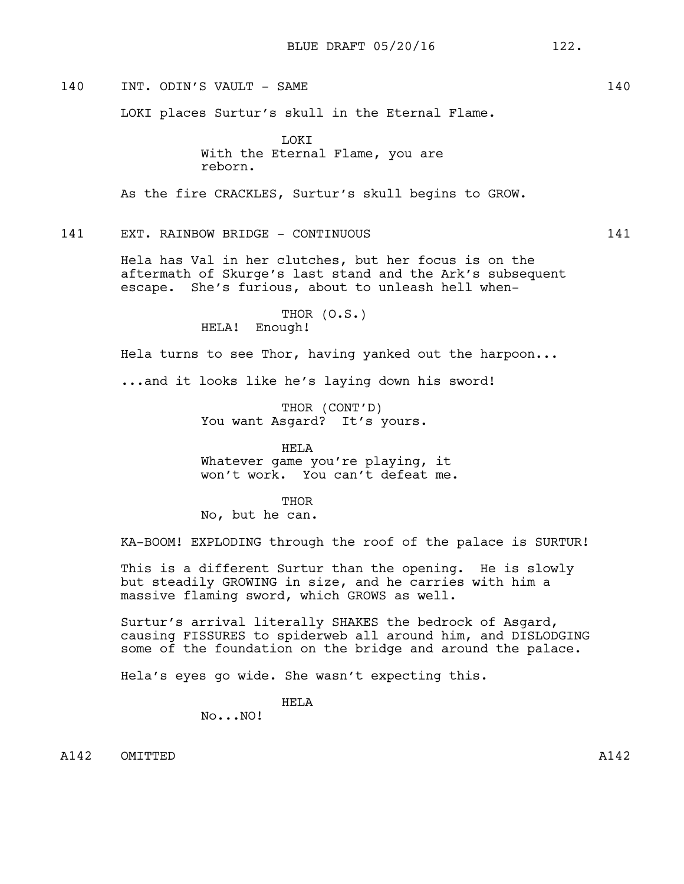140 INT. ODIN'S VAULT – SAME 140

LOKI places Surtur's skull in the Eternal Flame.

LOKI With the Eternal Flame, you are reborn.

As the fire CRACKLES, Surtur's skull begins to GROW.

# 141 EXT. RAINBOW BRIDGE - CONTINUOUS 141

Hela has Val in her clutches, but her focus is on the aftermath of Skurge's last stand and the Ark's subsequent escape. She's furious, about to unleash hell when-

> THOR (O.S.) HELA! Enough!

Hela turns to see Thor, having yanked out the harpoon...

...and it looks like he's laying down his sword!

THOR (CONT'D) You want Asgard? It's yours.

HELA Whatever game you're playing, it won't work. You can't defeat me.

**THOR** 

No, but he can.

KA-BOOM! EXPLODING through the roof of the palace is SURTUR!

This is a different Surtur than the opening. He is slowly but steadily GROWING in size, and he carries with him a massive flaming sword, which GROWS as well.

Surtur's arrival literally SHAKES the bedrock of Asgard, causing FISSURES to spiderweb all around him, and DISLODGING some of the foundation on the bridge and around the palace.

Hela's eyes go wide. She wasn't expecting this.

HELA

No...NO!

A142 OMITTED A142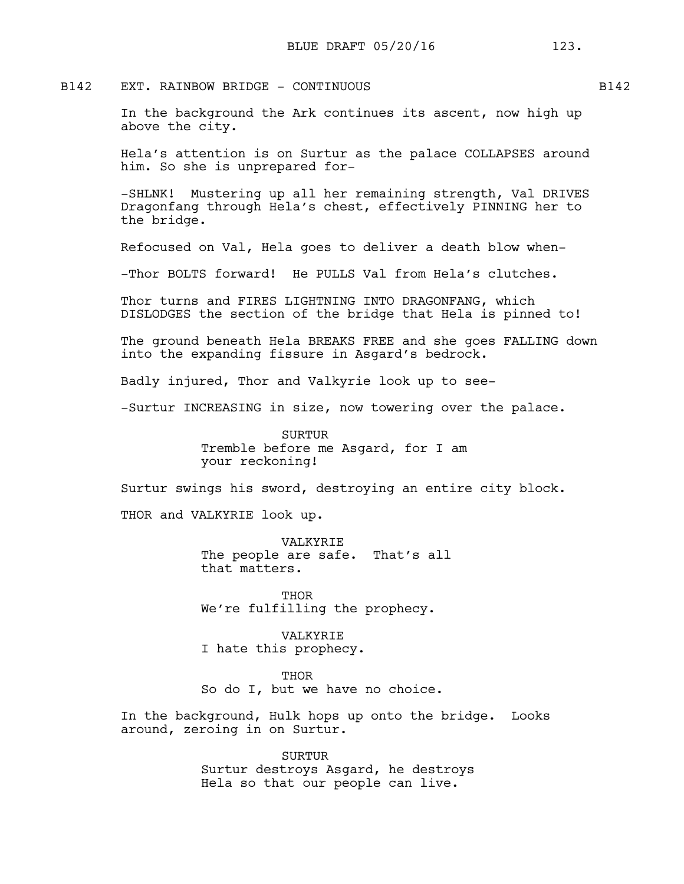## B142 EXT. RAINBOW BRIDGE - CONTINUOUS SHALL BLACK B142

In the background the Ark continues its ascent, now high up above the city.

Hela's attention is on Surtur as the palace COLLAPSES around him. So she is unprepared for-

-SHLNK! Mustering up all her remaining strength, Val DRIVES Dragonfang through Hela's chest, effectively PINNING her to the bridge.

Refocused on Val, Hela goes to deliver a death blow when-

-Thor BOLTS forward! He PULLS Val from Hela's clutches.

Thor turns and FIRES LIGHTNING INTO DRAGONFANG, which DISLODGES the section of the bridge that Hela is pinned to!

The ground beneath Hela BREAKS FREE and she goes FALLING down into the expanding fissure in Asgard's bedrock.

Badly injured, Thor and Valkyrie look up to see-

-Surtur INCREASING in size, now towering over the palace.

SURTUR Tremble before me Asgard, for I am your reckoning!

Surtur swings his sword, destroying an entire city block.

THOR and VALKYRIE look up.

VALKYRIE The people are safe. That's all that matters.

**THOR** We're fulfilling the prophecy.

VALKYRIE I hate this prophecy.

**THOR** 

So do I, but we have no choice.

In the background, Hulk hops up onto the bridge. Looks around, zeroing in on Surtur.

> SURTUR Surtur destroys Asgard, he destroys Hela so that our people can live.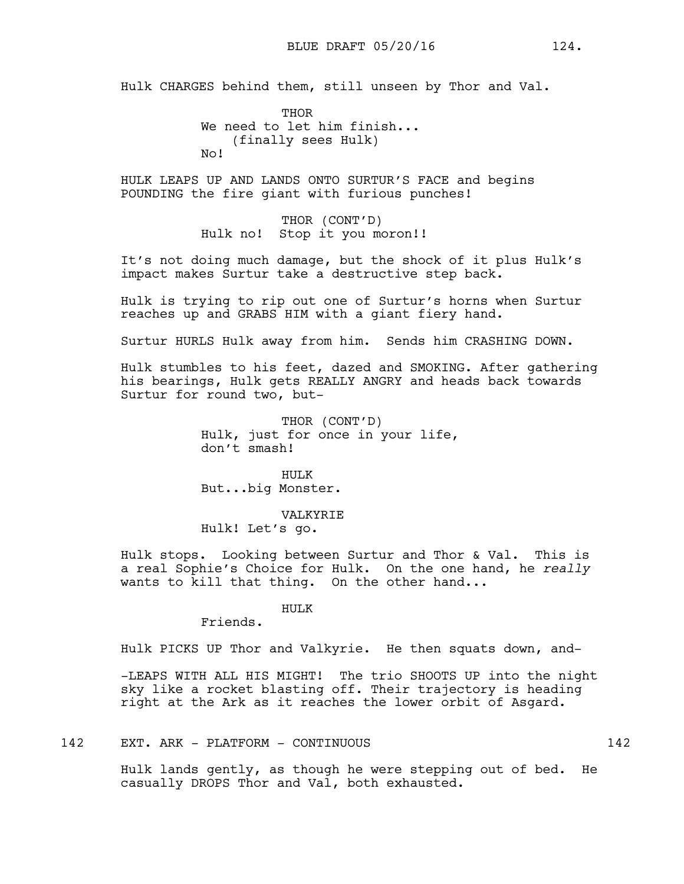Hulk CHARGES behind them, still unseen by Thor and Val.

THOR We need to let him finish... (finally sees Hulk) No!

HULK LEAPS UP AND LANDS ONTO SURTUR'S FACE and begins POUNDING the fire giant with furious punches!

> THOR (CONT'D) Hulk no! Stop it you moron!!

It's not doing much damage, but the shock of it plus Hulk's impact makes Surtur take a destructive step back.

Hulk is trying to rip out one of Surtur's horns when Surtur reaches up and GRABS HIM with a giant fiery hand.

Surtur HURLS Hulk away from him. Sends him CRASHING DOWN.

Hulk stumbles to his feet, dazed and SMOKING. After gathering his bearings, Hulk gets REALLY ANGRY and heads back towards Surtur for round two, but-

> THOR (CONT'D) Hulk, just for once in your life, don't smash!

HULK But...big Monster.

VALKYRIE Hulk! Let's go.

Hulk stops. Looking between Surtur and Thor & Val. This is a real Sophie's Choice for Hulk. On the one hand, he *really* wants to kill that thing. On the other hand...

HULK

Friends.

Hulk PICKS UP Thor and Valkyrie. He then squats down, and-

-LEAPS WITH ALL HIS MIGHT! The trio SHOOTS UP into the night sky like a rocket blasting off. Their trajectory is heading right at the Ark as it reaches the lower orbit of Asgard.

142 EXT. ARK - PLATFORM - CONTINUOUS 142

Hulk lands gently, as though he were stepping out of bed. He casually DROPS Thor and Val, both exhausted.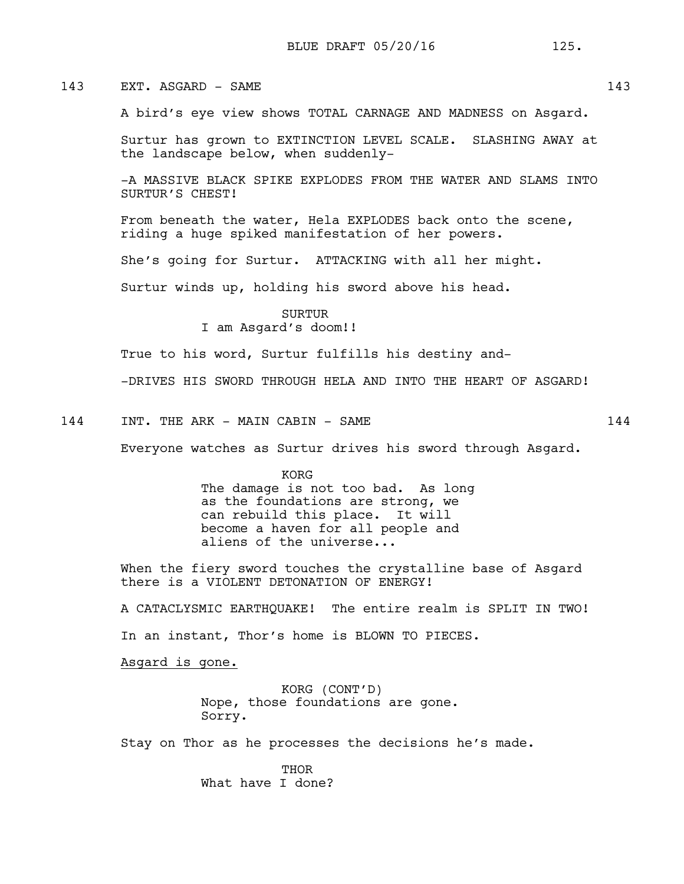# 143 EXT. ASGARD – SAME 143

A bird's eye view shows TOTAL CARNAGE AND MADNESS on Asgard.

Surtur has grown to EXTINCTION LEVEL SCALE. SLASHING AWAY at the landscape below, when suddenly-

-A MASSIVE BLACK SPIKE EXPLODES FROM THE WATER AND SLAMS INTO SURTUR'S CHEST!

From beneath the water, Hela EXPLODES back onto the scene, riding a huge spiked manifestation of her powers.

She's going for Surtur. ATTACKING with all her might.

Surtur winds up, holding his sword above his head.

**SURTUR** I am Asgard's doom!!

True to his word, Surtur fulfills his destiny and-

-DRIVES HIS SWORD THROUGH HELA AND INTO THE HEART OF ASGARD!

144 INT. THE ARK - MAIN CABIN - SAME 144

Everyone watches as Surtur drives his sword through Asgard.

KORG The damage is not too bad. As long as the foundations are strong, we can rebuild this place. It will become a haven for all people and aliens of the universe...

When the fiery sword touches the crystalline base of Asgard there is a VIOLENT DETONATION OF ENERGY!

A CATACLYSMIC EARTHQUAKE! The entire realm is SPLIT IN TWO! In an instant, Thor's home is BLOWN TO PIECES.

Asgard is gone.

KORG (CONT'D) Nope, those foundations are gone. Sorry.

Stay on Thor as he processes the decisions he's made.

**THOR** What have I done?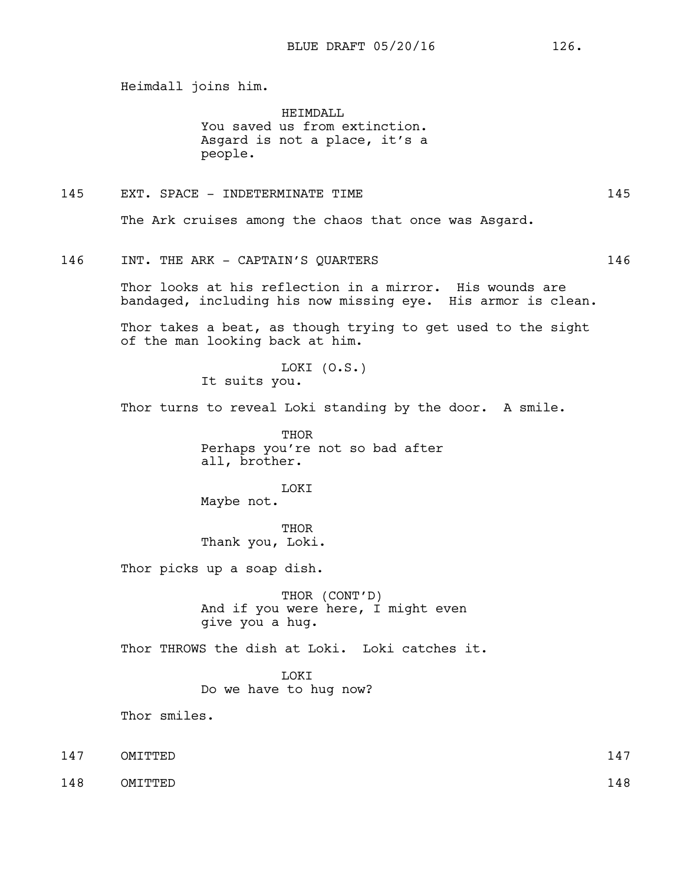Heimdall joins him.

HEIMDALT. You saved us from extinction. Asgard is not a place, it's a people.

# 145 EXT. SPACE - INDETERMINATE TIME 145

The Ark cruises among the chaos that once was Asgard.

## 146 INT. THE ARK - CAPTAIN'S QUARTERS 146

Thor looks at his reflection in a mirror. His wounds are bandaged, including his now missing eye. His armor is clean.

Thor takes a beat, as though trying to get used to the sight of the man looking back at him.

> LOKI (O.S.) It suits you.

Thor turns to reveal Loki standing by the door. A smile.

THOR Perhaps you're not so bad after all, brother.

LOKI Maybe not.

**THOR** Thank you, Loki.

Thor picks up a soap dish.

THOR (CONT'D) And if you were here, I might even give you a hug.

Thor THROWS the dish at Loki. Loki catches it.

**TOKT** 

Do we have to hug now?

Thor smiles.

- 147 OMITTED 147
- 148 OMITTED 148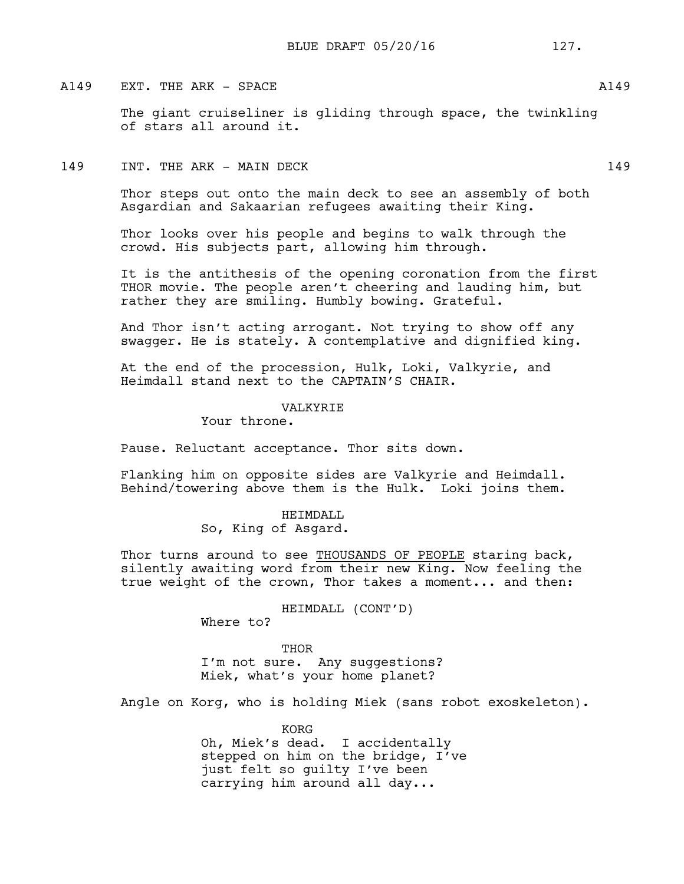## A149 EXT. THE ARK - SPACE A149

The giant cruiseliner is gliding through space, the twinkling of stars all around it.

# 149 INT. THE ARK – MAIN DECK 149

Thor steps out onto the main deck to see an assembly of both Asgardian and Sakaarian refugees awaiting their King.

Thor looks over his people and begins to walk through the crowd. His subjects part, allowing him through.

It is the antithesis of the opening coronation from the first THOR movie. The people aren't cheering and lauding him, but rather they are smiling. Humbly bowing. Grateful.

And Thor isn't acting arrogant. Not trying to show off any swagger. He is stately. A contemplative and dignified king.

At the end of the procession, Hulk, Loki, Valkyrie, and Heimdall stand next to the CAPTAIN'S CHAIR.

#### VALKYRIE

Your throne.

Pause. Reluctant acceptance. Thor sits down.

Flanking him on opposite sides are Valkyrie and Heimdall. Behind/towering above them is the Hulk. Loki joins them.

> HEIMDALL So, King of Asgard.

Thor turns around to see THOUSANDS OF PEOPLE staring back, silently awaiting word from their new King. Now feeling the true weight of the crown, Thor takes a moment... and then:

HEIMDALL (CONT'D)

Where to?

THOR I'm not sure. Any suggestions? Miek, what's your home planet?

Angle on Korg, who is holding Miek (sans robot exoskeleton).

KORG Oh, Miek's dead. I accidentally stepped on him on the bridge, I've just felt so guilty I've been carrying him around all day...